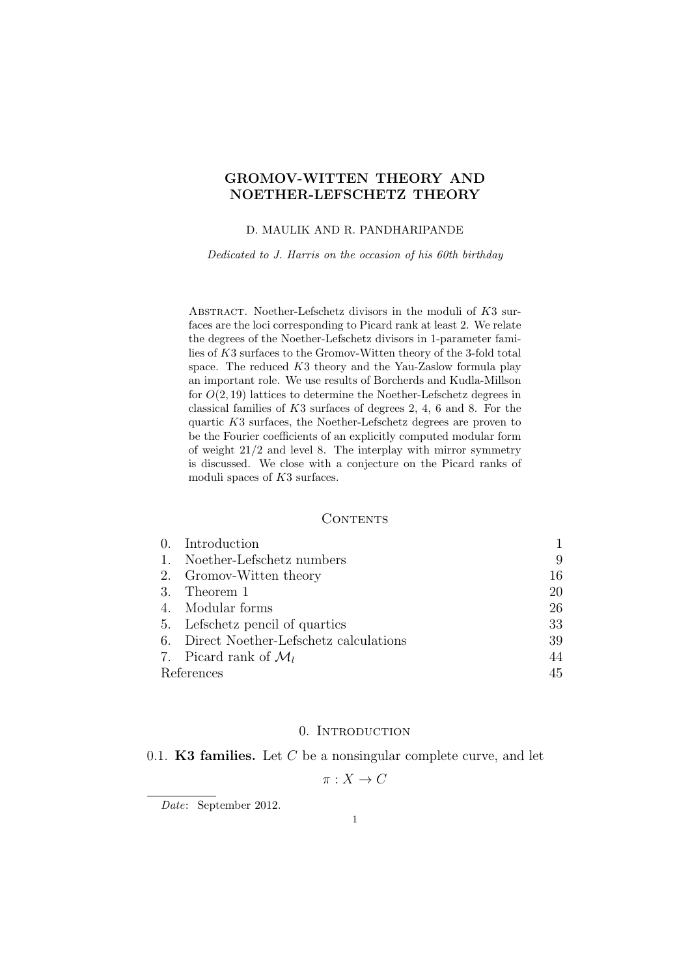## GROMOV-WITTEN THEORY AND NOETHER-LEFSCHETZ THEORY

#### D. MAULIK AND R. PANDHARIPANDE

Dedicated to J. Harris on the occasion of his 60th birthday

ABSTRACT. Noether-Lefschetz divisors in the moduli of K3 surfaces are the loci corresponding to Picard rank at least 2. We relate the degrees of the Noether-Lefschetz divisors in 1-parameter families of K3 surfaces to the Gromov-Witten theory of the 3-fold total space. The reduced K3 theory and the Yau-Zaslow formula play an important role. We use results of Borcherds and Kudla-Millson for  $O(2, 19)$  lattices to determine the Noether-Lefschetz degrees in classical families of K3 surfaces of degrees 2, 4, 6 and 8. For the quartic K3 surfaces, the Noether-Lefschetz degrees are proven to be the Fourier coefficients of an explicitly computed modular form of weight 21/2 and level 8. The interplay with mirror symmetry is discussed. We close with a conjecture on the Picard ranks of moduli spaces of K3 surfaces.

#### **CONTENTS**

|            | 0. Introduction                          |    |
|------------|------------------------------------------|----|
| 1.         | Noether-Lefschetz numbers                | 9  |
|            | 2. Gromov-Witten theory                  | 16 |
|            | 3. Theorem 1                             | 20 |
|            | 4. Modular forms                         | 26 |
|            | 5. Lefschetz pencil of quartics          | 33 |
|            | 6. Direct Noether-Lefschetz calculations | 39 |
|            | 7. Picard rank of $\mathcal{M}_l$        | 44 |
| References | 45                                       |    |

#### 0. INTRODUCTION

#### 0.1. K3 families. Let  $C$  be a nonsingular complete curve, and let

$$
\pi: X \to C
$$

Date: September 2012.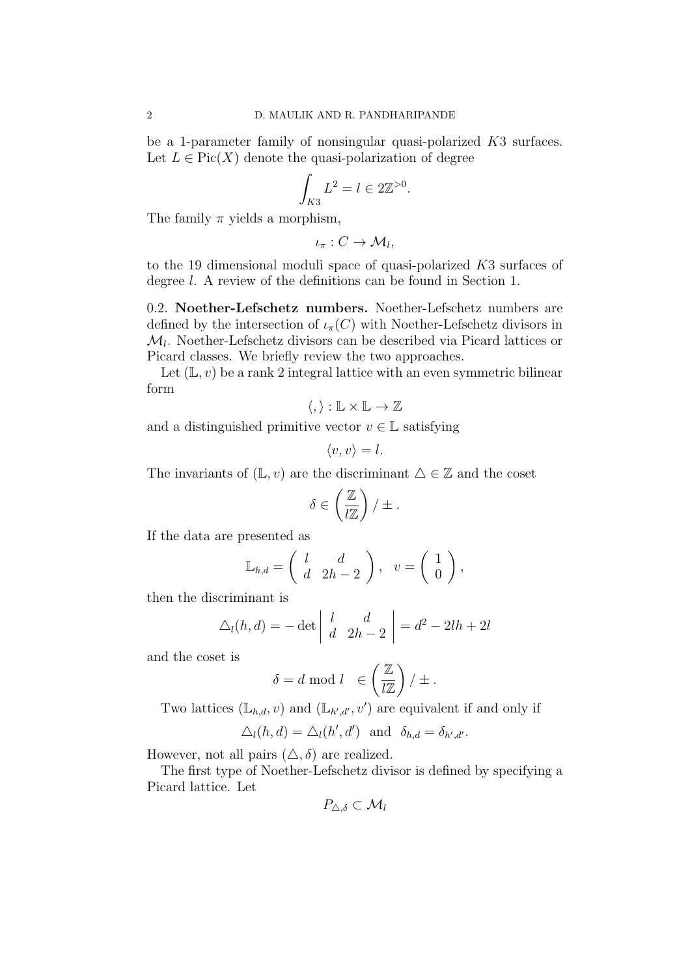be a 1-parameter family of nonsingular quasi-polarized K3 surfaces. Let  $L \in Pic(X)$  denote the quasi-polarization of degree

$$
\int_{K3} L^2 = l \in 2\mathbb{Z}^{>0}.
$$

The family  $\pi$  yields a morphism,

$$
\iota_{\pi}: C \to \mathcal{M}_l,
$$

to the 19 dimensional moduli space of quasi-polarized K3 surfaces of degree l. A review of the definitions can be found in Section 1.

0.2. Noether-Lefschetz numbers. Noether-Lefschetz numbers are defined by the intersection of  $\iota_{\pi}(C)$  with Noether-Lefschetz divisors in  $\mathcal{M}_l$ . Noether-Lefschetz divisors can be described via Picard lattices or Picard classes. We briefly review the two approaches.

Let  $(L, v)$  be a rank 2 integral lattice with an even symmetric bilinear form

$$
\langle,\rangle:\mathbb{L}\times\mathbb{L}\to\mathbb{Z}
$$

and a distinguished primitive vector  $v \in \mathbb{L}$  satisfying

$$
\langle v, v \rangle = l.
$$

The invariants of  $(\mathbb{L}, v)$  are the discriminant  $\Delta \in \mathbb{Z}$  and the coset

$$
\delta \in \left(\frac{\mathbb{Z}}{l\mathbb{Z}}\right) / \pm.
$$

If the data are presented as

$$
\mathbb{L}_{h,d} = \begin{pmatrix} l & d \\ d & 2h-2 \end{pmatrix}, \quad v = \begin{pmatrix} 1 \\ 0 \end{pmatrix},
$$

then the discriminant is

$$
\Delta_l(h, d) = -\det \begin{vmatrix} l & d \\ d & 2h - 2 \end{vmatrix} = d^2 - 2lh + 2l
$$

and the coset is

$$
\delta = d \bmod l \quad \in \left(\frac{\mathbb{Z}}{l\mathbb{Z}}\right) / \pm.
$$

Two lattices  $(\mathbb{L}_{h,d}, v)$  and  $(\mathbb{L}_{h',d'}, v')$  are equivalent if and only if

$$
\Delta_l(h, d) = \Delta_l(h', d') \text{ and } \delta_{h, d} = \delta_{h', d'}.
$$

However, not all pairs  $(\triangle, \delta)$  are realized.

The first type of Noether-Lefschetz divisor is defined by specifying a Picard lattice. Let

$$
P_{\triangle,\delta}\subset\mathcal{M}_l
$$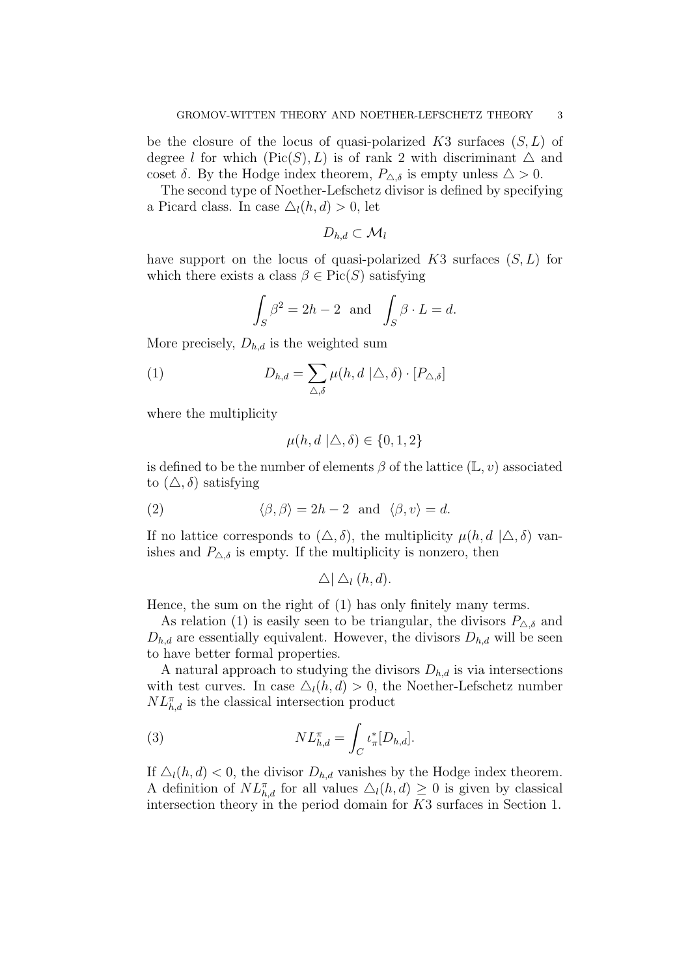be the closure of the locus of quasi-polarized K3 surfaces  $(S, L)$  of degree l for which  $(\text{Pic}(S), L)$  is of rank 2 with discriminant  $\Delta$  and coset  $\delta$ . By the Hodge index theorem,  $P_{\Delta,\delta}$  is empty unless  $\Delta > 0$ .

The second type of Noether-Lefschetz divisor is defined by specifying a Picard class. In case  $\Delta_l(h, d) > 0$ , let

$$
D_{h,d}\subset \mathcal{M}_l
$$

have support on the locus of quasi-polarized  $K3$  surfaces  $(S, L)$  for which there exists a class  $\beta \in Pic(S)$  satisfying

$$
\int_{S} \beta^2 = 2h - 2 \text{ and } \int_{S} \beta \cdot L = d.
$$

More precisely,  $D_{h,d}$  is the weighted sum

(1) 
$$
D_{h,d} = \sum_{\Delta,\delta} \mu(h, d \mid \Delta, \delta) \cdot [P_{\Delta,\delta}]
$$

where the multiplicity

$$
\mu(h, d \mid \triangle, \delta) \in \{0, 1, 2\}
$$

is defined to be the number of elements  $\beta$  of the lattice  $(\mathbb{L}, v)$  associated to  $(\triangle, \delta)$  satisfying

(2) 
$$
\langle \beta, \beta \rangle = 2h - 2
$$
 and  $\langle \beta, v \rangle = d$ .

If no lattice corresponds to  $(\triangle, \delta)$ , the multiplicity  $\mu(h, d \mid \triangle, \delta)$  vanishes and  $P_{\Delta,\delta}$  is empty. If the multiplicity is nonzero, then

$$
\triangle \,|\bigtriangleup_l(h,d).
$$

Hence, the sum on the right of (1) has only finitely many terms.

As relation (1) is easily seen to be triangular, the divisors  $P_{\Delta,\delta}$  and  $D_{h,d}$  are essentially equivalent. However, the divisors  $D_{h,d}$  will be seen to have better formal properties.

A natural approach to studying the divisors  $D_{h,d}$  is via intersections with test curves. In case  $\Delta_l(h, d) > 0$ , the Noether-Lefschetz number  $NL^{\pi}_{h,d}$  is the classical intersection product

(3) 
$$
NL_{h,d}^{\pi} = \int_C \iota_{\pi}^*[D_{h,d}].
$$

If  $\Delta_l(h, d) < 0$ , the divisor  $D_{h, d}$  vanishes by the Hodge index theorem. A definition of  $NL^{\pi}_{h,d}$  for all values  $\Delta_l(h,d) \geq 0$  is given by classical intersection theory in the period domain for K3 surfaces in Section 1.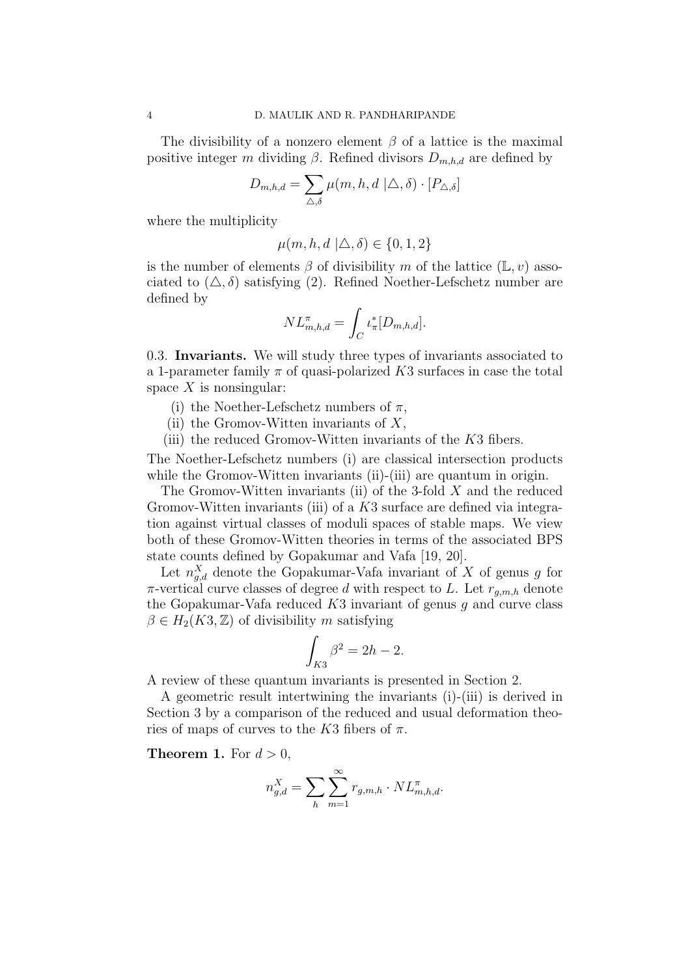The divisibility of a nonzero element  $\beta$  of a lattice is the maximal positive integer m dividing  $\beta$ . Refined divisors  $D_{m,h,d}$  are defined by

$$
D_{m,h,d} = \sum_{\triangle,\delta} \mu(m,h,d \mid \triangle,\delta) \cdot [P_{\triangle,\delta}]
$$

where the multiplicity

$$
\mu(m, h, d \mid \triangle, \delta) \in \{0, 1, 2\}
$$

is the number of elements  $\beta$  of divisibility m of the lattice  $(\mathbb{L}, v)$  associated to  $(\triangle, \delta)$  satisfying (2). Refined Noether-Lefschetz number are defined by

$$
NL_{m,h,d}^{\pi} = \int_C \iota_{\pi}^*[D_{m,h,d}].
$$

0.3. Invariants. We will study three types of invariants associated to a 1-parameter family  $\pi$  of quasi-polarized K3 surfaces in case the total space  $X$  is nonsingular:

- (i) the Noether-Lefschetz numbers of  $\pi$ ,
- (ii) the Gromov-Witten invariants of  $X$ ,
- (iii) the reduced Gromov-Witten invariants of the  $K3$  fibers.

The Noether-Lefschetz numbers (i) are classical intersection products while the Gromov-Witten invariants (ii)-(iii) are quantum in origin.

The Gromov-Witten invariants (ii) of the 3-fold  $X$  and the reduced Gromov-Witten invariants (iii) of a K3 surface are defined via integration against virtual classes of moduli spaces of stable maps. We view both of these Gromov-Witten theories in terms of the associated BPS state counts defined by Gopakumar and Vafa [19, 20].

Let  $n_{g,d}^X$  denote the Gopakumar-Vafa invariant of X of genus g for  $\pi$ -vertical curve classes of degree d with respect to L. Let  $r_{a,m,h}$  denote the Gopakumar-Vafa reduced  $K3$  invariant of genus g and curve class  $\beta \in H_2(K3, \mathbb{Z})$  of divisibility m satisfying

$$
\int_{K3} \beta^2 = 2h - 2.
$$

A review of these quantum invariants is presented in Section 2.

A geometric result intertwining the invariants (i)-(iii) is derived in Section 3 by a comparison of the reduced and usual deformation theories of maps of curves to the K3 fibers of  $\pi$ .

**Theorem 1.** For  $d > 0$ ,

$$
n_{g,d}^X = \sum_h \sum_{m=1}^{\infty} r_{g,m,h} \cdot NL_{m,h,d}^{\pi}.
$$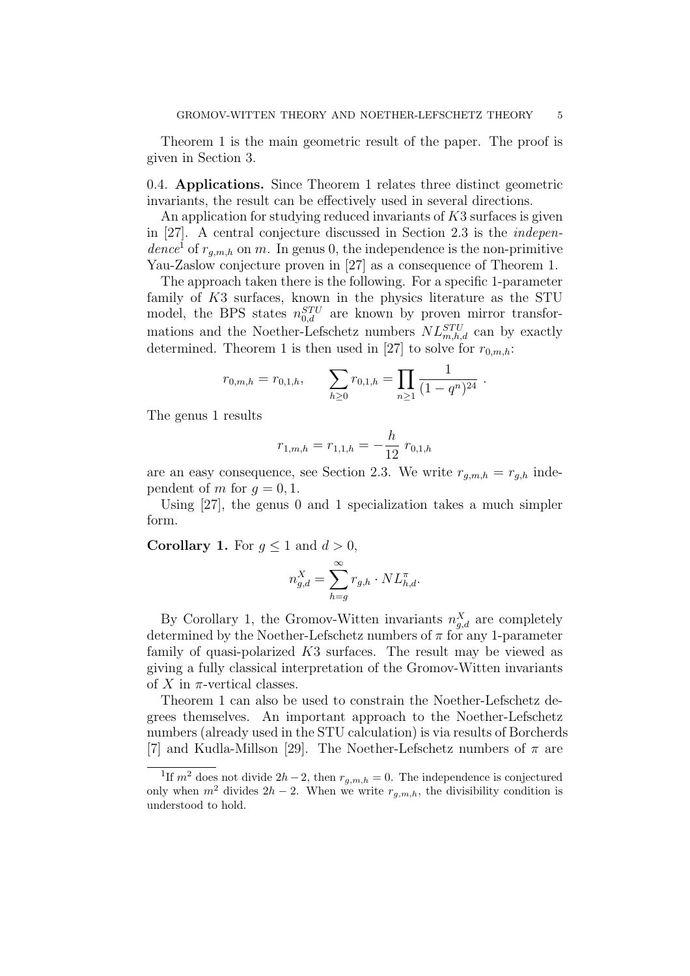Theorem 1 is the main geometric result of the paper. The proof is given in Section 3.

0.4. Applications. Since Theorem 1 relates three distinct geometric invariants, the result can be effectively used in several directions.

An application for studying reduced invariants of  $K3$  surfaces is given in [27]. A central conjecture discussed in Section 2.3 is the independence<sup>1</sup> of  $r_{g,m,h}$  on m. In genus 0, the independence is the non-primitive Yau-Zaslow conjecture proven in [27] as a consequence of Theorem 1.

The approach taken there is the following. For a specific 1-parameter family of K3 surfaces, known in the physics literature as the STU model, the BPS states  $n_{0,d}^{STU}$  are known by proven mirror transformations and the Noether-Lefschetz numbers  $NL_{m,h,d}^{STU}$  can by exactly determined. Theorem 1 is then used in [27] to solve for  $r_{0,m,h}$ :

$$
r_{0,m,h} = r_{0,1,h},
$$
 
$$
\sum_{h\geq 0} r_{0,1,h} = \prod_{n\geq 1} \frac{1}{(1-q^n)^{24}}.
$$

The genus 1 results

$$
r_{1,m,h} = r_{1,1,h} = -\frac{h}{12} r_{0,1,h}
$$

are an easy consequence, see Section 2.3. We write  $r_{q,m,h} = r_{q,h}$  independent of m for  $q = 0, 1$ .

Using [27], the genus 0 and 1 specialization takes a much simpler form.

**Corollary 1.** For  $g \leq 1$  and  $d > 0$ ,

$$
n_{g,d}^X = \sum_{h=g}^{\infty} r_{g,h} \cdot NL_{h,d}^{\pi}.
$$

By Corollary 1, the Gromov-Witten invariants  $n_{g,d}^X$  are completely determined by the Noether-Lefschetz numbers of  $\pi$  for any 1-parameter family of quasi-polarized  $K3$  surfaces. The result may be viewed as giving a fully classical interpretation of the Gromov-Witten invariants of X in  $\pi$ -vertical classes.

Theorem 1 can also be used to constrain the Noether-Lefschetz degrees themselves. An important approach to the Noether-Lefschetz numbers (already used in the STU calculation) is via results of Borcherds [7] and Kudla-Millson [29]. The Noether-Lefschetz numbers of  $\pi$  are

<sup>&</sup>lt;sup>1</sup>If  $m^2$  does not divide  $2h-2$ , then  $r_{g,m,h}=0$ . The independence is conjectured only when  $m^2$  divides  $2h - 2$ . When we write  $r_{g,m,h}$ , the divisibility condition is understood to hold.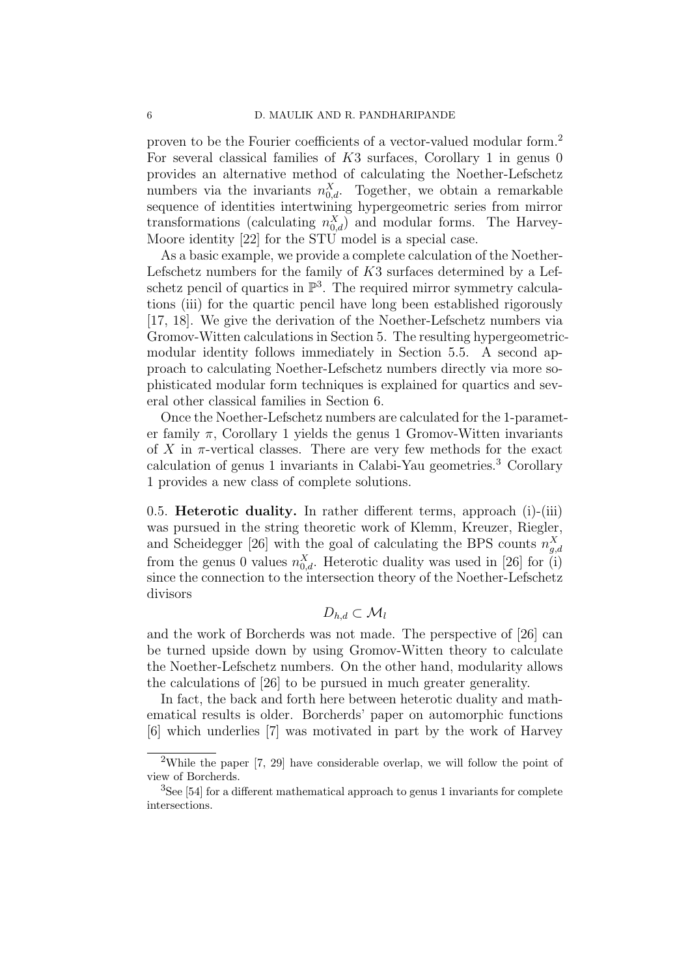proven to be the Fourier coefficients of a vector-valued modular form.<sup>2</sup> For several classical families of K3 surfaces, Corollary 1 in genus 0 provides an alternative method of calculating the Noether-Lefschetz numbers via the invariants  $n_{0,d}^X$ . Together, we obtain a remarkable sequence of identities intertwining hypergeometric series from mirror transformations (calculating  $n_{0,d}^X$ ) and modular forms. The Harvey-Moore identity [22] for the STU model is a special case.

As a basic example, we provide a complete calculation of the Noether-Lefschetz numbers for the family of  $K3$  surfaces determined by a Lefschetz pencil of quartics in  $\mathbb{P}^3$ . The required mirror symmetry calculations (iii) for the quartic pencil have long been established rigorously [17, 18]. We give the derivation of the Noether-Lefschetz numbers via Gromov-Witten calculations in Section 5. The resulting hypergeometricmodular identity follows immediately in Section 5.5. A second approach to calculating Noether-Lefschetz numbers directly via more sophisticated modular form techniques is explained for quartics and several other classical families in Section 6.

Once the Noether-Lefschetz numbers are calculated for the 1-parameter family  $\pi$ , Corollary 1 yields the genus 1 Gromov-Witten invariants of X in  $\pi$ -vertical classes. There are very few methods for the exact calculation of genus 1 invariants in Calabi-Yau geometries. <sup>3</sup> Corollary 1 provides a new class of complete solutions.

0.5. Heterotic duality. In rather different terms, approach (i)-(iii) was pursued in the string theoretic work of Klemm, Kreuzer, Riegler, and Scheidegger [26] with the goal of calculating the BPS counts  $n_{g,d}^X$ from the genus 0 values  $n_{0,d}^X$ . Heterotic duality was used in [26] for (i) since the connection to the intersection theory of the Noether-Lefschetz divisors

# $D_{h,d} \subset \mathcal{M}_l$

and the work of Borcherds was not made. The perspective of [26] can be turned upside down by using Gromov-Witten theory to calculate the Noether-Lefschetz numbers. On the other hand, modularity allows the calculations of [26] to be pursued in much greater generality.

In fact, the back and forth here between heterotic duality and mathematical results is older. Borcherds' paper on automorphic functions [6] which underlies [7] was motivated in part by the work of Harvey

<sup>&</sup>lt;sup>2</sup>While the paper  $[7, 29]$  have considerable overlap, we will follow the point of view of Borcherds.

<sup>3</sup>See [54] for a different mathematical approach to genus 1 invariants for complete intersections.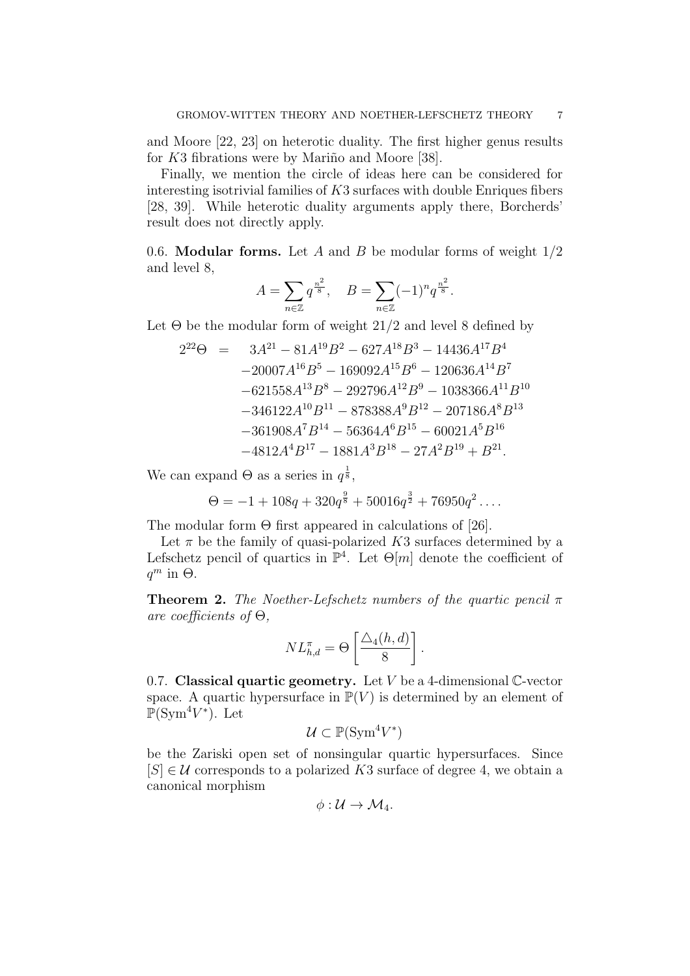and Moore [22, 23] on heterotic duality. The first higher genus results for  $K3$  fibrations were by Mariño and Moore [38].

Finally, we mention the circle of ideas here can be considered for interesting isotrivial families of  $K3$  surfaces with double Enriques fibers [28, 39]. While heterotic duality arguments apply there, Borcherds' result does not directly apply.

0.6. **Modular forms.** Let A and B be modular forms of weight  $1/2$ and level 8,

$$
A = \sum_{n \in \mathbb{Z}} q^{\frac{n^2}{8}}, \quad B = \sum_{n \in \mathbb{Z}} (-1)^n q^{\frac{n^2}{8}}.
$$

Let  $\Theta$  be the modular form of weight 21/2 and level 8 defined by

$$
2^{22}\Theta = 3A^{21} - 81A^{19}B^2 - 627A^{18}B^3 - 14436A^{17}B^4
$$
  
\n
$$
-20007A^{16}B^5 - 169092A^{15}B^6 - 120636A^{14}B^7
$$
  
\n
$$
-621558A^{13}B^8 - 292796A^{12}B^9 - 1038366A^{11}B^{10}
$$
  
\n
$$
-346122A^{10}B^{11} - 878388A^9B^{12} - 207186A^8B^{13}
$$
  
\n
$$
-361908A^7B^{14} - 56364A^6B^{15} - 60021A^5B^{16}
$$
  
\n
$$
-4812A^4B^{17} - 1881A^3B^{18} - 27A^2B^{19} + B^{21}.
$$

We can expand  $\Theta$  as a series in  $q^{\frac{1}{8}}$ ,

$$
\Theta = -1 + 108q + 320q^{\frac{9}{8}} + 50016q^{\frac{3}{2}} + 76950q^2 \dots
$$

The modular form  $\Theta$  first appeared in calculations of [26].

Let  $\pi$  be the family of quasi-polarized K3 surfaces determined by a Lefschetz pencil of quartics in  $\mathbb{P}^4$ . Let  $\Theta[m]$  denote the coefficient of  $q^m$  in  $\Theta$ .

**Theorem 2.** The Noether-Lefschetz numbers of the quartic pencil  $\pi$ are coefficients of  $\Theta$ ,

$$
NL_{h,d}^{\pi} = \Theta \left[ \frac{\triangle_4(h,d)}{8} \right].
$$

0.7. Classical quartic geometry. Let  $V$  be a 4-dimensional  $\mathbb{C}\text{-vector}$ space. A quartic hypersurface in  $\mathbb{P}(V)$  is determined by an element of  $\mathbb{P}(\mathrm{Sym}^4 V^*)$ . Let

$$
\mathcal{U} \subset \mathbb{P}(\operatorname{Sym}^4 V^*)
$$

be the Zariski open set of nonsingular quartic hypersurfaces. Since  $[S] \in \mathcal{U}$  corresponds to a polarized K3 surface of degree 4, we obtain a canonical morphism

$$
\phi: \mathcal{U} \to \mathcal{M}_4.
$$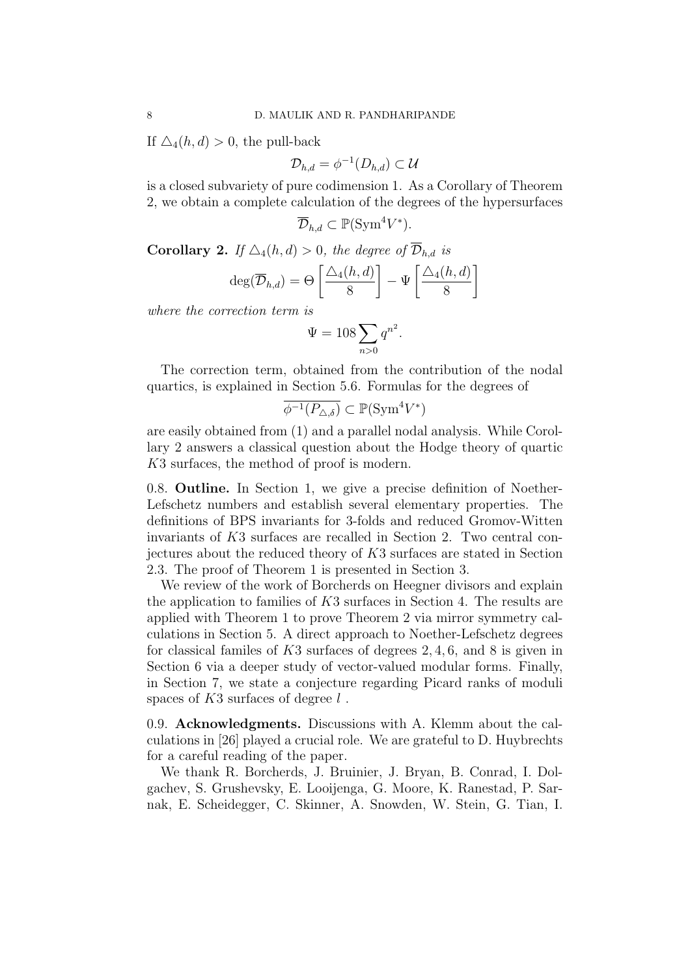If  $\Delta_4(h, d) > 0$ , the pull-back

$$
\mathcal{D}_{h,d}=\phi^{-1}(D_{h,d})\subset\mathcal{U}
$$

is a closed subvariety of pure codimension 1. As a Corollary of Theorem 2, we obtain a complete calculation of the degrees of the hypersurfaces

$$
\overline{\mathcal{D}}_{h,d} \subset \mathbb{P}(\text{Sym}^4 V^*).
$$

**Corollary 2.** If  $\Delta_4(h, d) > 0$ , the degree of  $\overline{\mathcal{D}}_{h, d}$  is

$$
\deg(\overline{\mathcal{D}}_{h,d}) = \Theta\left[\frac{\triangle_4(h,d)}{8}\right] - \Psi\left[\frac{\triangle_4(h,d)}{8}\right]
$$

where the correction term is

$$
\Psi = 108 \sum_{n>0} q^{n^2}.
$$

The correction term, obtained from the contribution of the nodal quartics, is explained in Section 5.6. Formulas for the degrees of

$$
\overline{\phi^{-1}(P_{\Delta,\delta})} \subset \mathbb{P}(\text{Sym}^4 V^*)
$$

are easily obtained from (1) and a parallel nodal analysis. While Corollary 2 answers a classical question about the Hodge theory of quartic K3 surfaces, the method of proof is modern.

0.8. Outline. In Section 1, we give a precise definition of Noether-Lefschetz numbers and establish several elementary properties. The definitions of BPS invariants for 3-folds and reduced Gromov-Witten invariants of K3 surfaces are recalled in Section 2. Two central conjectures about the reduced theory of K3 surfaces are stated in Section 2.3. The proof of Theorem 1 is presented in Section 3.

We review of the work of Borcherds on Heegner divisors and explain the application to families of  $K3$  surfaces in Section 4. The results are applied with Theorem 1 to prove Theorem 2 via mirror symmetry calculations in Section 5. A direct approach to Noether-Lefschetz degrees for classical familes of K3 surfaces of degrees 2, 4, 6, and 8 is given in Section 6 via a deeper study of vector-valued modular forms. Finally, in Section 7, we state a conjecture regarding Picard ranks of moduli spaces of  $K3$  surfaces of degree  $l$ .

0.9. Acknowledgments. Discussions with A. Klemm about the calculations in [26] played a crucial role. We are grateful to D. Huybrechts for a careful reading of the paper.

We thank R. Borcherds, J. Bruinier, J. Bryan, B. Conrad, I. Dolgachev, S. Grushevsky, E. Looijenga, G. Moore, K. Ranestad, P. Sarnak, E. Scheidegger, C. Skinner, A. Snowden, W. Stein, G. Tian, I.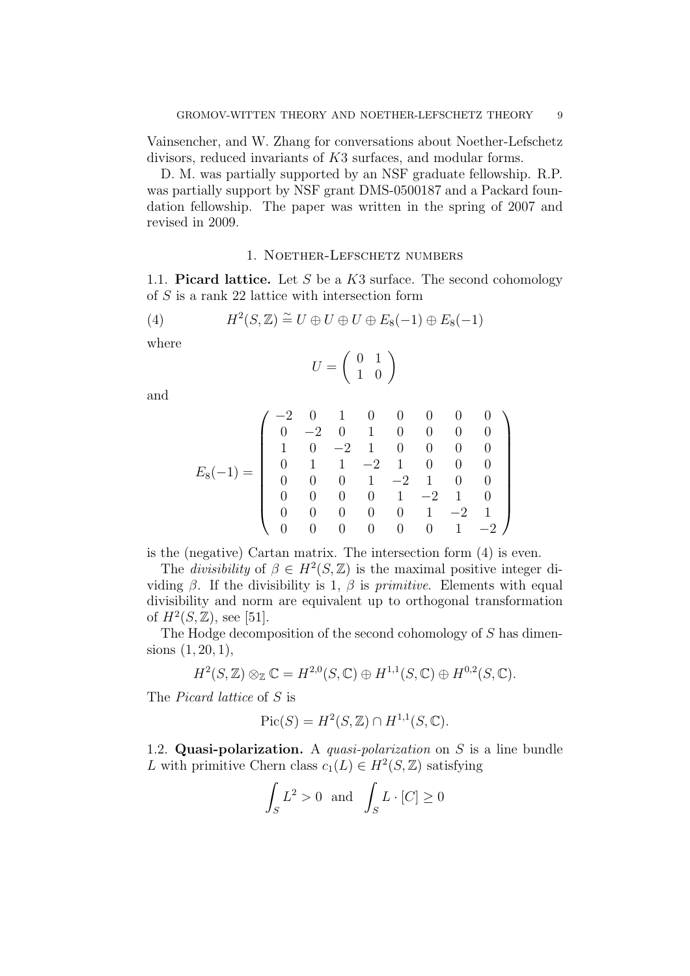Vainsencher, and W. Zhang for conversations about Noether-Lefschetz divisors, reduced invariants of K3 surfaces, and modular forms.

D. M. was partially supported by an NSF graduate fellowship. R.P. was partially support by NSF grant DMS-0500187 and a Packard foundation fellowship. The paper was written in the spring of 2007 and revised in 2009.

#### 1. Noether-Lefschetz numbers

1.1. Picard lattice. Let S be a  $K3$  surface. The second cohomology of  $S$  is a rank 22 lattice with intersection form

(4) 
$$
H^2(S, \mathbb{Z}) \cong U \oplus U \oplus U \oplus E_8(-1) \oplus E_8(-1)
$$

where

$$
U=\left(\begin{array}{cc} 0 & 1 \\ 1 & 0 \end{array}\right)
$$

and

$$
E_8(-1) = \left(\begin{array}{rrrrrrrr} -2 & 0 & 1 & 0 & 0 & 0 & 0 & 0 \\ 0 & -2 & 0 & 1 & 0 & 0 & 0 & 0 \\ 1 & 0 & -2 & 1 & 0 & 0 & 0 & 0 \\ 0 & 1 & 1 & -2 & 1 & 0 & 0 & 0 \\ 0 & 0 & 0 & 1 & -2 & 1 & 0 & 0 \\ 0 & 0 & 0 & 0 & 1 & -2 & 1 & 0 \\ 0 & 0 & 0 & 0 & 0 & 1 & -2 & 1 \\ 0 & 0 & 0 & 0 & 0 & 0 & 1 & -2 \end{array}\right)
$$

is the (negative) Cartan matrix. The intersection form (4) is even.

The *divisibility* of  $\beta \in H^2(S, \mathbb{Z})$  is the maximal positive integer dividing  $\beta$ . If the divisibility is 1,  $\beta$  is *primitive*. Elements with equal divisibility and norm are equivalent up to orthogonal transformation of  $H^2(S, \mathbb{Z})$ , see [51].

The Hodge decomposition of the second cohomology of S has dimensions  $(1, 20, 1)$ ,

$$
H^2(S, \mathbb{Z}) \otimes_{\mathbb{Z}} \mathbb{C} = H^{2,0}(S, \mathbb{C}) \oplus H^{1,1}(S, \mathbb{C}) \oplus H^{0,2}(S, \mathbb{C}).
$$

The Picard lattice of S is

$$
Pic(S) = H^2(S, \mathbb{Z}) \cap H^{1,1}(S, \mathbb{C}).
$$

1.2. Quasi-polarization. A quasi-polarization on  $S$  is a line bundle L with primitive Chern class  $c_1(L) \in H^2(S, \mathbb{Z})$  satisfying

$$
\int_{S} L^2 > 0 \text{ and } \int_{S} L \cdot [C] \ge 0
$$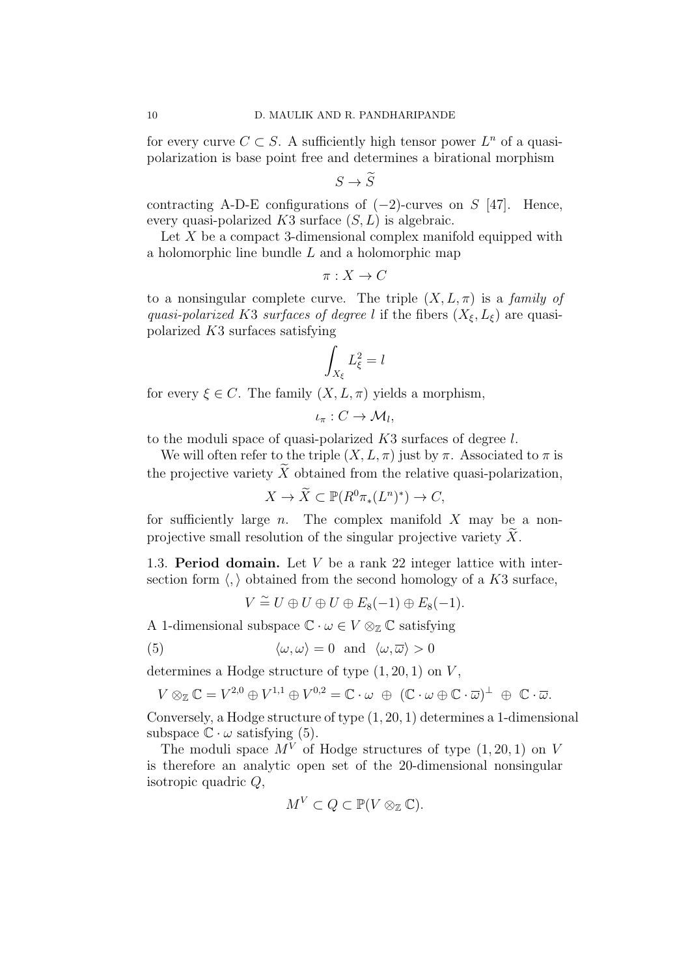for every curve  $C \subset S$ . A sufficiently high tensor power  $L^n$  of a quasipolarization is base point free and determines a birational morphism

$$
S \to \widetilde{S}
$$

contracting A-D-E configurations of  $(-2)$ -curves on S [47]. Hence, every quasi-polarized  $K3$  surface  $(S, L)$  is algebraic.

Let X be a compact 3-dimensional complex manifold equipped with a holomorphic line bundle L and a holomorphic map

$$
\pi: X \to C
$$

to a nonsingular complete curve. The triple  $(X, L, \pi)$  is a family of quasi-polarized K3 surfaces of degree l if the fibers  $(X_{\xi}, L_{\xi})$  are quasipolarized K3 surfaces satisfying

$$
\int_{X_{\xi}} L_{\xi}^2 = l
$$

for every  $\xi \in C$ . The family  $(X, L, \pi)$  yields a morphism,

$$
\iota_{\pi}: C \to \mathcal{M}_l,
$$

to the moduli space of quasi-polarized K3 surfaces of degree l.

We will often refer to the triple  $(X, L, \pi)$  just by  $\pi$ . Associated to  $\pi$  is the projective variety  $\widetilde{X}$  obtained from the relative quasi-polarization,

$$
X \to \widetilde{X} \subset \mathbb{P}(R^0 \pi_*(L^n)^*) \to C,
$$

for sufficiently large  $n$ . The complex manifold  $X$  may be a nonprojective small resolution of the singular projective variety  $X$ .

1.3. Period domain. Let  $V$  be a rank 22 integer lattice with intersection form  $\langle , \rangle$  obtained from the second homology of a K3 surface,

$$
V \stackrel{\sim}{=} U \oplus U \oplus U \oplus E_8(-1) \oplus E_8(-1).
$$

A 1-dimensional subspace  $\mathbb{C} \cdot \omega \in V \otimes_{\mathbb{Z}} \mathbb{C}$  satisfying

(5) 
$$
\langle \omega, \omega \rangle = 0
$$
 and  $\langle \omega, \overline{\omega} \rangle > 0$ 

determines a Hodge structure of type  $(1, 20, 1)$  on V,

$$
V \otimes_{\mathbb{Z}} \mathbb{C} = V^{2,0} \oplus V^{1,1} \oplus V^{0,2} = \mathbb{C} \cdot \omega \oplus (\mathbb{C} \cdot \omega \oplus \mathbb{C} \cdot \overline{\omega})^{\perp} \oplus \mathbb{C} \cdot \overline{\omega}.
$$

Conversely, a Hodge structure of type (1, 20, 1) determines a 1-dimensional subspace  $\mathbb{C} \cdot \omega$  satisfying (5).

The moduli space  $M^V$  of Hodge structures of type  $(1, 20, 1)$  on V is therefore an analytic open set of the 20-dimensional nonsingular isotropic quadric Q,

$$
M^V \subset Q \subset \mathbb{P}(V \otimes_{\mathbb{Z}} \mathbb{C}).
$$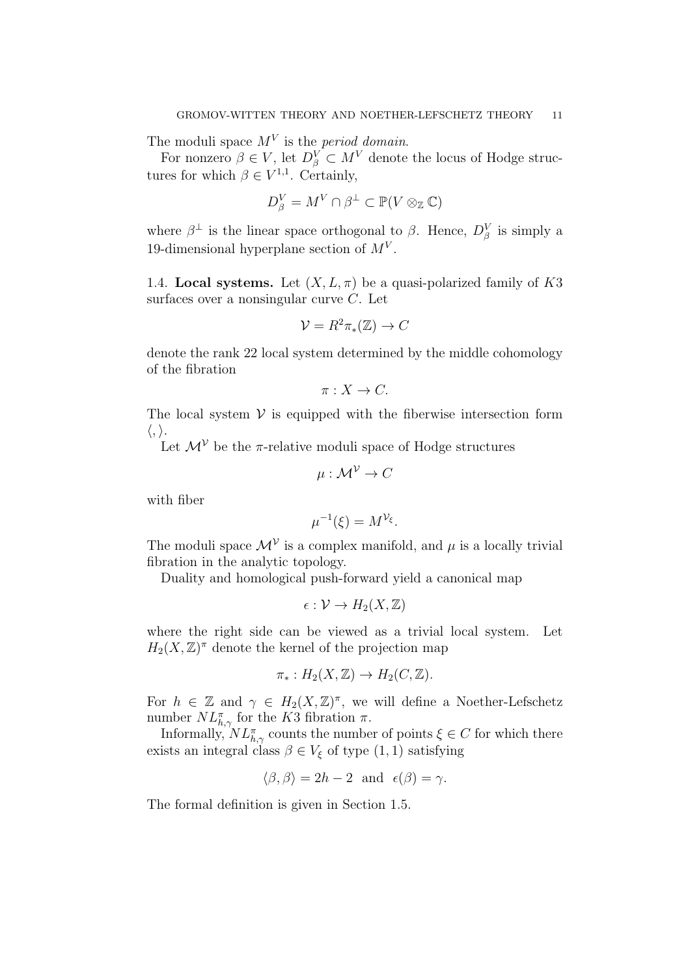The moduli space  $M<sup>V</sup>$  is the *period domain*.

For nonzero  $\beta \in V$ , let  $D_{\beta}^{V} \subset M^{V}$  denote the locus of Hodge structures for which  $\beta \in V^{1,1}$ . Certainly,

$$
D^V_\beta = M^V \cap \beta^\perp \subset \mathbb{P}(V \otimes_{\mathbb{Z}} \mathbb{C})
$$

where  $\beta^{\perp}$  is the linear space orthogonal to  $\beta$ . Hence,  $D_{\beta}^{V}$  is simply a 19-dimensional hyperplane section of  $M^V$ .

1.4. Local systems. Let  $(X, L, \pi)$  be a quasi-polarized family of K3 surfaces over a nonsingular curve C. Let

$$
\mathcal{V} = R^2 \pi_* (\mathbb{Z}) \to C
$$

denote the rank 22 local system determined by the middle cohomology of the fibration

$$
\pi: X \to C.
$$

The local system  $V$  is equipped with the fiberwise intersection form  $\langle , \rangle.$ 

Let  $\mathcal{M}^{\mathcal{V}}$  be the  $\pi$ -relative moduli space of Hodge structures

$$
\mu: \mathcal{M}^{\mathcal{V}} \to C
$$

with fiber

$$
\mu^{-1}(\xi) = M^{\mathcal{V}_{\xi}}.
$$

The moduli space  $\mathcal{M}^{\mathcal{V}}$  is a complex manifold, and  $\mu$  is a locally trivial fibration in the analytic topology.

Duality and homological push-forward yield a canonical map

$$
\epsilon: \mathcal{V} \to H_2(X,\mathbb{Z})
$$

where the right side can be viewed as a trivial local system. Let  $H_2(X,\mathbb{Z})^{\pi}$  denote the kernel of the projection map

$$
\pi_*: H_2(X, \mathbb{Z}) \to H_2(C, \mathbb{Z}).
$$

For  $h \in \mathbb{Z}$  and  $\gamma \in H_2(X, \mathbb{Z})^{\pi}$ , we will define a Noether-Lefschetz number  $NL^{\pi}_{h,\gamma}$  for the K3 fibration  $\pi$ .

Informally,  $NL^{\pi}_{h,\gamma}$  counts the number of points  $\xi \in C$  for which there exists an integral class  $\beta \in V_{\xi}$  of type  $(1, 1)$  satisfying

$$
\langle \beta, \beta \rangle = 2h - 2
$$
 and  $\epsilon(\beta) = \gamma$ .

The formal definition is given in Section 1.5.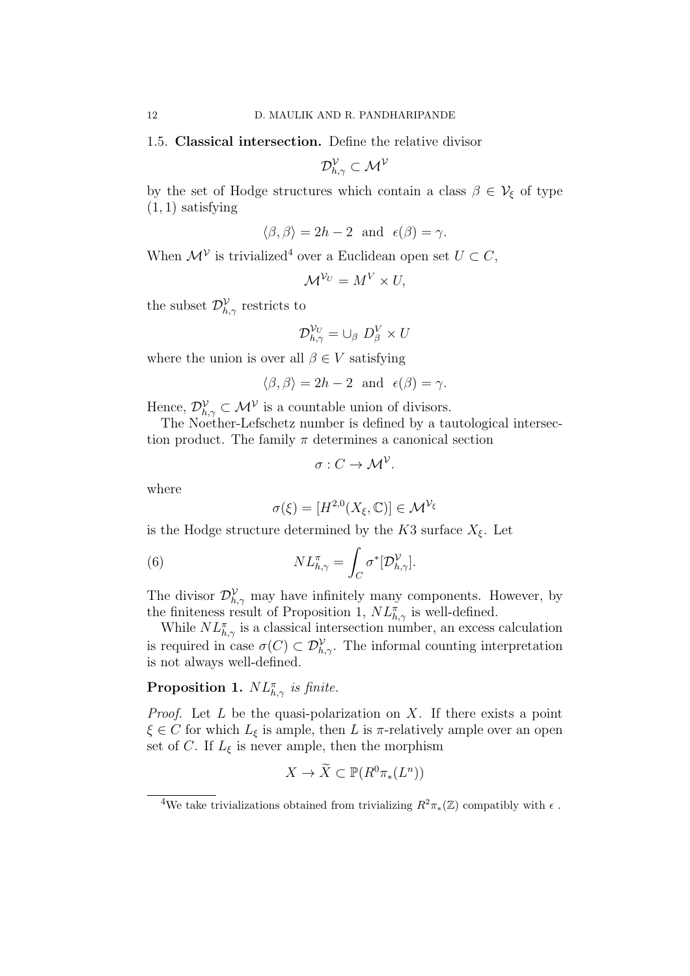1.5. Classical intersection. Define the relative divisor

$$
\mathcal{D}_{h,\gamma}^{\mathcal{V}}\subset \mathcal{M}^{\mathcal{V}}
$$

by the set of Hodge structures which contain a class  $\beta \in V_{\xi}$  of type  $(1, 1)$  satisfying

$$
\langle \beta, \beta \rangle = 2h - 2
$$
 and  $\epsilon(\beta) = \gamma$ .

When  $\mathcal{M}^{\mathcal{V}}$  is trivialized<sup>4</sup> over a Euclidean open set  $U \subset C$ ,

$$
\mathcal{M}^{\mathcal{V}_U}=M^V\times U,
$$

the subset  $\mathcal{D}_{h,\gamma}^{\mathcal{V}}$  restricts to

$$
\mathcal{D}_{h,\gamma}^{\mathcal{V}_U} = \cup_{\beta} D_{\beta}^V \times U
$$

where the union is over all  $\beta \in V$  satisfying

$$
\langle \beta, \beta \rangle = 2h - 2
$$
 and  $\epsilon(\beta) = \gamma$ .

Hence,  $\mathcal{D}_{h,\gamma}^{\mathcal{V}} \subset \mathcal{M}^{\mathcal{V}}$  is a countable union of divisors.

The Noether-Lefschetz number is defined by a tautological intersection product. The family  $\pi$  determines a canonical section

$$
\sigma: C \to \mathcal{M}^{\mathcal{V}}.
$$

where

$$
\sigma(\xi) = [H^{2,0}(X_{\xi}, \mathbb{C})] \in \mathcal{M}^{\mathcal{V}_{\xi}}
$$

is the Hodge structure determined by the K3 surface  $X_{\xi}$ . Let

(6) 
$$
NL_{h,\gamma}^{\pi} = \int_C \sigma^*[\mathcal{D}_{h,\gamma}^{\mathcal{V}}].
$$

The divisor  $\mathcal{D}_{h,\gamma}^{\mathcal{V}}$  may have infinitely many components. However, by the finiteness result of Proposition 1,  $NL^{\pi}_{h,\gamma}$  is well-defined.

While  $NL^{\pi}_{h,\gamma}$  is a classical intersection number, an excess calculation is required in case  $\sigma(C) \subset \mathcal{D}_{h,\gamma}^{\mathcal{V}}$ . The informal counting interpretation is not always well-defined.

# **Proposition 1.**  $NL^{\pi}_{h,\gamma}$  is finite.

*Proof.* Let  $L$  be the quasi-polarization on  $X$ . If there exists a point  $\xi \in C$  for which  $L_{\xi}$  is ample, then L is  $\pi$ -relatively ample over an open set of C. If  $L_{\xi}$  is never ample, then the morphism

$$
X \to \widetilde{X} \subset \mathbb{P}(R^0 \pi_*(L^n))
$$

<sup>&</sup>lt;sup>4</sup>We take trivializations obtained from trivializing  $R^2\pi_*(\mathbb{Z})$  compatibly with  $\epsilon$ .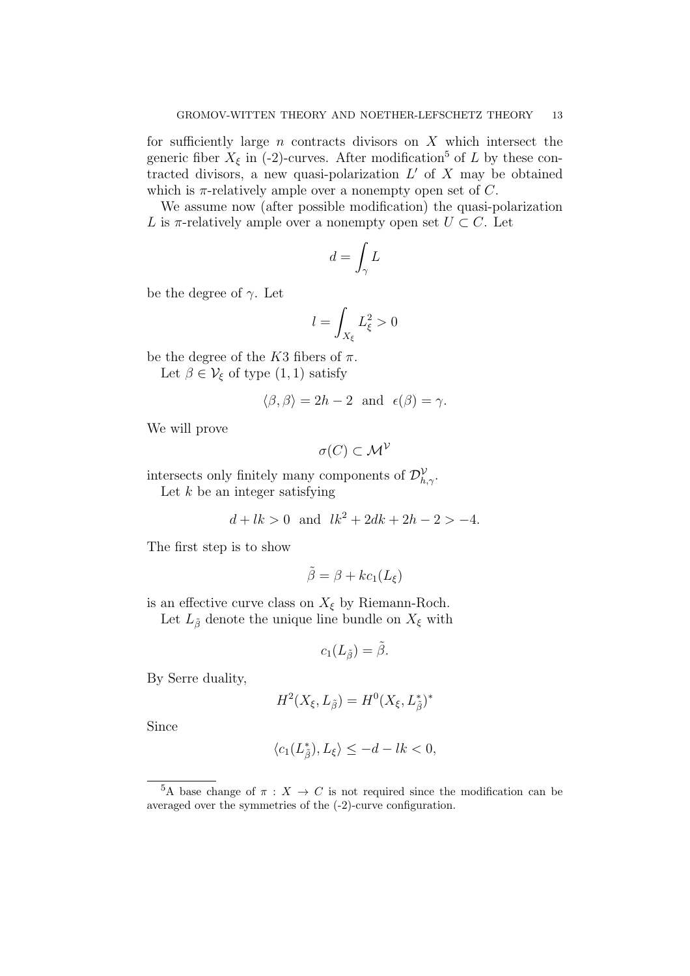for sufficiently large  $n$  contracts divisors on  $X$  which intersect the generic fiber  $X_{\xi}$  in (-2)-curves. After modification<sup>5</sup> of L by these contracted divisors, a new quasi-polarization  $L'$  of X may be obtained which is  $\pi$ -relatively ample over a nonempty open set of C.

We assume now (after possible modification) the quasi-polarization L is  $\pi$ -relatively ample over a nonempty open set  $U \subset C$ . Let

$$
d=\int_\gamma L
$$

be the degree of  $\gamma$ . Let

$$
l=\int_{X_\xi}L_\xi^2>0
$$

be the degree of the K3 fibers of  $\pi$ .

Let  $\beta \in \mathcal{V}_{\xi}$  of type  $(1,1)$  satisfy

$$
\langle \beta, \beta \rangle = 2h - 2
$$
 and  $\epsilon(\beta) = \gamma$ .

We will prove

$$
\sigma(C) \subset \mathcal{M}^{\mathcal{V}}
$$

intersects only finitely many components of  $\mathcal{D}_{h,\gamma}^{\mathcal{V}}$ .

Let  $k$  be an integer satisfying

$$
d + lk > 0 \text{ and } lk^2 + 2dk + 2h - 2 > -4.
$$

The first step is to show

$$
\tilde{\beta} = \beta + kc_1(L_{\xi})
$$

is an effective curve class on  $X_{\xi}$  by Riemann-Roch.

Let  $L_{\tilde{\beta}}$  denote the unique line bundle on  $X_{\xi}$  with

$$
c_1(L_{\tilde{\beta}})=\tilde{\beta}.
$$

By Serre duality,

$$
H^2(X_{\xi}, L_{\tilde{\beta}}) = H^0(X_{\xi}, L_{\tilde{\beta}}^*)^*
$$

Since

$$
\langle c_1(L_{\tilde{\beta}}^*), L_{\xi} \rangle \le -d - lk < 0,
$$

<sup>&</sup>lt;sup>5</sup>A base change of  $\pi$  :  $X \to C$  is not required since the modification can be averaged over the symmetries of the (-2)-curve configuration.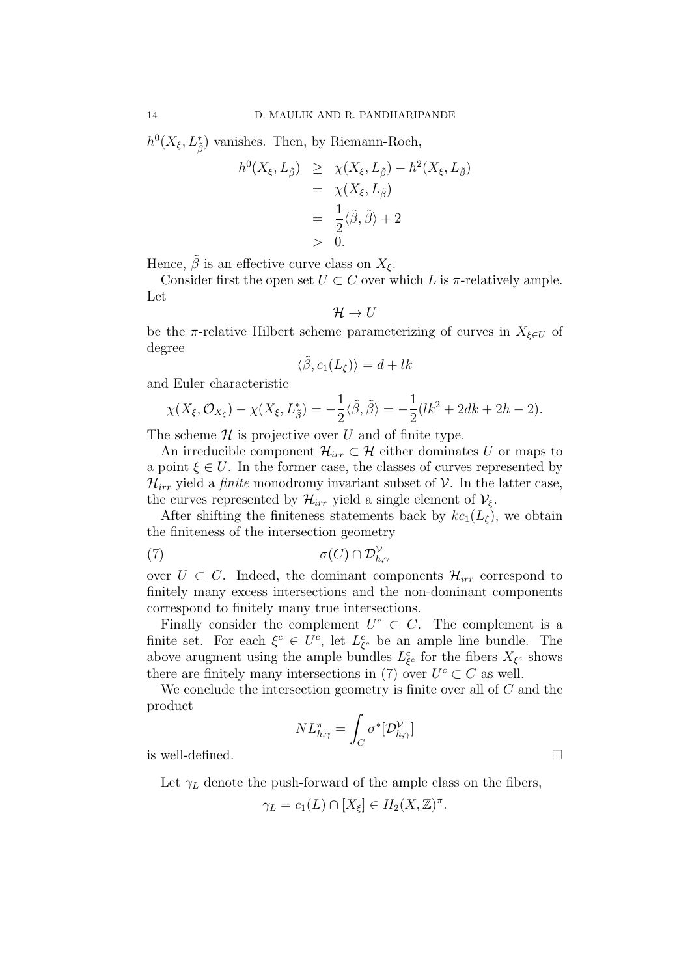$h^0(X_{\xi}, L^*_{\tilde{\beta}})$  vanishes. Then, by Riemann-Roch,

$$
h^{0}(X_{\xi}, L_{\tilde{\beta}}) \geq \chi(X_{\xi}, L_{\tilde{\beta}}) - h^{2}(X_{\xi}, L_{\tilde{\beta}})
$$
  
=  $\chi(X_{\xi}, L_{\tilde{\beta}})$   
=  $\frac{1}{2}\langle \tilde{\beta}, \tilde{\beta} \rangle + 2$   
> 0.

Hence,  $\beta$  is an effective curve class on  $X_{\xi}$ .

Consider first the open set  $U \subset C$  over which L is  $\pi$ -relatively ample. Let

$$
\mathcal{H} \to U
$$

be the π-relative Hilbert scheme parameterizing of curves in  $X_{\xi \in U}$  of degree

$$
\langle \tilde{\beta}, c_1(L_{\xi}) \rangle = d + lk
$$

and Euler characteristic

$$
\chi(X_{\xi}, \mathcal{O}_{X_{\xi}}) - \chi(X_{\xi}, L_{\tilde{\beta}}^*) = -\frac{1}{2}\langle \tilde{\beta}, \tilde{\beta} \rangle = -\frac{1}{2}(lk^2 + 2dk + 2h - 2).
$$

The scheme  $\mathcal H$  is projective over U and of finite type.

An irreducible component  $\mathcal{H}_{irr} \subset \mathcal{H}$  either dominates U or maps to a point  $\xi \in U$ . In the former case, the classes of curves represented by  $\mathcal{H}_{irr}$  yield a *finite* monodromy invariant subset of  $\mathcal{V}$ . In the latter case, the curves represented by  $\mathcal{H}_{irr}$  yield a single element of  $\mathcal{V}_{\xi}$ .

After shifting the finiteness statements back by  $kc_1(L_\xi)$ , we obtain the finiteness of the intersection geometry

$$
\sigma(C) \cap \mathcal{D}_{h,\gamma}^{\mathcal{V}}
$$

over  $U \subset C$ . Indeed, the dominant components  $\mathcal{H}_{irr}$  correspond to finitely many excess intersections and the non-dominant components correspond to finitely many true intersections.

Finally consider the complement  $U^c \subset C$ . The complement is a finite set. For each  $\xi^c \in U^c$ , let  $L^c_{\xi^c}$  be an ample line bundle. The above arugment using the ample bundles  $L_{\xi^c}^c$  for the fibers  $X_{\xi^c}$  shows there are finitely many intersections in (7) over  $U^c \subset C$  as well.

We conclude the intersection geometry is finite over all of  $C$  and the product

$$
NL^{\pi}_{h,\gamma} = \int_C \sigma^*[\mathcal{D}^{\mathcal{V}}_{h,\gamma}]
$$

is well-defined.

Let  $\gamma_L$  denote the push-forward of the ample class on the fibers,

$$
\gamma_L = c_1(L) \cap [X_{\xi}] \in H_2(X, \mathbb{Z})^{\pi}.
$$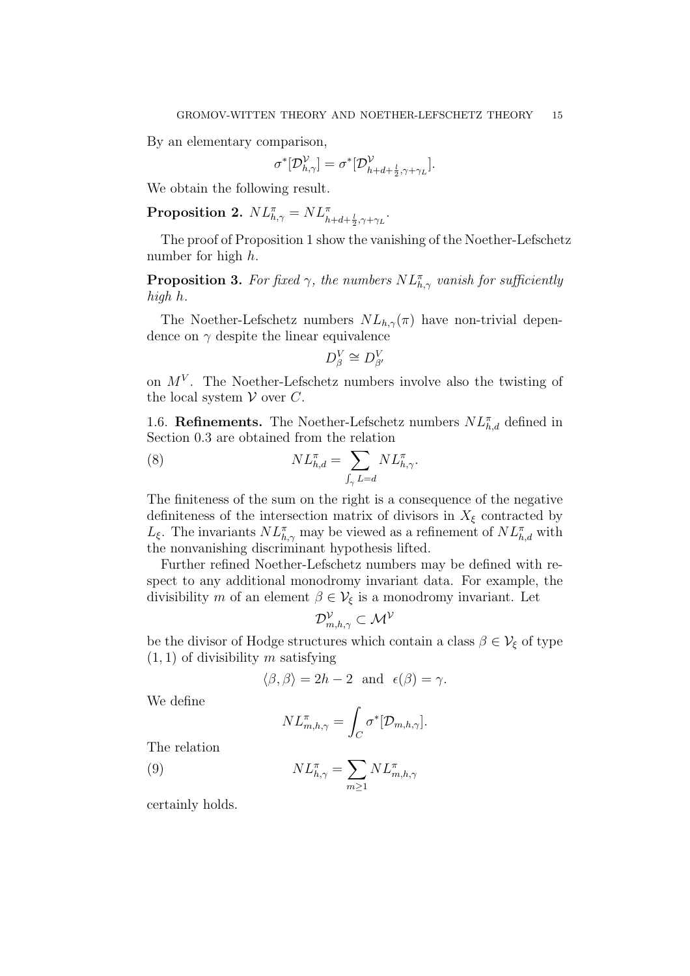By an elementary comparison,

$$
\sigma^*[{\mathcal D}_{h,\gamma}^{\mathcal V}] = \sigma^*[{\mathcal D}_{h+d+\frac{l}{2},\gamma+\gamma_L}^{\mathcal V}].
$$

We obtain the following result.

Proposition 2.  $NL^{\pi}_{h,\gamma} = NL^{\pi}_{h+d+\frac{l}{2},\gamma+\gamma_L}$ .

The proof of Proposition 1 show the vanishing of the Noether-Lefschetz number for high h.

**Proposition 3.** For fixed  $\gamma$ , the numbers  $NL^{\pi}_{h,\gamma}$  vanish for sufficiently high h.

The Noether-Lefschetz numbers  $NL_{h,\gamma}(\pi)$  have non-trivial dependence on  $\gamma$  despite the linear equivalence

$$
D^V_\beta \cong D^V_{\beta'}
$$

on  $M^V$ . The Noether-Lefschetz numbers involve also the twisting of the local system  $V$  over  $C$ .

1.6. **Refinements.** The Noether-Lefschetz numbers  $NL_{h,d}^{\pi}$  defined in Section 0.3 are obtained from the relation

(8) 
$$
NL_{h,d}^{\pi} = \sum_{\int_{\gamma} L = d} NL_{h,\gamma}^{\pi}.
$$

The finiteness of the sum on the right is a consequence of the negative definiteness of the intersection matrix of divisors in  $X_{\xi}$  contracted by  $L_{\xi}$ . The invariants  $NL^{\pi}_{h,\gamma}$  may be viewed as a refinement of  $NL^{\pi}_{h,d}$  with the nonvanishing discriminant hypothesis lifted.

Further refined Noether-Lefschetz numbers may be defined with respect to any additional monodromy invariant data. For example, the divisibility m of an element  $\beta \in V_{\xi}$  is a monodromy invariant. Let

$$
\mathcal{D}^{\mathcal{V}}_{m,h,\gamma} \subset \mathcal{M}^{\mathcal{V}}
$$

be the divisor of Hodge structures which contain a class  $\beta \in V_{\xi}$  of type  $(1, 1)$  of divisibility m satisfying

$$
\langle \beta, \beta \rangle = 2h - 2
$$
 and  $\epsilon(\beta) = \gamma$ .

We define

$$
NL^{\pi}_{m,h,\gamma} = \int_C \sigma^*[\mathcal{D}_{m,h,\gamma}].
$$

The relation

(9) 
$$
NL_{h,\gamma}^{\pi} = \sum_{m \ge 1} NL_{m,h,\gamma}^{\pi}
$$

certainly holds.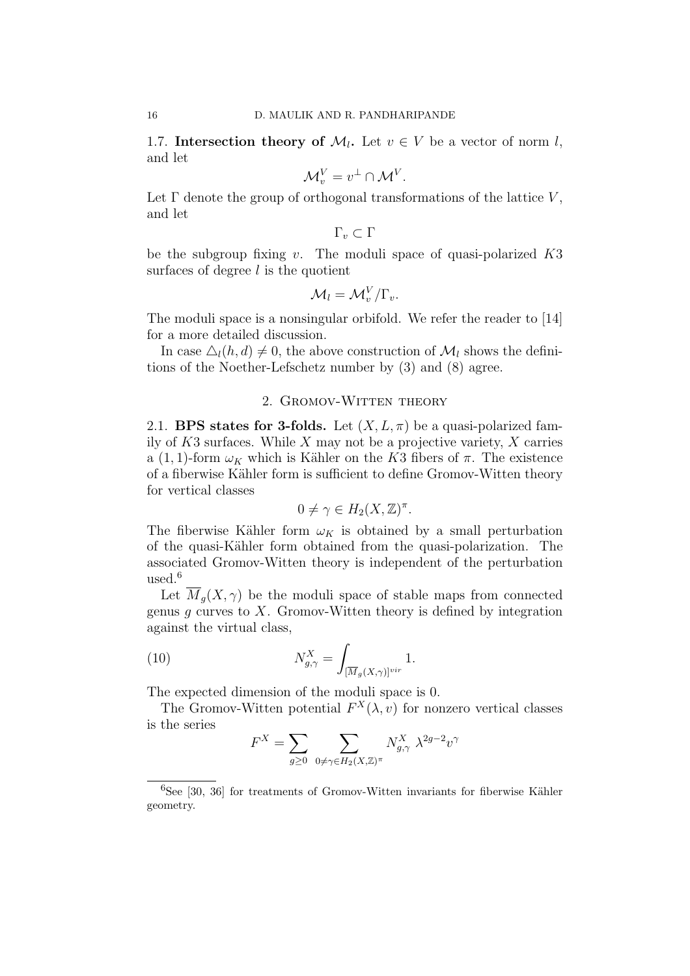1.7. Intersection theory of  $\mathcal{M}_l$ . Let  $v \in V$  be a vector of norm l, and let

$$
\mathcal{M}_v^V = v^\perp \cap \mathcal{M}^V.
$$

Let  $\Gamma$  denote the group of orthogonal transformations of the lattice  $V$ , and let

 $\Gamma_v \subset \Gamma$ 

be the subgroup fixing v. The moduli space of quasi-polarized  $K3$ surfaces of degree  $l$  is the quotient

$$
\mathcal{M}_l = \mathcal{M}_v^V / \Gamma_v.
$$

The moduli space is a nonsingular orbifold. We refer the reader to [14] for a more detailed discussion.

In case  $\Delta_l(h, d) \neq 0$ , the above construction of  $\mathcal{M}_l$  shows the definitions of the Noether-Lefschetz number by (3) and (8) agree.

#### 2. GROMOV-WITTEN THEORY

2.1. BPS states for 3-folds. Let  $(X, L, \pi)$  be a quasi-polarized family of  $K3$  surfaces. While X may not be a projective variety, X carries a (1, 1)-form  $\omega_K$  which is Kähler on the K3 fibers of  $\pi$ . The existence of a fiberwise Kähler form is sufficient to define Gromov-Witten theory for vertical classes

$$
0 \neq \gamma \in H_2(X, \mathbb{Z})^{\pi}.
$$

The fiberwise Kähler form  $\omega_K$  is obtained by a small perturbation of the quasi-K¨ahler form obtained from the quasi-polarization. The associated Gromov-Witten theory is independent of the perturbation used. $6$ 

Let  $\overline{M}_q(X,\gamma)$  be the moduli space of stable maps from connected genus  $g$  curves to  $X$ . Gromov-Witten theory is defined by integration against the virtual class,

(10) 
$$
N_{g,\gamma}^X = \int_{[\overline{M}_g(X,\gamma)]^{vir}} 1.
$$

The expected dimension of the moduli space is 0.

The Gromov-Witten potential  $F^X(\lambda, v)$  for nonzero vertical classes is the series

$$
F^X = \sum_{g\geq 0} \; \sum_{0 \neq \gamma \in H_2(X,\mathbb{Z})^\pi} N^X_{g,\gamma} \; \lambda^{2g-2} v^\gamma
$$

 ${}^{6}$ See [30, 36] for treatments of Gromov-Witten invariants for fiberwise Kähler geometry.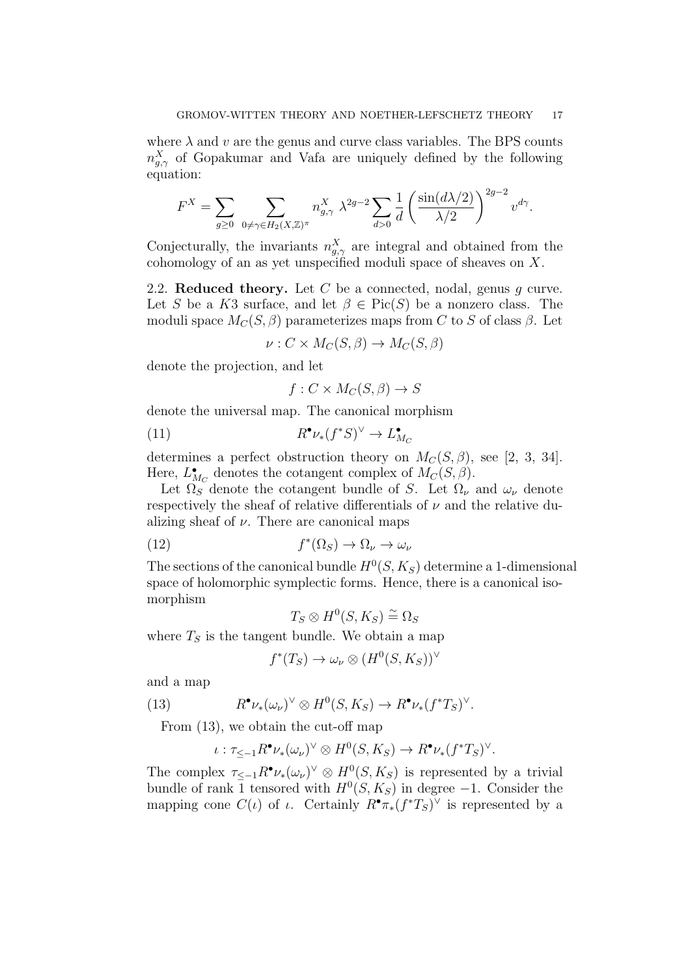where  $\lambda$  and v are the genus and curve class variables. The BPS counts  $n_{g,\gamma}^{X}$  of Gopakumar and Vafa are uniquely defined by the following equation:

$$
F^X = \sum_{g \ge 0} \sum_{0 \ne \gamma \in H_2(X, \mathbb{Z})^{\pi}} n_{g,\gamma}^X \ \lambda^{2g-2} \sum_{d>0} \frac{1}{d} \left( \frac{\sin(d\lambda/2)}{\lambda/2} \right)^{2g-2} v^{d\gamma}.
$$

Conjecturally, the invariants  $n_{g,\gamma}^X$  are integral and obtained from the cohomology of an as yet unspecified moduli space of sheaves on  $X$ .

2.2. Reduced theory. Let C be a connected, nodal, genus q curve. Let S be a K3 surface, and let  $\beta \in Pic(S)$  be a nonzero class. The moduli space  $M_C(S, \beta)$  parameterizes maps from C to S of class  $\beta$ . Let

$$
\nu: C \times M_C(S, \beta) \to M_C(S, \beta)
$$

denote the projection, and let

$$
f: C \times M_C(S, \beta) \to S
$$

denote the universal map. The canonical morphism

(11) 
$$
R^{\bullet} \nu_*(f^*S)^{\vee} \to L^{\bullet}_{M_C}
$$

determines a perfect obstruction theory on  $M_C(S, \beta)$ , see [2, 3, 34]. Here,  $L_{M_C}^{\bullet}$  denotes the cotangent complex of  $M_C(S, \beta)$ .

Let  $\Omega_S$  denote the cotangent bundle of S. Let  $\Omega_{\nu}$  and  $\omega_{\nu}$  denote respectively the sheaf of relative differentials of  $\nu$  and the relative dualizing sheaf of  $\nu$ . There are canonical maps

(12) 
$$
f^*(\Omega_S) \to \Omega_{\nu} \to \omega_{\nu}
$$

The sections of the canonical bundle  $H^0(S, K_S)$  determine a 1-dimensional space of holomorphic symplectic forms. Hence, there is a canonical isomorphism

$$
T_S\otimes H^0(S,K_S)\stackrel{\sim}{=}\Omega_S
$$

where  $T<sub>S</sub>$  is the tangent bundle. We obtain a map

$$
f^*(T_S) \to \omega_{\nu} \otimes (H^0(S, K_S))^{\vee}
$$

and a map

(13) 
$$
R^{\bullet} \nu_{*}(\omega_{\nu})^{\vee} \otimes H^{0}(S, K_{S}) \to R^{\bullet} \nu_{*}(f^{*}T_{S})^{\vee}.
$$

From (13), we obtain the cut-off map

$$
\iota : \tau_{\leq -1} R^{\bullet} \nu_{*}(\omega_{\nu})^{\vee} \otimes H^{0}(S, K_{S}) \to R^{\bullet} \nu_{*}(f^{*}T_{S})^{\vee}.
$$

The complex  $\tau_{\leq -1} R^{\bullet} \nu_{*}(\omega_{\nu})^{\vee} \otimes H^{0}(S, K_{S})$  is represented by a trivial bundle of rank 1 tensored with  $H^0(S, K_S)$  in degree -1. Consider the mapping cone  $C(\iota)$  of  $\iota$ . Certainly  $R^{\bullet} \pi_*(f^*T_S)^{\vee}$  is represented by a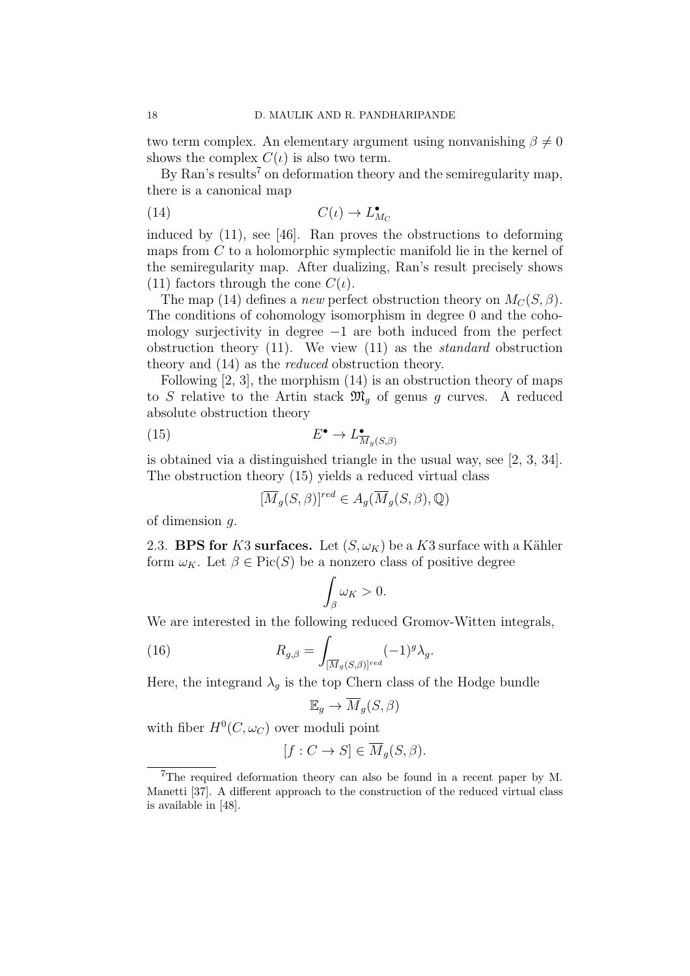two term complex. An elementary argument using nonvanishing  $\beta \neq 0$ shows the complex  $C(\iota)$  is also two term.

By Ran's results<sup>7</sup> on deformation theory and the semiregularity map, there is a canonical map

$$
(14) \tC(\iota) \to L_{M_C}^{\bullet}
$$

induced by (11), see [46]. Ran proves the obstructions to deforming maps from C to a holomorphic symplectic manifold lie in the kernel of the semiregularity map. After dualizing, Ran's result precisely shows (11) factors through the cone  $C(\iota)$ .

The map (14) defines a new perfect obstruction theory on  $M_C(S, \beta)$ . The conditions of cohomology isomorphism in degree 0 and the cohomology surjectivity in degree −1 are both induced from the perfect obstruction theory  $(11)$ . We view  $(11)$  as the *standard* obstruction theory and (14) as the reduced obstruction theory.

Following [2, 3], the morphism (14) is an obstruction theory of maps to S relative to the Artin stack  $\mathfrak{M}_g$  of genus g curves. A reduced absolute obstruction theory

(15) 
$$
E^{\bullet} \to L^{\bullet}_{\overline{M}_g(S,\beta)}
$$

is obtained via a distinguished triangle in the usual way, see [2, 3, 34]. The obstruction theory (15) yields a reduced virtual class

$$
[\overline{M}_g(S,\beta)]^{red} \in A_g(\overline{M}_g(S,\beta),\mathbb{Q})
$$

of dimension g.

2.3. BPS for K3 surfaces. Let  $(S, \omega_K)$  be a K3 surface with a Kähler form  $\omega_K$ . Let  $\beta \in Pic(S)$  be a nonzero class of positive degree

$$
\int_{\beta} \omega_K > 0.
$$

We are interested in the following reduced Gromov-Witten integrals,

(16) 
$$
R_{g,\beta} = \int_{[\overline{M}_g(S,\beta)]^{red}} (-1)^g \lambda_g.
$$

Here, the integrand  $\lambda_g$  is the top Chern class of the Hodge bundle

$$
\mathbb{E}_g \to \overline{M}_g(S, \beta)
$$

with fiber  $H^0(C, \omega_C)$  over moduli point

$$
[f: C \to S] \in \overline{M}_g(S, \beta).
$$

<sup>7</sup>The required deformation theory can also be found in a recent paper by M. Manetti [37]. A different approach to the construction of the reduced virtual class is available in [48].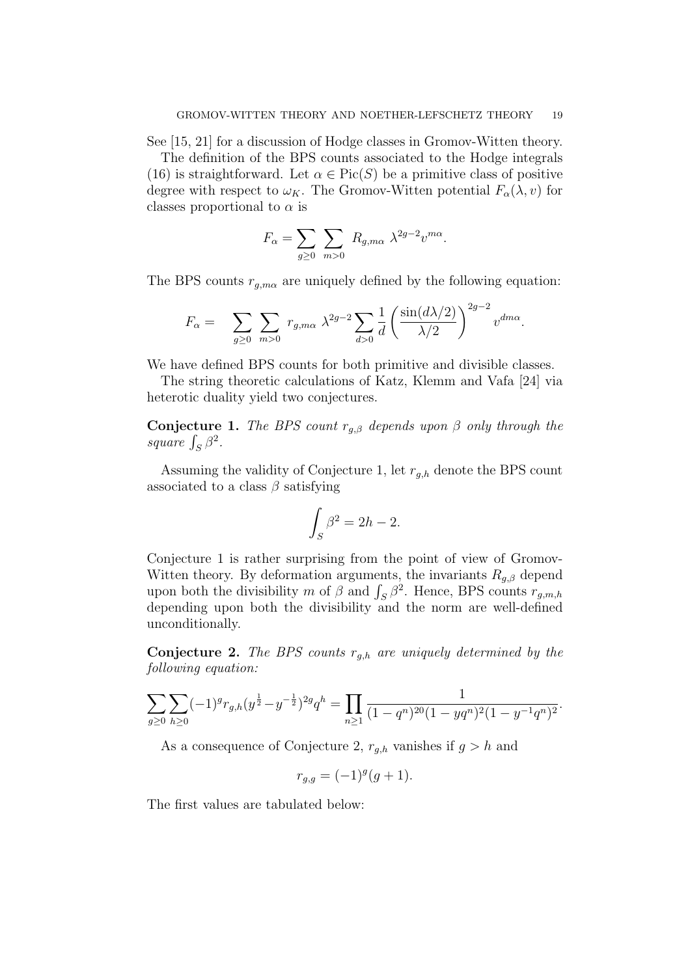See [15, 21] for a discussion of Hodge classes in Gromov-Witten theory.

The definition of the BPS counts associated to the Hodge integrals (16) is straightforward. Let  $\alpha \in Pic(S)$  be a primitive class of positive degree with respect to  $\omega_K$ . The Gromov-Witten potential  $F_\alpha(\lambda, v)$  for classes proportional to  $\alpha$  is

$$
F_{\alpha} = \sum_{g \ge 0} \sum_{m > 0} R_{g,m\alpha} \lambda^{2g-2} v^{m\alpha}.
$$

The BPS counts  $r_{g,m\alpha}$  are uniquely defined by the following equation:

$$
F_{\alpha} = \sum_{g\geq 0} \sum_{m>0} r_{g,m\alpha} \ \lambda^{2g-2} \sum_{d>0} \frac{1}{d} \left( \frac{\sin(d\lambda/2)}{\lambda/2} \right)^{2g-2} v^{dm\alpha}.
$$

We have defined BPS counts for both primitive and divisible classes.

The string theoretic calculations of Katz, Klemm and Vafa [24] via heterotic duality yield two conjectures.

**Conjecture 1.** The BPS count  $r_{q,\beta}$  depends upon  $\beta$  only through the square  $\int_S \beta^2$ .

Assuming the validity of Conjecture 1, let  $r_{g,h}$  denote the BPS count associated to a class  $\beta$  satisfying

$$
\int_{S} \beta^2 = 2h - 2.
$$

Conjecture 1 is rather surprising from the point of view of Gromov-Witten theory. By deformation arguments, the invariants  $R_{g,\beta}$  depend upon both the divisibility m of  $\beta$  and  $\int_S \beta^2$ . Hence, BPS counts  $r_{g,m,h}$ depending upon both the divisibility and the norm are well-defined unconditionally.

**Conjecture 2.** The BPS counts  $r_{a,h}$  are uniquely determined by the following equation:

$$
\sum_{g\geq 0}\sum_{h\geq 0}(-1)^g r_{g,h}(y^{\frac{1}{2}}-y^{-\frac{1}{2}})^{2g}q^h=\prod_{n\geq 1}\frac{1}{(1-q^n)^{20}(1-yq^n)^2(1-y^{-1}q^n)^2}.
$$

As a consequence of Conjecture 2,  $r_{q,h}$  vanishes if  $q > h$  and

$$
r_{g,g} = (-1)^g (g+1).
$$

The first values are tabulated below: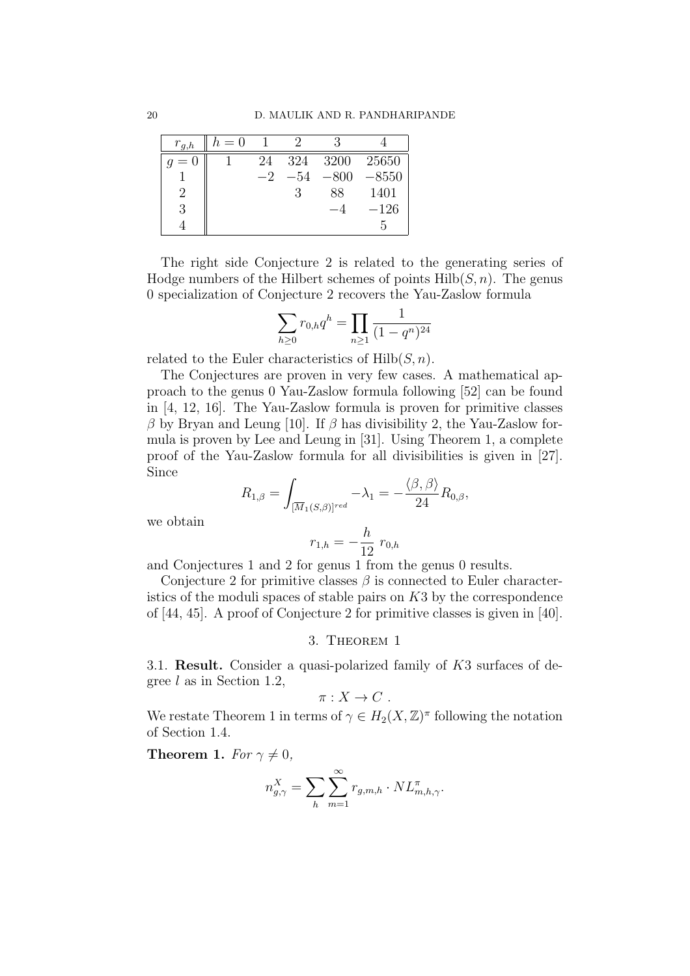| $r_{g,h}$ | $h=0$ |      |     |      |         |
|-----------|-------|------|-----|------|---------|
| $= 0$     |       | 24   | 324 | 3200 | 25650   |
|           |       | $-2$ | —54 | 800  | $-8550$ |
|           |       |      |     | 88   | 1401    |
| 3         |       |      |     |      | $-126$  |
|           |       |      |     |      | h.      |

The right side Conjecture 2 is related to the generating series of Hodge numbers of the Hilbert schemes of points  $Hilb(S, n)$ . The genus 0 specialization of Conjecture 2 recovers the Yau-Zaslow formula

$$
\sum_{h\geq 0} r_{0,h} q^h = \prod_{n\geq 1} \frac{1}{(1-q^n)^{24}}
$$

related to the Euler characteristics of  $Hilb(S, n)$ .

The Conjectures are proven in very few cases. A mathematical approach to the genus 0 Yau-Zaslow formula following [52] can be found in [4, 12, 16]. The Yau-Zaslow formula is proven for primitive classes  $β$  by Bryan and Leung [10]. If  $β$  has divisibility 2, the Yau-Zaslow formula is proven by Lee and Leung in [31]. Using Theorem 1, a complete proof of the Yau-Zaslow formula for all divisibilities is given in [27]. Since

$$
R_{1,\beta} = \int_{[\overline{M}_1(S,\beta)]^{red}} -\lambda_1 = -\frac{\langle \beta, \beta \rangle}{24} R_{0,\beta},
$$

we obtain

$$
r_{1,h} = -\frac{h}{12} r_{0,h}
$$

and Conjectures 1 and 2 for genus 1 from the genus 0 results.

Conjecture 2 for primitive classes  $\beta$  is connected to Euler characteristics of the moduli spaces of stable pairs on K3 by the correspondence of [44, 45]. A proof of Conjecture 2 for primitive classes is given in [40].

#### 3. Theorem 1

3.1. Result. Consider a quasi-polarized family of K3 surfaces of degree  $l$  as in Section 1.2,

$$
\pi: X \to C .
$$

We restate Theorem 1 in terms of  $\gamma \in H_2(X, \mathbb{Z})^{\pi}$  following the notation of Section 1.4.

Theorem 1. For  $\gamma \neq 0$ ,

$$
n_{g,\gamma}^X = \sum_h \sum_{m=1}^{\infty} r_{g,m,h} \cdot NL_{m,h,\gamma}^{\pi}.
$$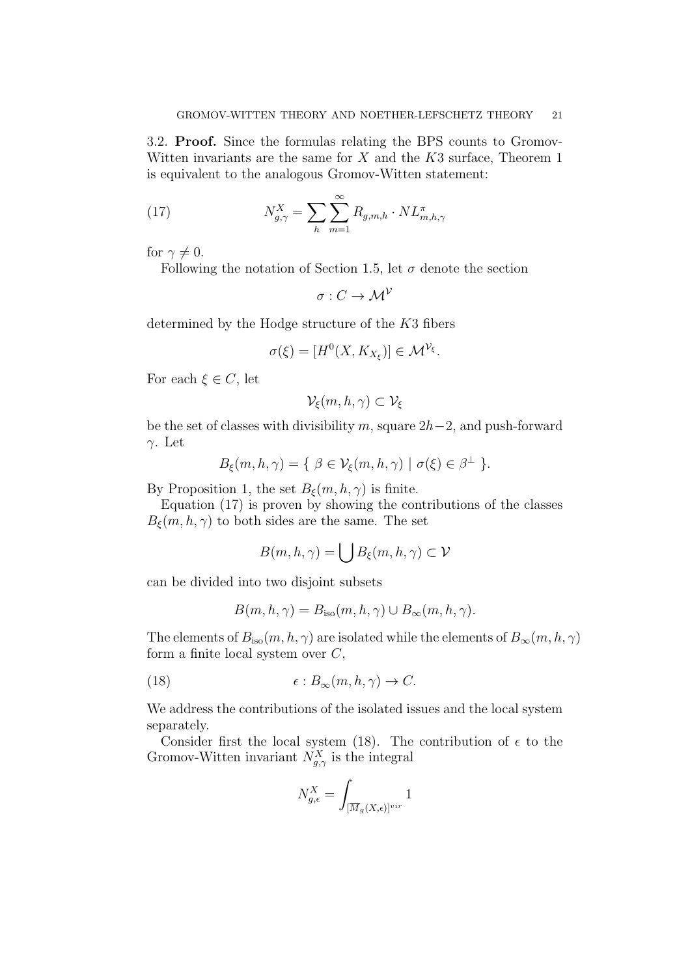3.2. Proof. Since the formulas relating the BPS counts to Gromov-Witten invariants are the same for  $X$  and the  $K3$  surface, Theorem 1 is equivalent to the analogous Gromov-Witten statement:

(17) 
$$
N_{g,\gamma}^X = \sum_h \sum_{m=1}^{\infty} R_{g,m,h} \cdot NL_{m,h,\gamma}^{\pi}
$$

for  $\gamma \neq 0$ .

Following the notation of Section 1.5, let  $\sigma$  denote the section

 $\sigma: C \to \mathcal{M}^{\mathcal{V}}$ 

determined by the Hodge structure of the K3 fibers

$$
\sigma(\xi) = [H^0(X, K_{X_{\xi}})] \in \mathcal{M}^{\mathcal{V}_{\xi}}.
$$

For each  $\xi \in C$ , let

$$
\mathcal{V}_\xi(m,h,\gamma)\subset \mathcal{V}_\xi
$$

be the set of classes with divisibility m, square  $2h-2$ , and push-forward γ. Let

$$
B_{\xi}(m, h, \gamma) = \{ \beta \in \mathcal{V}_{\xi}(m, h, \gamma) \mid \sigma(\xi) \in \beta^{\perp} \}.
$$

By Proposition 1, the set  $B_{\xi}(m, h, \gamma)$  is finite.

Equation (17) is proven by showing the contributions of the classes  $B_{\xi}(m, h, \gamma)$  to both sides are the same. The set

$$
B(m,h,\gamma)=\bigcup B_\xi(m,h,\gamma)\subset \mathcal{V}
$$

can be divided into two disjoint subsets

$$
B(m, h, \gamma) = B_{\text{iso}}(m, h, \gamma) \cup B_{\infty}(m, h, \gamma).
$$

The elements of  $B_{\text{iso}}(m, h, \gamma)$  are isolated while the elements of  $B_{\infty}(m, h, \gamma)$ form a finite local system over  $C$ ,

(18) 
$$
\epsilon: B_{\infty}(m, h, \gamma) \to C.
$$

We address the contributions of the isolated issues and the local system separately.

Consider first the local system (18). The contribution of  $\epsilon$  to the Gromov-Witten invariant  $N_{g,\gamma}^X$  is the integral

$$
N_{g,\epsilon}^X = \int_{[\overline{M}_g(X,\epsilon)]^{vir}} 1
$$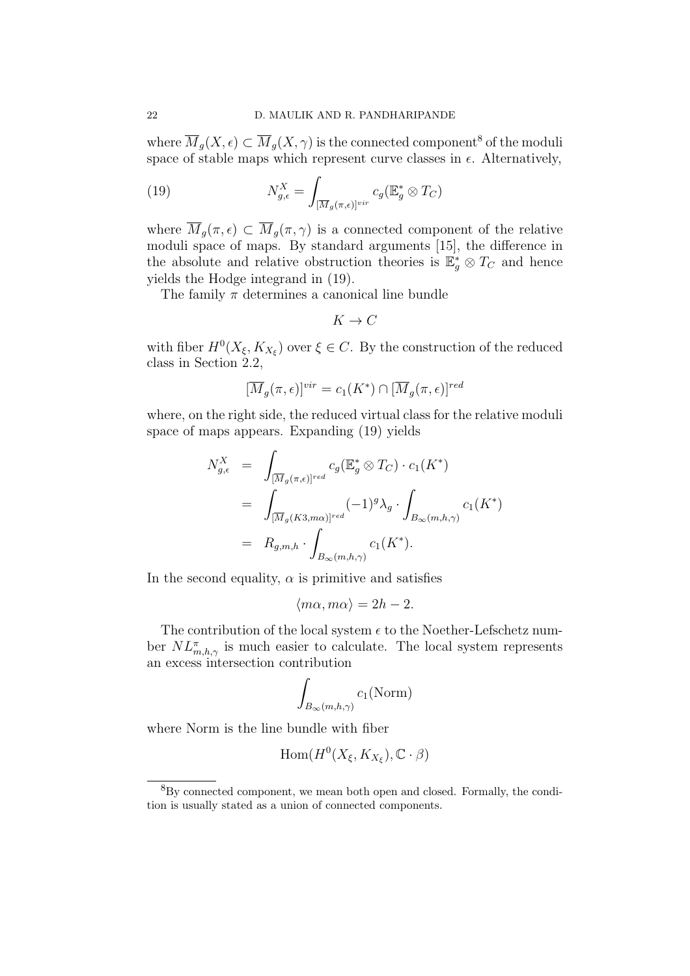where  $\overline{M}_g(X, \epsilon) \subset \overline{M}_g(X, \gamma)$  is the connected component<sup>8</sup> of the moduli space of stable maps which represent curve classes in  $\epsilon$ . Alternatively,

(19) 
$$
N_{g,\epsilon}^X = \int_{[\overline{M}_g(\pi,\epsilon)]^{vir}} c_g(\mathbb{E}_g^* \otimes T_C)
$$

where  $\overline{M}_g(\pi,\epsilon) \subset \overline{M}_g(\pi,\gamma)$  is a connected component of the relative moduli space of maps. By standard arguments [15], the difference in the absolute and relative obstruction theories is  $\mathbb{E}_g^* \otimes T_C$  and hence yields the Hodge integrand in (19).

The family  $\pi$  determines a canonical line bundle

$$
K\to C
$$

with fiber  $H^0(X_{\xi}, K_{X_{\xi}})$  over  $\xi \in C$ . By the construction of the reduced class in Section 2.2,

$$
[\overline{M}_g(\pi,\epsilon)]^{vir} = c_1(K^*) \cap [\overline{M}_g(\pi,\epsilon)]^{red}
$$

where, on the right side, the reduced virtual class for the relative moduli space of maps appears. Expanding (19) yields

$$
N_{g,\epsilon}^X = \int_{[\overline{M}_g(\pi,\epsilon)]^{red}} c_g(\mathbb{E}_g^* \otimes T_C) \cdot c_1(K^*)
$$
  
= 
$$
\int_{[\overline{M}_g(K3,m\alpha)]^{red}} (-1)^g \lambda_g \cdot \int_{B_{\infty}(m,h,\gamma)} c_1(K^*)
$$
  
= 
$$
R_{g,m,h} \cdot \int_{B_{\infty}(m,h,\gamma)} c_1(K^*).
$$

In the second equality,  $\alpha$  is primitive and satisfies

$$
\langle m\alpha, m\alpha \rangle = 2h - 2.
$$

The contribution of the local system  $\epsilon$  to the Noether-Lefschetz number  $NL^{\pi}_{m,h,\gamma}$  is much easier to calculate. The local system represents an excess intersection contribution

$$
\int_{B_{\infty}(m,h,\gamma)} c_1(\textrm{Norm})
$$

where Norm is the line bundle with fiber

$$
\mathrm{Hom}(H^0(X_{\xi},K_{X_{\xi}}),\mathbb{C}\cdot\beta)
$$

<sup>8</sup>By connected component, we mean both open and closed. Formally, the condition is usually stated as a union of connected components.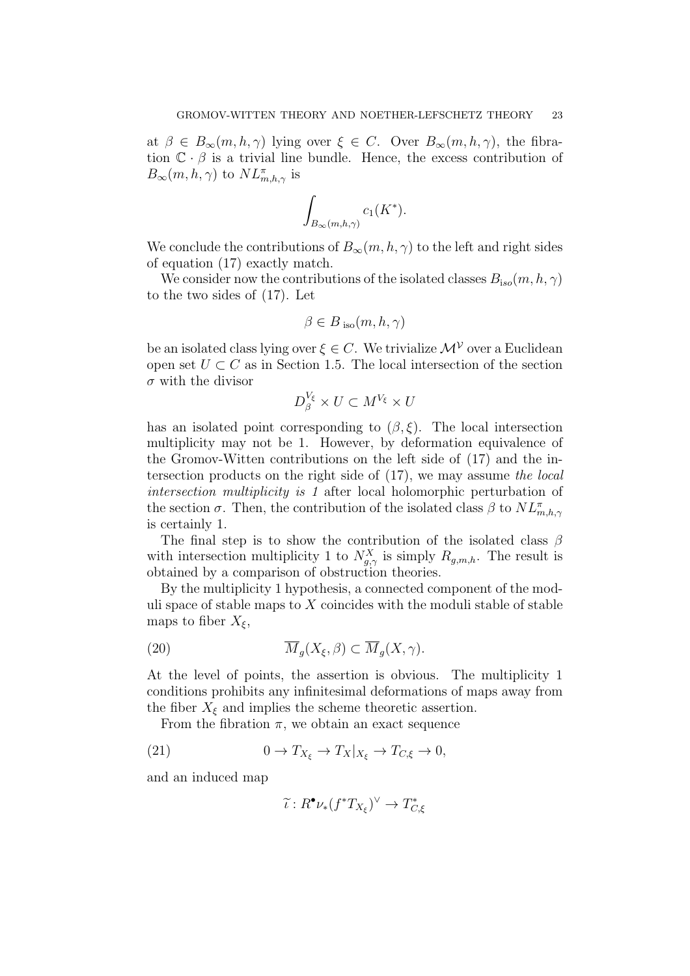at  $\beta \in B_{\infty}(m, h, \gamma)$  lying over  $\xi \in C$ . Over  $B_{\infty}(m, h, \gamma)$ , the fibration  $\mathbb{C} \cdot \beta$  is a trivial line bundle. Hence, the excess contribution of  $B_{\infty}(m, h, \gamma)$  to  $NL^{\pi}_{m, h, \gamma}$  is

$$
\int_{B_{\infty}(m,h,\gamma)} c_1(K^*).
$$

We conclude the contributions of  $B_{\infty}(m, h, \gamma)$  to the left and right sides of equation (17) exactly match.

We consider now the contributions of the isolated classes  $B_{iso}(m, h, \gamma)$ to the two sides of (17). Let

$$
\beta \in B_{\text{ iso}}(m, h, \gamma)
$$

be an isolated class lying over  $\xi \in C$ . We trivialize  $\mathcal{M}^{\mathcal{V}}$  over a Euclidean open set  $U \subset C$  as in Section 1.5. The local intersection of the section  $\sigma$  with the divisor

$$
D_{\beta}^{V_{\xi}} \times U \subset M^{V_{\xi}} \times U
$$

has an isolated point corresponding to  $(\beta, \xi)$ . The local intersection multiplicity may not be 1. However, by deformation equivalence of the Gromov-Witten contributions on the left side of (17) and the intersection products on the right side of (17), we may assume the local intersection multiplicity is 1 after local holomorphic perturbation of the section  $\sigma$ . Then, the contribution of the isolated class  $\beta$  to  $NL^{\pi}_{m,h,\gamma}$ is certainly 1.

The final step is to show the contribution of the isolated class  $\beta$ with intersection multiplicity 1 to  $N_{g,\gamma}^X$  is simply  $R_{g,m,h}$ . The result is obtained by a comparison of obstruction theories.

By the multiplicity 1 hypothesis, a connected component of the moduli space of stable maps to  $X$  coincides with the moduli stable of stable maps to fiber  $X_{\xi}$ ,

(20) 
$$
\overline{M}_g(X_\xi, \beta) \subset \overline{M}_g(X, \gamma).
$$

At the level of points, the assertion is obvious. The multiplicity 1 conditions prohibits any infinitesimal deformations of maps away from the fiber  $X_{\xi}$  and implies the scheme theoretic assertion.

From the fibration  $\pi$ , we obtain an exact sequence

(21) 
$$
0 \to T_{X_{\xi}} \to T_X|_{X_{\xi}} \to T_{C,\xi} \to 0,
$$

and an induced map

$$
\widetilde{\iota}: R^{\bullet} \nu_*(f^*T_{X_{\xi}})^{\vee} \to T_{C, \xi}^*
$$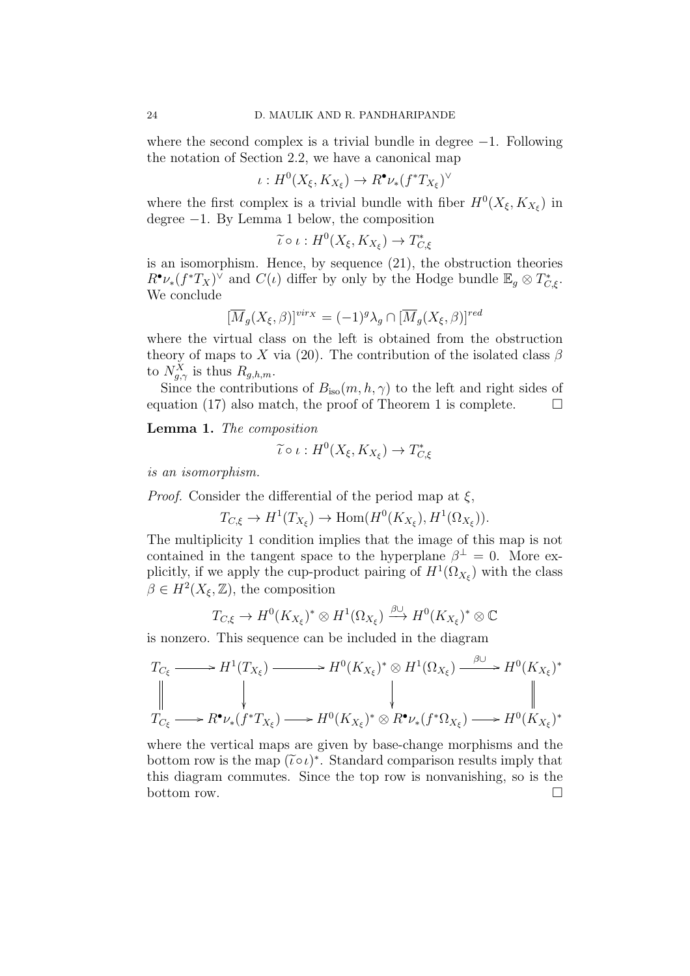where the second complex is a trivial bundle in degree  $-1$ . Following the notation of Section 2.2, we have a canonical map

$$
\iota: H^0(X_{\xi}, K_{X_{\xi}}) \to R^{\bullet} \nu_{*}(f^{*}T_{X_{\xi}})^{\vee}
$$

where the first complex is a trivial bundle with fiber  $H^0(X_\xi, K_{X_\xi})$  in degree −1. By Lemma 1 below, the composition

$$
\widetilde{\iota} \circ \iota : H^0(X_{\xi}, K_{X_{\xi}}) \to T_{C, \xi}^*
$$

is an isomorphism. Hence, by sequence (21), the obstruction theories  $R^{\bullet}\nu_*(f^*T_X)^{\vee}$  and  $C(\iota)$  differ by only by the Hodge bundle  $\mathbb{E}_g \otimes T^*_{C,\xi}$ . We conclude

$$
[\overline{M}_g(X_{\xi}, \beta)]^{vir_X} = (-1)^g \lambda_g \cap [\overline{M}_g(X_{\xi}, \beta)]^{red}
$$

where the virtual class on the left is obtained from the obstruction theory of maps to X via (20). The contribution of the isolated class  $\beta$ to  $N_{g,\gamma}^X$  is thus  $R_{g,h,m}$ .

Since the contributions of  $B_{\text{iso}}(m, h, \gamma)$  to the left and right sides of equation (17) also match, the proof of Theorem 1 is complete.  $\Box$ 

Lemma 1. The composition

$$
\widetilde{\iota} \circ \iota : H^0(X_{\xi}, K_{X_{\xi}}) \to T_{C, \xi}^*
$$

is an isomorphism.

*Proof.* Consider the differential of the period map at  $\xi$ ,

$$
T_{C,\xi} \to H^1(T_{X_{\xi}}) \to \text{Hom}(H^0(K_{X_{\xi}}), H^1(\Omega_{X_{\xi}})).
$$

The multiplicity 1 condition implies that the image of this map is not contained in the tangent space to the hyperplane  $\beta^{\perp} = 0$ . More explicitly, if we apply the cup-product pairing of  $H^1(\Omega_{X_\xi})$  with the class  $\beta \in H^2(X_{\xi}, \mathbb{Z})$ , the composition

$$
T_{C,\xi} \to H^0(K_{X_{\xi}})^* \otimes H^1(\Omega_{X_{\xi}}) \xrightarrow{\beta \cup} H^0(K_{X_{\xi}})^* \otimes \mathbb{C}
$$

is nonzero. This sequence can be included in the diagram

$$
T_{C_{\xi}} \longrightarrow H^{1}(T_{X_{\xi}}) \longrightarrow H^{0}(K_{X_{\xi}})^{*} \otimes H^{1}(\Omega_{X_{\xi}}) \xrightarrow{\beta \cup} H^{0}(K_{X_{\xi}})^{*}
$$
  
\n
$$
\parallel \qquad \qquad \downarrow \qquad \qquad \downarrow \qquad \qquad \parallel
$$
  
\n
$$
T_{C_{\xi}} \longrightarrow R^{\bullet} \nu_{*}(f^{*}T_{X_{\xi}}) \longrightarrow H^{0}(K_{X_{\xi}})^{*} \otimes R^{\bullet} \nu_{*}(f^{*}\Omega_{X_{\xi}}) \longrightarrow H^{0}(K_{X_{\xi}})^{*}
$$

where the vertical maps are given by base-change morphisms and the bottom row is the map  $(\tilde{\iota} \circ \iota)^*$ . Standard comparison results imply that this diagram commutes. Since the top row is nonvanishing, so is the bottom row.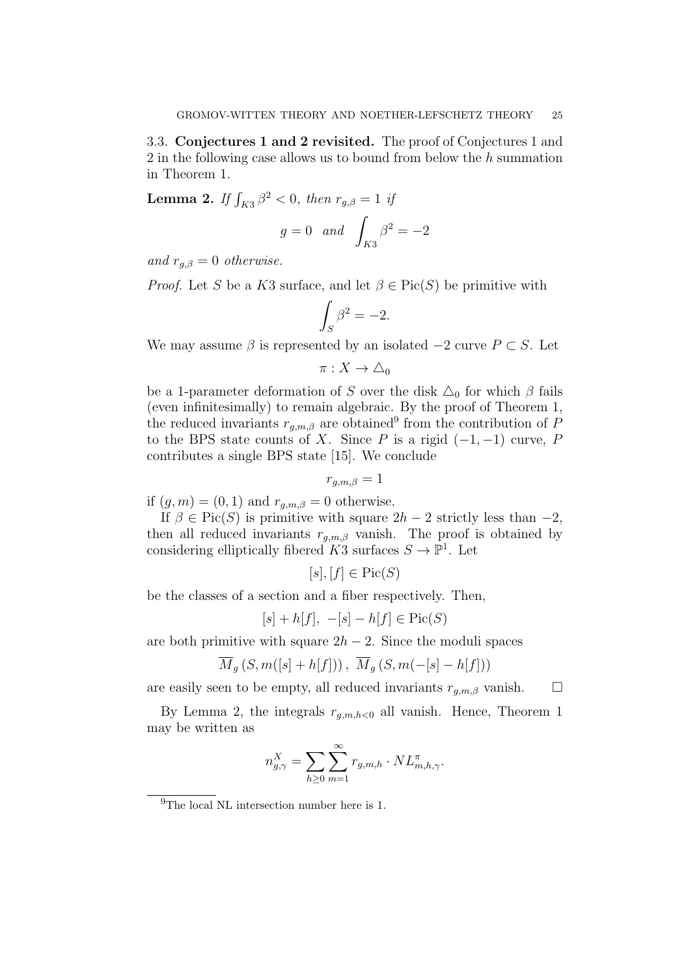3.3. Conjectures 1 and 2 revisited. The proof of Conjectures 1 and 2 in the following case allows us to bound from below the h summation in Theorem 1.

**Lemma 2.** If  $\int_{K3} \beta^2 < 0$ , then  $r_{g,\beta} = 1$  if

$$
g = 0 \quad and \quad \int_{K3} \beta^2 = -2
$$

and  $r_{q,\beta}=0$  otherwise.

*Proof.* Let S be a K3 surface, and let  $\beta \in Pic(S)$  be primitive with

$$
\int_{S} \beta^2 = -2.
$$

We may assume  $\beta$  is represented by an isolated  $-2$  curve  $P \subset S$ . Let

$$
\pi:X\to\triangle_0
$$

be a 1-parameter deformation of S over the disk  $\Delta_0$  for which  $\beta$  fails (even infinitesimally) to remain algebraic. By the proof of Theorem 1, the reduced invariants  $r_{g,m,\beta}$  are obtained<sup>9</sup> from the contribution of P to the BPS state counts of X. Since P is a rigid  $(-1, -1)$  curve, P contributes a single BPS state [15]. We conclude

$$
r_{g,m,\beta}=1
$$

if  $(g, m) = (0, 1)$  and  $r_{g,m,\beta} = 0$  otherwise.

If  $\beta \in Pic(S)$  is primitive with square  $2h - 2$  strictly less than  $-2$ , then all reduced invariants  $r_{q,m,\beta}$  vanish. The proof is obtained by considering elliptically fibered  $K3$  surfaces  $S \to \mathbb{P}^1$ . Let

$$
[s], [f] \in \text{Pic}(S)
$$

be the classes of a section and a fiber respectively. Then,

$$
[s] + h[f], -[s] - h[f] \in Pic(S)
$$

are both primitive with square  $2h - 2$ . Since the moduli spaces

$$
\overline{M}_g(S, m([s]+h[f])) , \overline{M}_g(S, m(-[s]-h[f]))
$$

are easily seen to be empty, all reduced invariants  $r_{q,m,\beta}$  vanish.  $\square$ 

By Lemma 2, the integrals  $r_{q,m,h<0}$  all vanish. Hence, Theorem 1 may be written as

$$
n_{g,\gamma}^X = \sum_{h\geq 0} \sum_{m=1}^{\infty} r_{g,m,h} \cdot NL_{m,h,\gamma}^{\pi}.
$$

<sup>&</sup>lt;sup>9</sup>The local NL intersection number here is 1.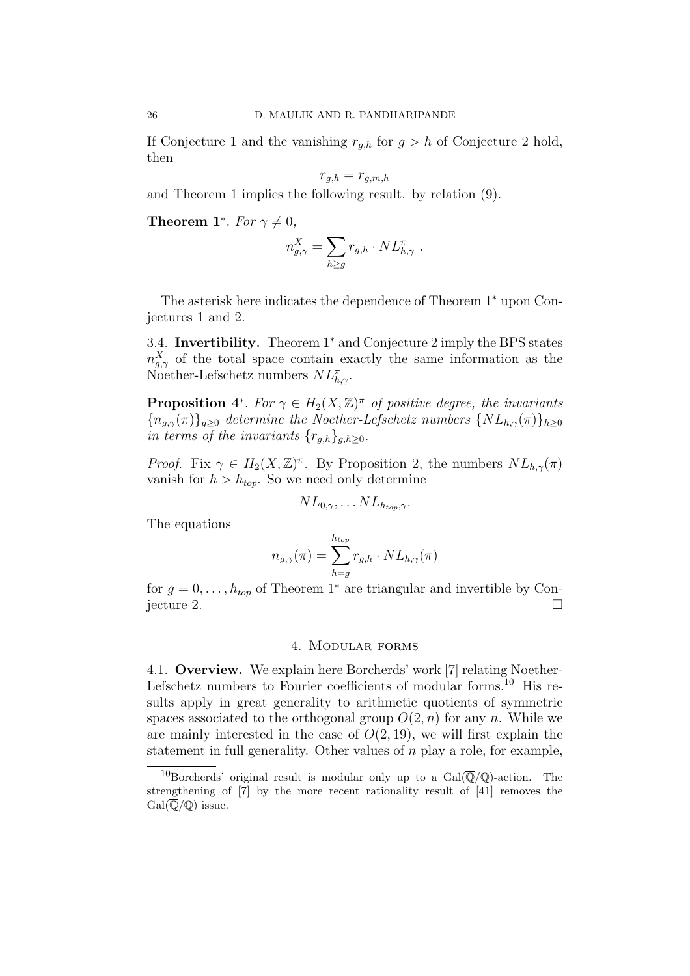If Conjecture 1 and the vanishing  $r_{g,h}$  for  $g > h$  of Conjecture 2 hold, then

$$
r_{g,h} = r_{g,m,h}
$$

and Theorem 1 implies the following result. by relation (9).

**Theorem 1<sup>\*</sup>**. For  $\gamma \neq 0$ ,

$$
n_{g,\gamma}^X = \sum_{h\geq g} r_{g,h} \cdot NL_{h,\gamma}^{\pi} \ .
$$

The asterisk here indicates the dependence of Theorem 1<sup>∗</sup> upon Conjectures 1 and 2.

3.4. Invertibility. Theorem 1<sup>∗</sup> and Conjecture 2 imply the BPS states  $n_{g,\gamma}^{X}$  of the total space contain exactly the same information as the Noether-Lefschetz numbers  $NL^{\pi}_{h,\gamma}$ .

**Proposition** 4<sup>\*</sup>. For  $\gamma \in H_2(X, \mathbb{Z})^{\pi}$  of positive degree, the invariants  ${n_{q,\gamma}(\pi)}_{q>0}$  determine the Noether-Lefschetz numbers  $\{NL_{h,\gamma}(\pi)\}_{h\geq0}$ in terms of the invariants  $\{r_{g,h}\}_{g,h\geq 0}$ .

*Proof.* Fix  $\gamma \in H_2(X,\mathbb{Z})^{\pi}$ . By Proposition 2, the numbers  $NL_{h,\gamma}(\pi)$ vanish for  $h > h_{top}$ . So we need only determine

$$
NL_{0,\gamma}, \ldots NL_{h_{top},\gamma}.
$$

The equations

$$
n_{g,\gamma}(\pi) = \sum_{h=g}^{h_{top}} r_{g,h} \cdot NL_{h,\gamma}(\pi)
$$

for  $g = 0, \ldots, h_{top}$  of Theorem 1<sup>∗</sup> are triangular and invertible by Con- $\Box$ jecture 2.

#### 4. Modular forms

4.1. Overview. We explain here Borcherds' work [7] relating Noether-Lefschetz numbers to Fourier coefficients of modular forms.<sup>10</sup> His results apply in great generality to arithmetic quotients of symmetric spaces associated to the orthogonal group  $O(2, n)$  for any n. While we are mainly interested in the case of  $O(2, 19)$ , we will first explain the statement in full generality. Other values of  $n$  play a role, for example,

<sup>&</sup>lt;sup>10</sup>Borcherds' original result is modular only up to a  $Gal(\overline{\mathbb{Q}}/\mathbb{Q})$ -action. The strengthening of [7] by the more recent rationality result of [41] removes the  $Gal(\overline{\mathbb{Q}}/\mathbb{Q})$  issue.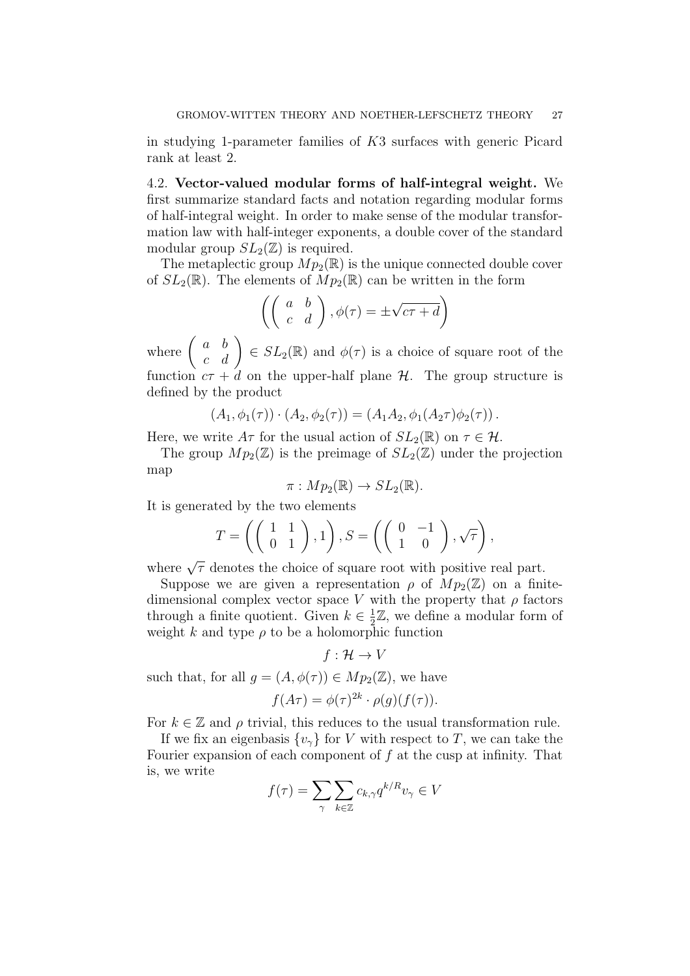in studying 1-parameter families of K3 surfaces with generic Picard rank at least 2.

4.2. Vector-valued modular forms of half-integral weight. We first summarize standard facts and notation regarding modular forms of half-integral weight. In order to make sense of the modular transformation law with half-integer exponents, a double cover of the standard modular group  $SL_2(\mathbb{Z})$  is required.

The metaplectic group  $Mp_2(\mathbb{R})$  is the unique connected double cover of  $SL_2(\mathbb{R})$ . The elements of  $Mp_2(\mathbb{R})$  can be written in the form

$$
\left( \left( \begin{array}{cc} a & b \\ c & d \end{array} \right), \phi(\tau) = \pm \sqrt{c\tau + d} \right)
$$

where  $\begin{pmatrix} a & b \\ c & d \end{pmatrix} \in SL_2(\mathbb{R})$  and  $\phi(\tau)$  is a choice of square root of the function  $c\tau + d$  on the upper-half plane  $\mathcal{H}$ . The group structure is defined by the product

$$
(A_1, \phi_1(\tau)) \cdot (A_2, \phi_2(\tau)) = (A_1 A_2, \phi_1(A_2 \tau) \phi_2(\tau)).
$$

Here, we write  $A\tau$  for the usual action of  $SL_2(\mathbb{R})$  on  $\tau \in \mathcal{H}$ .

The group  $Mp_2(\mathbb{Z})$  is the preimage of  $SL_2(\mathbb{Z})$  under the projection map

$$
\pi: Mp_2(\mathbb{R}) \to SL_2(\mathbb{R}).
$$

It is generated by the two elements

$$
T = \left( \left( \begin{array}{cc} 1 & 1 \\ 0 & 1 \end{array} \right), 1 \right), S = \left( \left( \begin{array}{cc} 0 & -1 \\ 1 & 0 \end{array} \right), \sqrt{\tau} \right),
$$

where  $\sqrt{\tau}$  denotes the choice of square root with positive real part.

Suppose we are given a representation  $\rho$  of  $Mp_2(\mathbb{Z})$  on a finitedimensional complex vector space V with the property that  $\rho$  factors through a finite quotient. Given  $k \in \frac{1}{2}$  $\frac{1}{2}\mathbb{Z}$ , we define a modular form of weight k and type  $\rho$  to be a holomorphic function

$$
f: \mathcal{H} \to V
$$

such that, for all  $g = (A, \phi(\tau)) \in Mp_2(\mathbb{Z})$ , we have

$$
f(A\tau) = \phi(\tau)^{2k} \cdot \rho(g)(f(\tau)).
$$

For  $k \in \mathbb{Z}$  and  $\rho$  trivial, this reduces to the usual transformation rule.

If we fix an eigenbasis  $\{v_\gamma\}$  for V with respect to T, we can take the Fourier expansion of each component of  $f$  at the cusp at infinity. That is, we write

$$
f(\tau) = \sum_{\gamma} \sum_{k \in \mathbb{Z}} c_{k,\gamma} q^{k/R} v_{\gamma} \in V
$$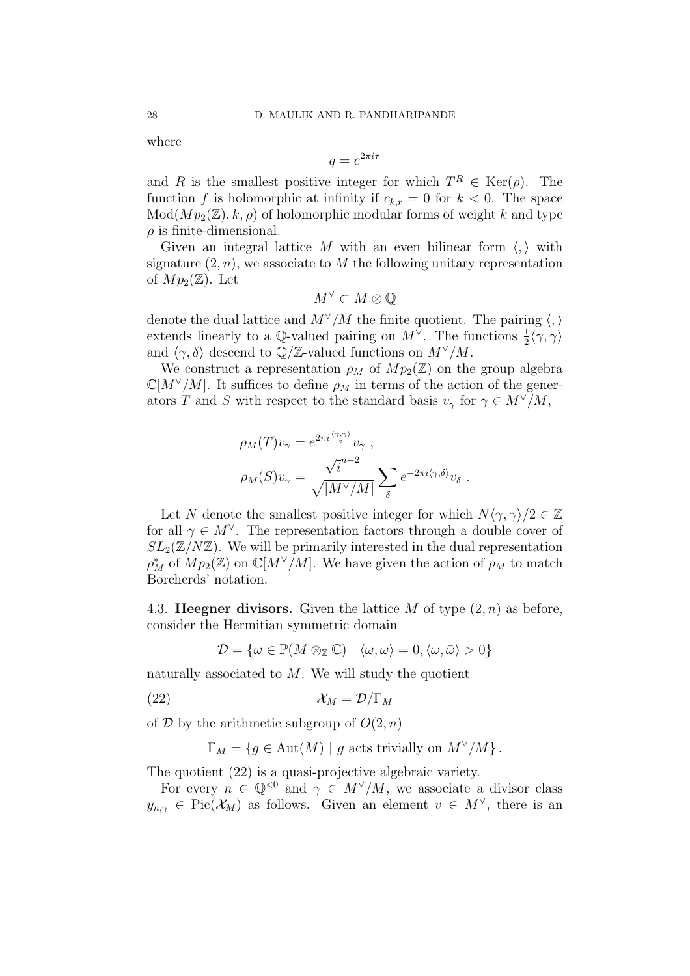where

$$
q = e^{2\pi i \tau}
$$

and R is the smallest positive integer for which  $T^R \in \text{Ker}(\rho)$ . The function f is holomorphic at infinity if  $c_{k,r} = 0$  for  $k < 0$ . The space  $Mod(Mp_2(\mathbb{Z}), k, \rho)$  of holomorphic modular forms of weight k and type  $\rho$  is finite-dimensional.

Given an integral lattice M with an even bilinear form  $\langle , \rangle$  with signature  $(2, n)$ , we associate to M the following unitary representation of  $Mp_2(\mathbb{Z})$ . Let

$$
M^\vee \subset M \otimes \mathbb{Q}
$$

denote the dual lattice and  $M^{\vee}/M$  the finite quotient. The pairing  $\langle,\rangle$ extends linearly to a Q-valued pairing on  $M^{\vee}$ . The functions  $\frac{1}{2}\langle \gamma, \gamma \rangle$ and  $\langle \gamma, \delta \rangle$  descend to Q/Z-valued functions on  $M^{\vee}/M$ .

We construct a representation  $\rho_M$  of  $Mp_2(\mathbb{Z})$  on the group algebra  $\mathbb{C}[M^{\vee}/M]$ . It suffices to define  $\rho_M$  in terms of the action of the generators T and S with respect to the standard basis  $v_\gamma$  for  $\gamma \in M^{\vee}/M$ ,

$$
\rho_M(T)v_\gamma = e^{2\pi i \frac{\langle \gamma, \gamma \rangle}{2}} v_\gamma ,
$$
  

$$
\rho_M(S)v_\gamma = \frac{\sqrt{i}^{n-2}}{\sqrt{|M^\vee/M|}} \sum_\delta e^{-2\pi i \langle \gamma, \delta \rangle} v_\delta .
$$

Let N denote the smallest positive integer for which  $N\langle \gamma, \gamma \rangle/2 \in \mathbb{Z}$ for all  $\gamma \in M^{\vee}$ . The representation factors through a double cover of  $SL_2(\mathbb{Z}/N\mathbb{Z})$ . We will be primarily interested in the dual representation  $\rho_M^*$  of  $Mp_2(\mathbb{Z})$  on  $\mathbb{C}[M^{\vee}/M]$ . We have given the action of  $\rho_M$  to match Borcherds' notation.

4.3. Heegner divisors. Given the lattice M of type  $(2, n)$  as before, consider the Hermitian symmetric domain

$$
\mathcal{D} = \{ \omega \in \mathbb{P}(M \otimes_{\mathbb{Z}} \mathbb{C}) \mid \langle \omega, \omega \rangle = 0, \langle \omega, \bar{\omega} \rangle > 0 \}
$$

naturally associated to  $M$ . We will study the quotient

$$
(\text{22}) \quad \mathcal{X}_M = \mathcal{D}/\Gamma_M
$$

of  $D$  by the arithmetic subgroup of  $O(2, n)$ 

$$
\Gamma_M = \{ g \in \text{Aut}(M) \mid g \text{ acts trivially on } M^{\vee}/M \}.
$$

The quotient (22) is a quasi-projective algebraic variety.

For every  $n \in \mathbb{Q}^{\leq 0}$  and  $\gamma \in M^{\vee}/M$ , we associate a divisor class  $y_{n,\gamma} \in Pic(X_M)$  as follows. Given an element  $v \in M^{\vee}$ , there is an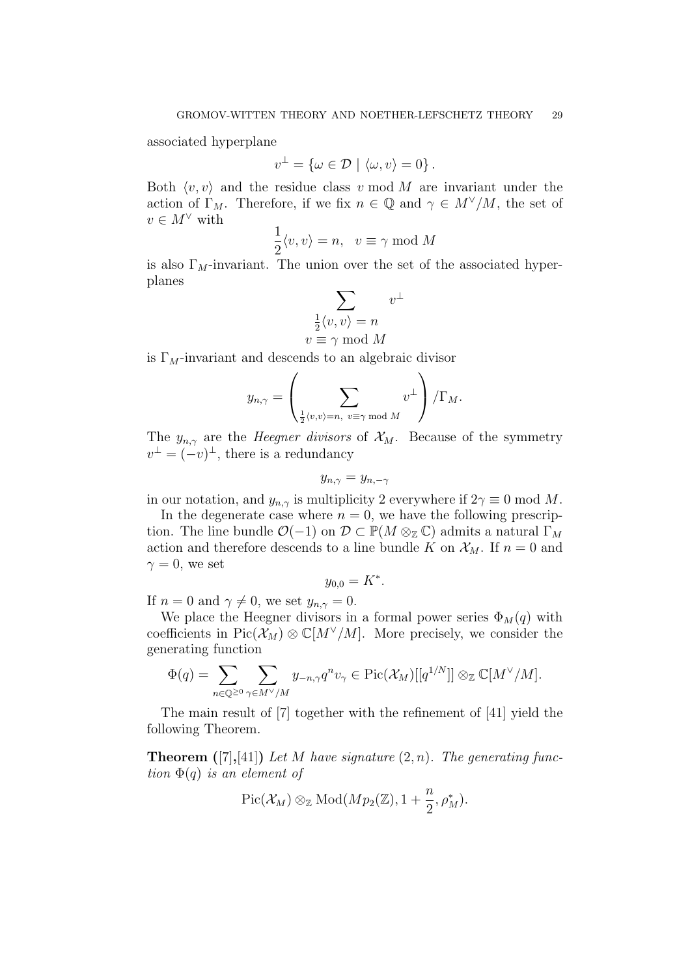associated hyperplane

$$
v^{\perp} = \{ \omega \in \mathcal{D} \mid \langle \omega, v \rangle = 0 \}.
$$

Both  $\langle v, v \rangle$  and the residue class v mod M are invariant under the action of  $\Gamma_M$ . Therefore, if we fix  $n \in \mathbb{Q}$  and  $\gamma \in M^{\vee}/M$ , the set of  $v\in M^\vee$  with

$$
\frac{1}{2}\langle v, v \rangle = n, \ v \equiv \gamma \bmod M
$$

is also  $\Gamma_M$ -invariant. The union over the set of the associated hyperplanes

$$
\sum_{\substack{\frac{1}{2}\langle v, v\rangle = n \\ v \equiv \gamma \bmod M}} v^{\perp}
$$

is  $\Gamma_M$ -invariant and descends to an algebraic divisor

$$
y_{n,\gamma} = \left(\sum_{\frac{1}{2}\langle v,v\rangle = n,\ v\equiv \gamma\bmod M} v^\perp\right)/\Gamma_M.
$$

The  $y_{n,\gamma}$  are the *Heegner divisors* of  $\mathcal{X}_M$ . Because of the symmetry  $v^{\perp} = (-v)^{\perp}$ , there is a redundancy

$$
y_{n,\gamma} = y_{n,-\gamma}
$$

in our notation, and  $y_{n,\gamma}$  is multiplicity 2 everywhere if  $2\gamma \equiv 0 \mod M$ .

In the degenerate case where  $n = 0$ , we have the following prescription. The line bundle  $\mathcal{O}(-1)$  on  $\mathcal{D} \subset \mathbb{P}(M \otimes_{\mathbb{Z}} \mathbb{C})$  admits a natural  $\Gamma_M$ action and therefore descends to a line bundle K on  $\mathcal{X}_M$ . If  $n = 0$  and  $\gamma = 0$ , we set

$$
y_{0,0}=K^*.
$$

If  $n = 0$  and  $\gamma \neq 0$ , we set  $y_{n,\gamma} = 0$ .

We place the Heegner divisors in a formal power series  $\Phi_M(q)$  with coefficients in Pic( $\mathcal{X}_M$ ) ⊗  $\mathbb{C}[M^{\vee}/M]$ . More precisely, we consider the generating function

$$
\Phi(q) = \sum_{n \in \mathbb{Q}^{\geq 0}} \sum_{\gamma \in M^{\vee}/M} y_{-n,\gamma} q^n v_{\gamma} \in \mathrm{Pic}(\mathcal{X}_M)[[q^{1/N}]] \otimes_{\mathbb{Z}} \mathbb{C}[M^{\vee}/M].
$$

The main result of [7] together with the refinement of [41] yield the following Theorem.

**Theorem** ([7],[41]) Let M have signature  $(2, n)$ . The generating function  $\Phi(q)$  is an element of

$$
\mathrm{Pic}(\mathcal{X}_M) \otimes_{\mathbb{Z}} \mathrm{Mod}(Mp_2(\mathbb{Z}), 1 + \frac{n}{2}, \rho_M^*).
$$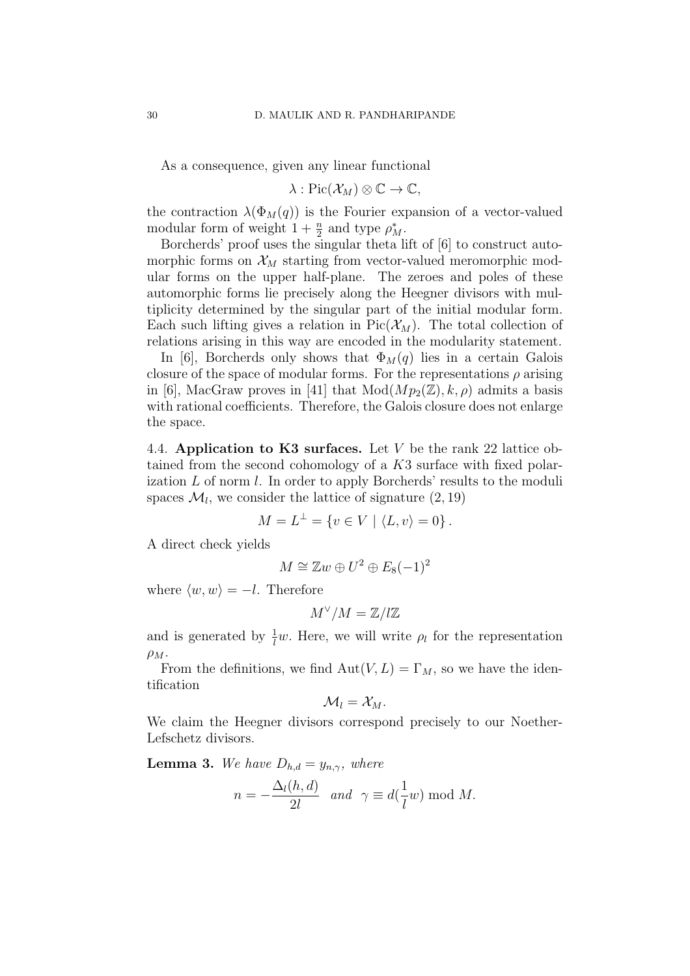As a consequence, given any linear functional

$$
\lambda: \mathrm{Pic}(\mathcal{X}_M) \otimes \mathbb{C} \to \mathbb{C},
$$

the contraction  $\lambda(\Phi_M(q))$  is the Fourier expansion of a vector-valued modular form of weight  $1 + \frac{n}{2}$  and type  $\rho_M^*$ .

Borcherds' proof uses the singular theta lift of [6] to construct automorphic forms on  $\mathcal{X}_M$  starting from vector-valued meromorphic modular forms on the upper half-plane. The zeroes and poles of these automorphic forms lie precisely along the Heegner divisors with multiplicity determined by the singular part of the initial modular form. Each such lifting gives a relation in  $Pic(\mathcal{X}_M)$ . The total collection of relations arising in this way are encoded in the modularity statement.

In [6], Borcherds only shows that  $\Phi_M(q)$  lies in a certain Galois closure of the space of modular forms. For the representations  $\rho$  arising in [6], MacGraw proves in [41] that  $Mod(Mp_2(\mathbb{Z}), k, \rho)$  admits a basis with rational coefficients. Therefore, the Galois closure does not enlarge the space.

4.4. Application to K3 surfaces. Let  $V$  be the rank 22 lattice obtained from the second cohomology of a K3 surface with fixed polarization L of norm l. In order to apply Borcherds' results to the moduli spaces  $\mathcal{M}_l$ , we consider the lattice of signature  $(2, 19)$ 

$$
M = L^{\perp} = \{ v \in V \mid \langle L, v \rangle = 0 \}.
$$

A direct check yields

$$
M \cong \mathbb{Z}w \oplus U^2 \oplus E_8(-1)^2
$$

where  $\langle w, w \rangle = -l$ . Therefore

$$
M^{\vee}/M=\mathbb{Z}/l\mathbb{Z}
$$

and is generated by  $\frac{1}{l}w$ . Here, we will write  $\rho_l$  for the representation  $\rho_M$ .

From the definitions, we find  $Aut(V, L) = \Gamma_M$ , so we have the identification

$$
\mathcal{M}_l=\mathcal{X}_M.
$$

We claim the Heegner divisors correspond precisely to our Noether-Lefschetz divisors.

**Lemma 3.** We have  $D_{h,d} = y_{n,\gamma}$ , where

$$
n = -\frac{\Delta_l(h, d)}{2l} \quad and \quad \gamma \equiv d(\frac{1}{l}w) \bmod M.
$$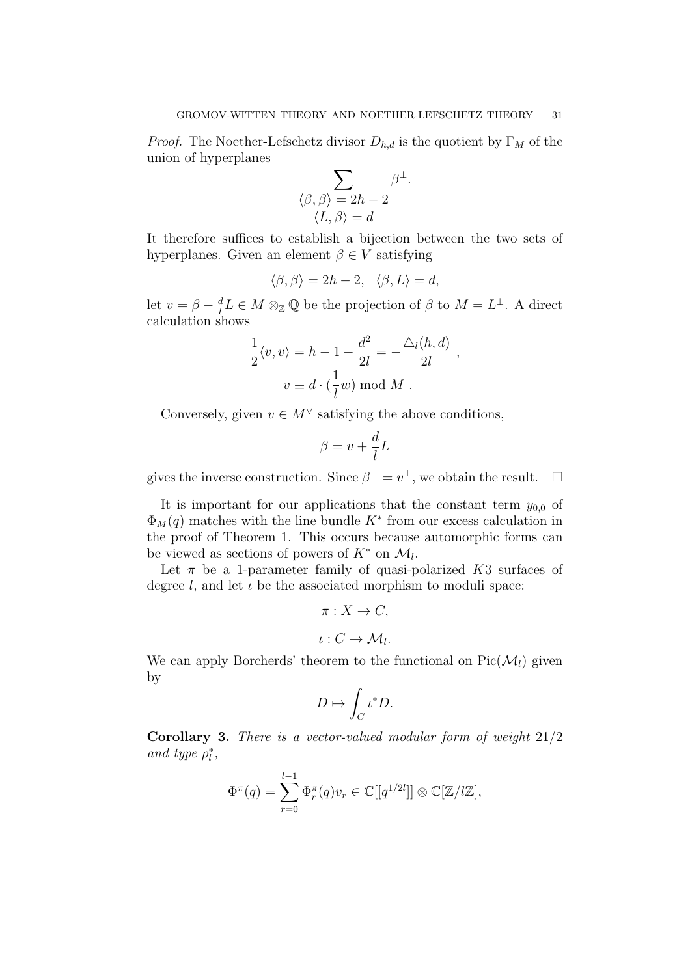.

*Proof.* The Noether-Lefschetz divisor  $D_{h,d}$  is the quotient by  $\Gamma_M$  of the union of hyperplanes

$$
\sum_{\substack{\langle \beta,\, \beta \rangle \,=\, 2h\,-\,2}} \beta^{\perp} \\ \langle L, \beta \rangle = d
$$

It therefore suffices to establish a bijection between the two sets of hyperplanes. Given an element  $\beta \in V$  satisfying

$$
\langle \beta, \beta \rangle = 2h - 2, \ \ \langle \beta, L \rangle = d,
$$

let  $v = \beta - \frac{d}{l}$  $\frac{d}{dt}L \in M \otimes_{\mathbb{Z}} \mathbb{Q}$  be the projection of  $\beta$  to  $M = L^{\perp}$ . A direct calculation shows

$$
\frac{1}{2}\langle v, v \rangle = h - 1 - \frac{d^2}{2l} = -\frac{\Delta_l(h, d)}{2l} ,
$$
  

$$
v \equiv d \cdot (\frac{1}{l}w) \bmod M .
$$

Conversely, given  $v \in M^{\vee}$  satisfying the above conditions,

$$
\beta = v + \frac{d}{l}L
$$

gives the inverse construction. Since  $\beta^{\perp} = v^{\perp}$ , we obtain the result.  $\Box$ 

It is important for our applications that the constant term  $y_{0,0}$  of  $\Phi_M(q)$  matches with the line bundle  $K^*$  from our excess calculation in the proof of Theorem 1. This occurs because automorphic forms can be viewed as sections of powers of  $K^*$  on  $\mathcal{M}_l$ .

Let  $\pi$  be a 1-parameter family of quasi-polarized K3 surfaces of degree l, and let  $\iota$  be the associated morphism to moduli space:

$$
\pi: X \to C,
$$
  

$$
\iota: C \to M_l.
$$

We can apply Borcherds' theorem to the functional on  $Pic(\mathcal{M}_l)$  given by

$$
D \mapsto \int_C \iota^* D.
$$

Corollary 3. There is a vector-valued modular form of weight 21/2 and type  $\rho_l^*,$ 

$$
\Phi^{\pi}(q) = \sum_{r=0}^{l-1} \Phi_r^{\pi}(q) v_r \in \mathbb{C}[[q^{1/2l}]] \otimes \mathbb{C}[\mathbb{Z}/l\mathbb{Z}],
$$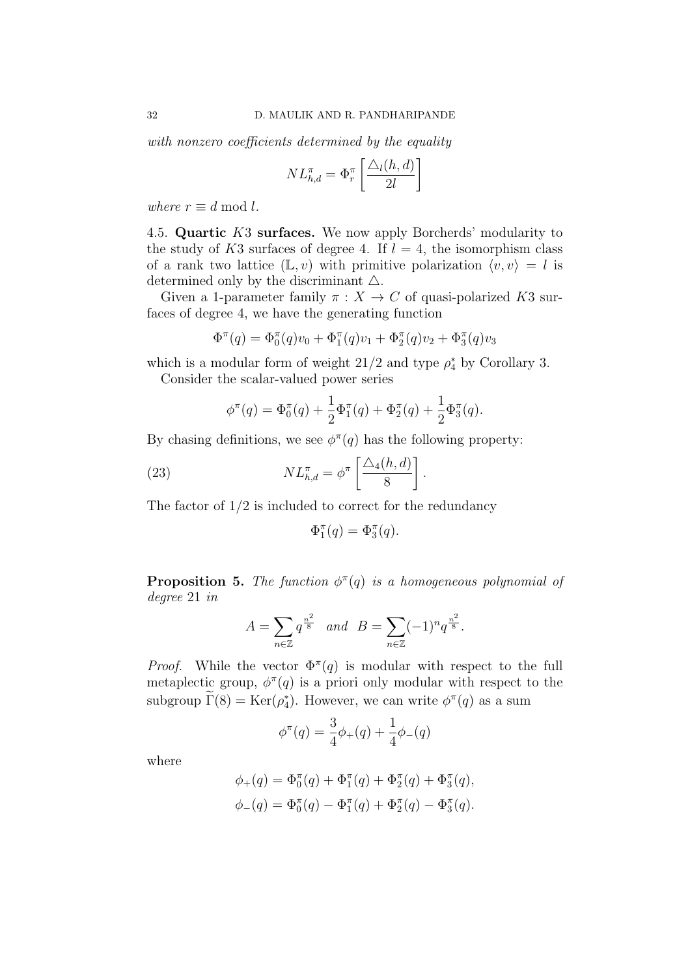with nonzero coefficients determined by the equality

$$
NL_{h,d}^{\pi} = \Phi_r^{\pi} \left[ \frac{\Delta_l(h,d)}{2l} \right]
$$

where  $r \equiv d \bmod l$ .

4.5. Quartic K3 surfaces. We now apply Borcherds' modularity to the study of K3 surfaces of degree 4. If  $l = 4$ , the isomorphism class of a rank two lattice  $(L, v)$  with primitive polarization  $\langle v, v \rangle = l$  is determined only by the discriminant  $\Delta$ .

Given a 1-parameter family  $\pi : X \to C$  of quasi-polarized K3 surfaces of degree 4, we have the generating function

$$
\Phi^{\pi}(q) = \Phi_0^{\pi}(q)v_0 + \Phi_1^{\pi}(q)v_1 + \Phi_2^{\pi}(q)v_2 + \Phi_3^{\pi}(q)v_3
$$

which is a modular form of weight  $21/2$  and type  $\rho_4^*$  by Corollary 3. Consider the scalar-valued power series

$$
\phi^{\pi}(q) = \Phi_0^{\pi}(q) + \frac{1}{2}\Phi_1^{\pi}(q) + \Phi_2^{\pi}(q) + \frac{1}{2}\Phi_3^{\pi}(q).
$$

By chasing definitions, we see  $\phi^{\pi}(q)$  has the following property:

(23) 
$$
NL_{h,d}^{\pi} = \phi^{\pi} \left[ \frac{\Delta_4(h,d)}{8} \right]
$$

The factor of  $1/2$  is included to correct for the redundancy

$$
\Phi_1^{\pi}(q) = \Phi_3^{\pi}(q).
$$

.

**Proposition 5.** The function  $\phi^{\pi}(q)$  is a homogeneous polynomial of degree 21 in

$$
A = \sum_{n \in \mathbb{Z}} q^{\frac{n^2}{8}} \quad \text{and} \quad B = \sum_{n \in \mathbb{Z}} (-1)^n q^{\frac{n^2}{8}}.
$$

*Proof.* While the vector  $\Phi^{\pi}(q)$  is modular with respect to the full metaplectic group,  $\phi^{\pi}(q)$  is a priori only modular with respect to the subgroup  $\Gamma(8) = \text{Ker}(\rho_4^*)$ . However, we can write  $\phi^{\pi}(q)$  as a sum

$$
\phi^{\pi}(q) = \frac{3}{4}\phi_{+}(q) + \frac{1}{4}\phi_{-}(q)
$$

where

$$
\phi_+(q) = \Phi_0^{\pi}(q) + \Phi_1^{\pi}(q) + \Phi_2^{\pi}(q) + \Phi_3^{\pi}(q),
$$
  

$$
\phi_-(q) = \Phi_0^{\pi}(q) - \Phi_1^{\pi}(q) + \Phi_2^{\pi}(q) - \Phi_3^{\pi}(q).
$$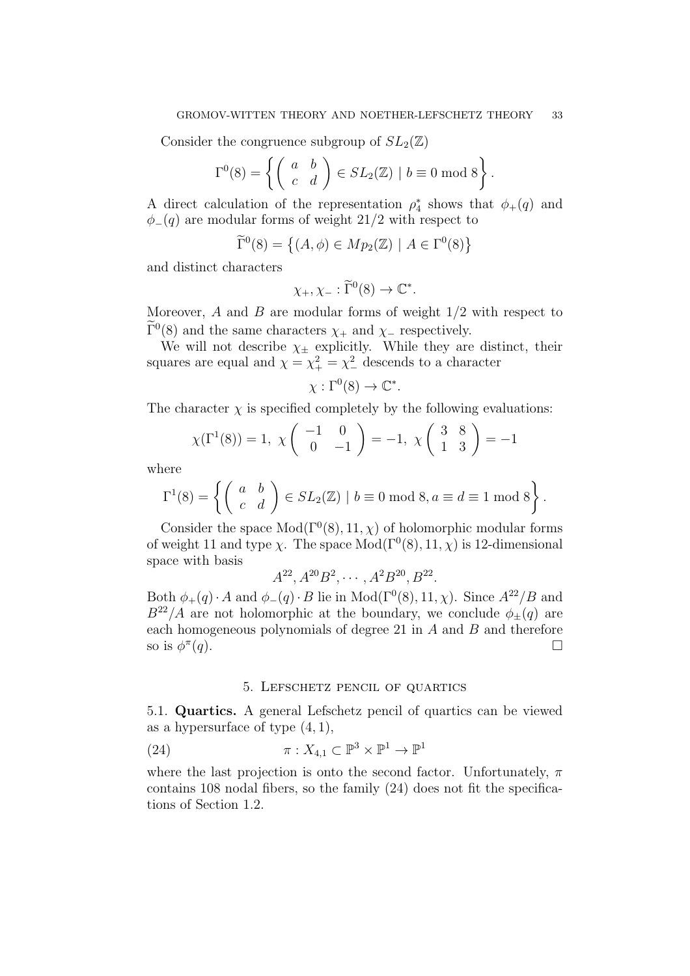Consider the congruence subgroup of  $SL_2(\mathbb{Z})$ 

$$
\Gamma^{0}(8) = \left\{ \begin{pmatrix} a & b \\ c & d \end{pmatrix} \in SL_2(\mathbb{Z}) \mid b \equiv 0 \mod 8 \right\}.
$$

A direct calculation of the representation  $\rho_4^*$  shows that  $\phi_+(q)$  and  $\phi_-(q)$  are modular forms of weight 21/2 with respect to

$$
\widetilde{\Gamma}^0(8) = \left\{ (A, \phi) \in Mp_2(\mathbb{Z}) \mid A \in \Gamma^0(8) \right\}
$$

and distinct characters

$$
\chi_+, \chi_- : \widetilde{\Gamma}^0(8) \to \mathbb{C}^*.
$$

Moreover, A and B are modular forms of weight  $1/2$  with respect to  $\Gamma^{0}(8)$  and the same characters  $\chi_{+}$  and  $\chi_{-}$  respectively.

We will not describe  $\chi_{\pm}$  explicitly. While they are distinct, their squares are equal and  $\chi = \chi^2_+ = \chi^2_-$  descends to a character

$$
\chi : \Gamma^0(8) \to \mathbb{C}^*.
$$

The character  $\chi$  is specified completely by the following evaluations:

$$
\chi(\Gamma^1(8)) = 1, \ \chi\begin{pmatrix} -1 & 0 \\ 0 & -1 \end{pmatrix} = -1, \ \chi\begin{pmatrix} 3 & 8 \\ 1 & 3 \end{pmatrix} = -1
$$

where

$$
\Gamma^{1}(8) = \left\{ \begin{pmatrix} a & b \\ c & d \end{pmatrix} \in SL_2(\mathbb{Z}) \mid b \equiv 0 \bmod 8, a \equiv d \equiv 1 \bmod 8 \right\}.
$$

Consider the space  $Mod(\Gamma^{0}(8), 11, \chi)$  of holomorphic modular forms of weight 11 and type  $\chi$ . The space Mod( $\Gamma^{0}(8)$ , 11,  $\chi$ ) is 12-dimensional space with basis

$$
A^{22}, A^{20}B^2, \cdots, A^2B^{20}, B^{22}.
$$

Both  $\phi_{+}(q) \cdot A$  and  $\phi_{-}(q) \cdot B$  lie in Mod( $\Gamma^{0}(8)$ , 11,  $\chi$ ). Since  $A^{22}/B$  and  $B^{22}/A$  are not holomorphic at the boundary, we conclude  $\phi_{+}(q)$  are each homogeneous polynomials of degree 21 in A and B and therefore so is  $\phi^{\pi}$  $(q)$ .

#### 5. Lefschetz pencil of quartics

5.1. Quartics. A general Lefschetz pencil of quartics can be viewed as a hypersurface of type  $(4, 1)$ ,

(24) 
$$
\pi: X_{4,1} \subset \mathbb{P}^3 \times \mathbb{P}^1 \to \mathbb{P}^1
$$

where the last projection is onto the second factor. Unfortunately,  $\pi$ contains 108 nodal fibers, so the family (24) does not fit the specifications of Section 1.2.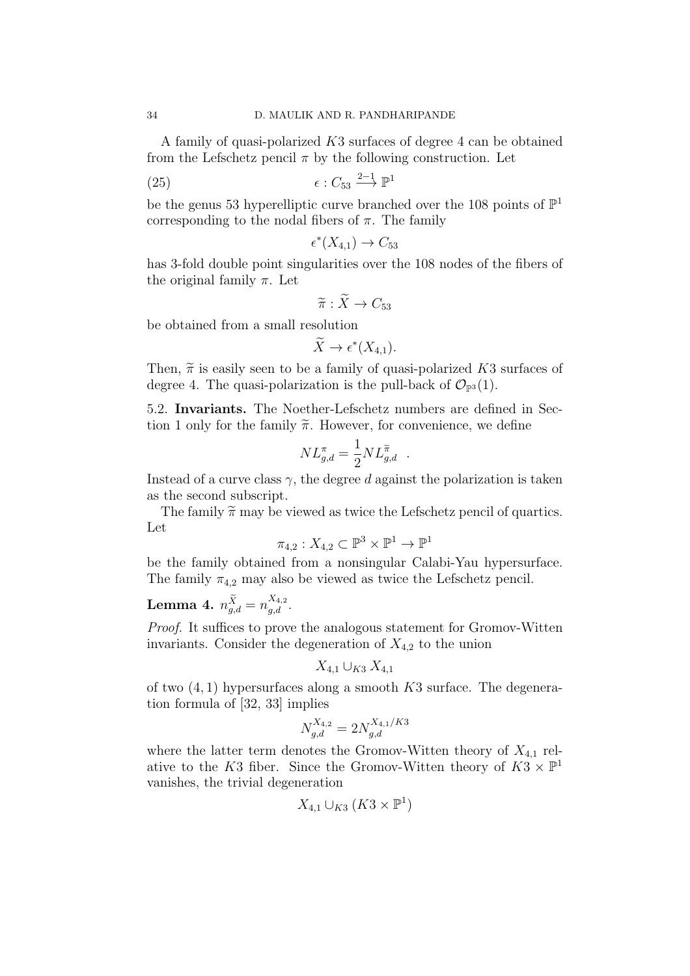A family of quasi-polarized K3 surfaces of degree 4 can be obtained from the Lefschetz pencil  $\pi$  by the following construction. Let

(25) 
$$
\epsilon: C_{53} \xrightarrow{2-1} \mathbb{P}^1
$$

be the genus 53 hyperelliptic curve branched over the 108 points of  $\mathbb{P}^1$ corresponding to the nodal fibers of  $\pi$ . The family

$$
\epsilon^*(X_{4,1})\to C_{53}
$$

has 3-fold double point singularities over the 108 nodes of the fibers of the original family  $\pi$ . Let

$$
\widetilde{\pi}: \widetilde{X} \to C_{53}
$$

be obtained from a small resolution

$$
\widetilde{X} \to \epsilon^*(X_{4,1}).
$$

Then,  $\tilde{\pi}$  is easily seen to be a family of quasi-polarized K3 surfaces of degree 4. The quasi-polarization is the pull-back of  $\mathcal{O}_{\mathbb{P}^3}(1)$ .

5.2. Invariants. The Noether-Lefschetz numbers are defined in Section 1 only for the family  $\widetilde{\pi}$ . However, for convenience, we define

$$
NL_{g,d}^{\pi} = \frac{1}{2} NL_{g,d}^{\widetilde{\pi}}.
$$

Instead of a curve class  $\gamma$ , the degree d against the polarization is taken as the second subscript.

The family  $\tilde{\pi}$  may be viewed as twice the Lefschetz pencil of quartics. Let

$$
\pi_{4,2}: X_{4,2} \subset \mathbb{P}^3 \times \mathbb{P}^1 \to \mathbb{P}^1
$$

be the family obtained from a nonsingular Calabi-Yau hypersurface. The family  $\pi_{4,2}$  may also be viewed as twice the Lefschetz pencil.

# Lemma 4.  $n_{g,d}^{\widetilde{X}} = n_{g,d}^{X_{4,2}}$ .

Proof. It suffices to prove the analogous statement for Gromov-Witten invariants. Consider the degeneration of  $X_{4,2}$  to the union

$$
X_{4,1} \cup_{K3} X_{4,1}
$$

of two  $(4, 1)$  hypersurfaces along a smooth K3 surface. The degeneration formula of [32, 33] implies

$$
N_{g,d}^{X_{4,2}} = 2N_{g,d}^{X_{4,1}/K3}
$$

where the latter term denotes the Gromov-Witten theory of  $X_{4,1}$  relative to the K3 fiber. Since the Gromov-Witten theory of  $K3 \times \mathbb{P}^1$ vanishes, the trivial degeneration

$$
X_{4,1}\cup_{K3}(K3\times\mathbb{P}^1)
$$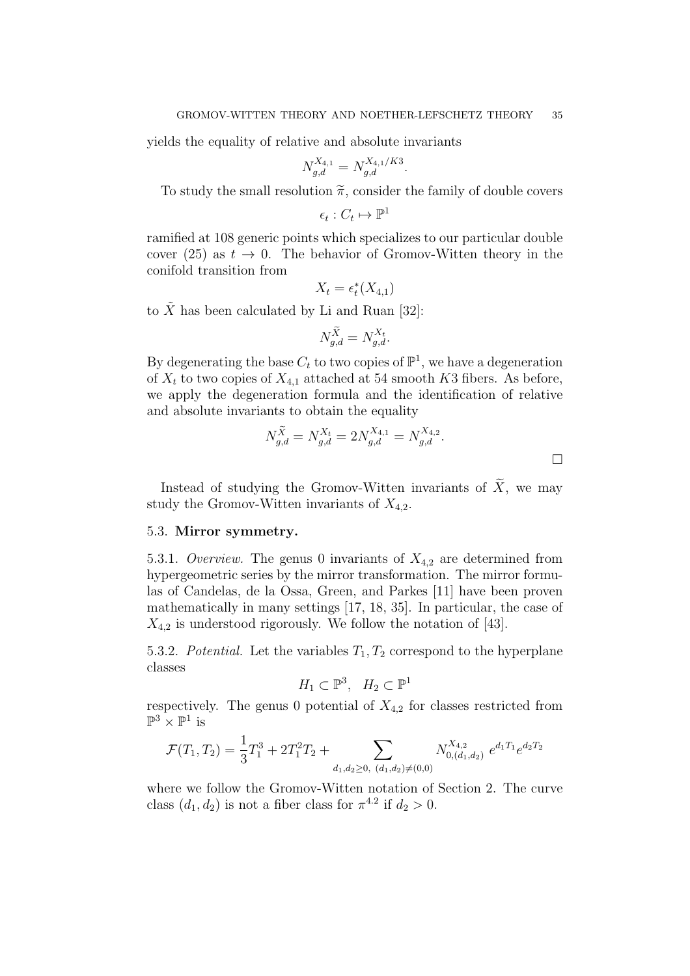yields the equality of relative and absolute invariants

$$
N_{g,d}^{X_{4,1}} = N_{g,d}^{X_{4,1}/K3}.
$$

To study the small resolution  $\tilde{\pi}$ , consider the family of double covers

$$
\epsilon_t: C_t \mapsto \mathbb{P}^1
$$

ramified at 108 generic points which specializes to our particular double cover (25) as  $t \to 0$ . The behavior of Gromov-Witten theory in the conifold transition from

$$
X_t = \epsilon_t^*(X_{4,1})
$$

to  $\tilde{X}$  has been calculated by Li and Ruan [32]:

$$
N_{g,d}^{\widetilde{X}} = N_{g,d}^{X_t}.
$$

By degenerating the base  $C_t$  to two copies of  $\mathbb{P}^1$ , we have a degeneration of  $X_t$  to two copies of  $X_{4,1}$  attached at 54 smooth K3 fibers. As before, we apply the degeneration formula and the identification of relative and absolute invariants to obtain the equality

$$
N_{g,d}^{\tilde{X}} = N_{g,d}^{X_t} = 2N_{g,d}^{X_{4,1}} = N_{g,d}^{X_{4,2}}.
$$

Instead of studying the Gromov-Witten invariants of  $\widetilde{X}$ , we may study the Gromov-Witten invariants of  $X_{4,2}$ .

#### 5.3. Mirror symmetry.

5.3.1. Overview. The genus 0 invariants of  $X_{4,2}$  are determined from hypergeometric series by the mirror transformation. The mirror formulas of Candelas, de la Ossa, Green, and Parkes [11] have been proven mathematically in many settings [17, 18, 35]. In particular, the case of  $X_{4,2}$  is understood rigorously. We follow the notation of [43].

5.3.2. Potential. Let the variables  $T_1, T_2$  correspond to the hyperplane classes

$$
H_1 \subset \mathbb{P}^3, \quad H_2 \subset \mathbb{P}^1
$$

respectively. The genus 0 potential of  $X_{4,2}$  for classes restricted from  $\mathbb{P}^3 \times \mathbb{P}^1$  is

$$
\mathcal{F}(T_1, T_2) = \frac{1}{3}T_1^3 + 2T_1^2T_2 + \sum_{d_1, d_2 \ge 0, (d_1, d_2) \ne (0, 0)} N_{0, (d_1, d_2)}^{X_{4,2}} e^{d_1 T_1} e^{d_2 T_2}
$$

where we follow the Gromov-Witten notation of Section 2. The curve class  $(d_1, d_2)$  is not a fiber class for  $\pi^{4.2}$  if  $d_2 > 0$ .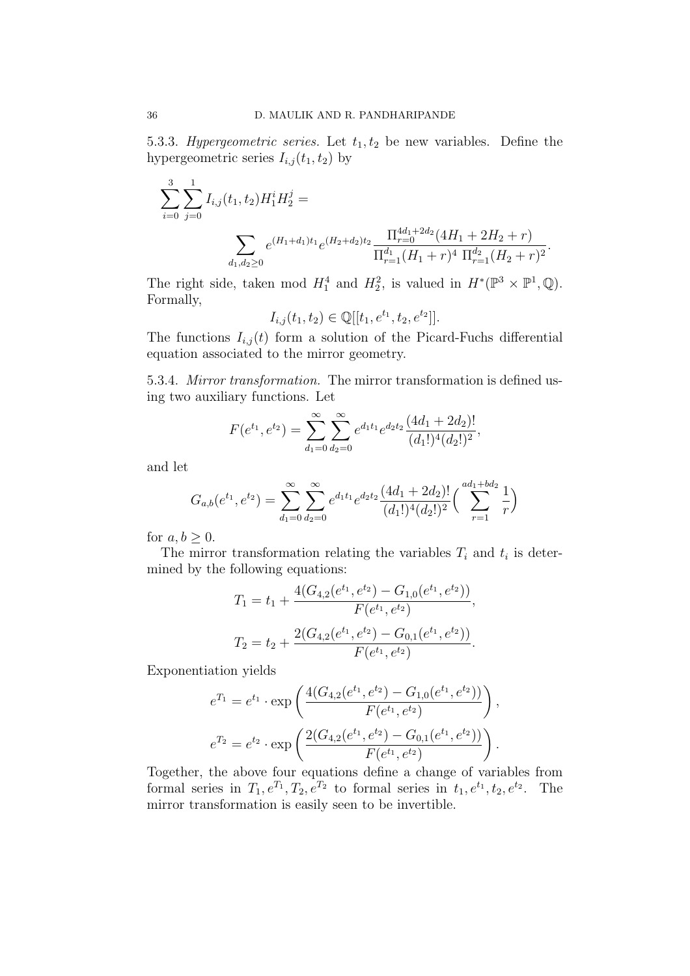5.3.3. Hypergeometric series. Let  $t_1, t_2$  be new variables. Define the hypergeometric series  $I_{i,j}(t_1, t_2)$  by

$$
\sum_{i=0}^{3} \sum_{j=0}^{1} I_{i,j}(t_1, t_2) H_1^i H_2^j =
$$
\n
$$
\sum_{d_1, d_2 \ge 0} e^{(H_1 + d_1)t_1} e^{(H_2 + d_2)t_2} \frac{\Pi_{r=0}^{4d_1 + 2d_2} (4H_1 + 2H_2 + r)}{\Pi_{r=1}^{d_1} (H_1 + r)^4 \Pi_{r=1}^{d_2} (H_2 + r)^2}.
$$

The right side, taken mod  $H_1^4$  and  $H_2^2$ , is valued in  $H^*(\mathbb{P}^3 \times \mathbb{P}^1, \mathbb{Q})$ . Formally,

$$
I_{i,j}(t_1, t_2) \in \mathbb{Q}[[t_1, e^{t_1}, t_2, e^{t_2}]].
$$

The functions  $I_{i,j}(t)$  form a solution of the Picard-Fuchs differential equation associated to the mirror geometry.

5.3.4. Mirror transformation. The mirror transformation is defined using two auxiliary functions. Let

$$
F(e^{t_1}, e^{t_2}) = \sum_{d_1=0}^{\infty} \sum_{d_2=0}^{\infty} e^{d_1 t_1} e^{d_2 t_2} \frac{(4d_1 + 2d_2)!}{(d_1!)^4 (d_2!)^2},
$$

and let

$$
G_{a,b}(e^{t_1}, e^{t_2}) = \sum_{d_1=0}^{\infty} \sum_{d_2=0}^{\infty} e^{d_1 t_1} e^{d_2 t_2} \frac{(4d_1 + 2d_2)!}{(d_1!)^4 (d_2!)^2} \left( \sum_{r=1}^{ad_1 + bd_2} \frac{1}{r} \right)
$$

for  $a, b \geq 0$ .

The mirror transformation relating the variables  $T_i$  and  $t_i$  is determined by the following equations:

$$
T_1 = t_1 + \frac{4(G_{4,2}(e^{t_1}, e^{t_2}) - G_{1,0}(e^{t_1}, e^{t_2}))}{F(e^{t_1}, e^{t_2})},
$$
  

$$
T_2 = t_2 + \frac{2(G_{4,2}(e^{t_1}, e^{t_2}) - G_{0,1}(e^{t_1}, e^{t_2}))}{F(e^{t_1}, e^{t_2})}.
$$

Exponentiation yields

$$
e^{T_1} = e^{t_1} \cdot \exp\left(\frac{4(G_{4,2}(e^{t_1}, e^{t_2}) - G_{1,0}(e^{t_1}, e^{t_2}))}{F(e^{t_1}, e^{t_2})}\right),
$$
  

$$
e^{T_2} = e^{t_2} \cdot \exp\left(\frac{2(G_{4,2}(e^{t_1}, e^{t_2}) - G_{0,1}(e^{t_1}, e^{t_2}))}{F(e^{t_1}, e^{t_2})}\right).
$$

Together, the above four equations define a change of variables from formal series in  $T_1, e^{T_1}, T_2, e^{T_2}$  to formal series in  $t_1, e^{t_1}, t_2, e^{t_2}$ . The mirror transformation is easily seen to be invertible.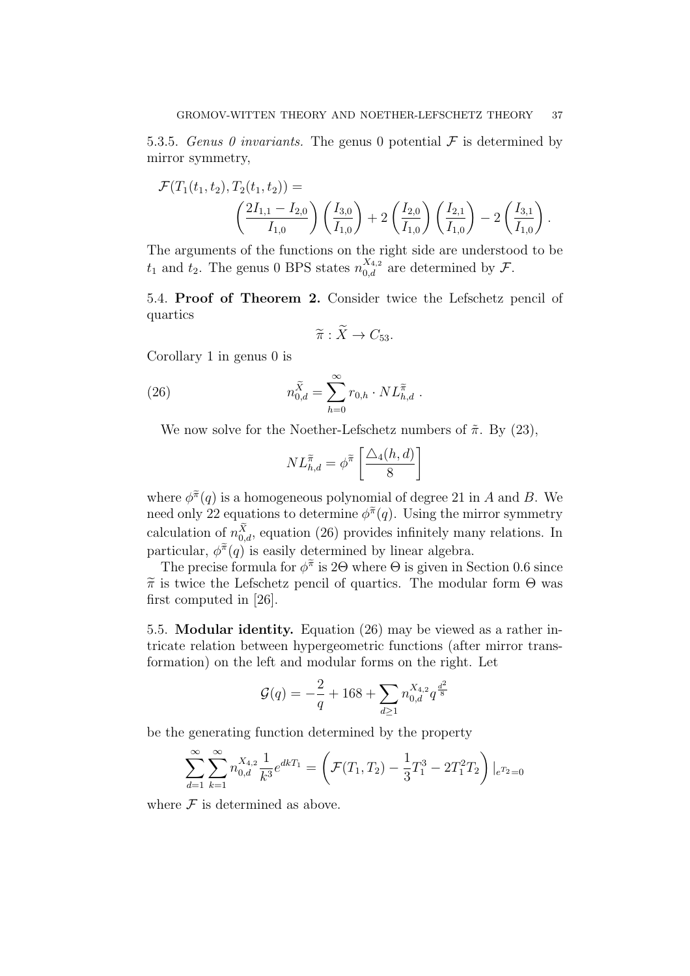5.3.5. Genus 0 invariants. The genus 0 potential  $\mathcal F$  is determined by mirror symmetry,

$$
\mathcal{F}(T_1(t_1, t_2), T_2(t_1, t_2)) =
$$
\n
$$
\left(\frac{2I_{1,1} - I_{2,0}}{I_{1,0}}\right) \left(\frac{I_{3,0}}{I_{1,0}}\right) + 2\left(\frac{I_{2,0}}{I_{1,0}}\right) \left(\frac{I_{2,1}}{I_{1,0}}\right) - 2\left(\frac{I_{3,1}}{I_{1,0}}\right).
$$

The arguments of the functions on the right side are understood to be  $t_1$  and  $t_2$ . The genus 0 BPS states  $n_{0,d}^{X_{4,2}}$  are determined by  $\mathcal{F}$ .

5.4. Proof of Theorem 2. Consider twice the Lefschetz pencil of quartics

$$
\widetilde{\pi}: X \to C_{53}.
$$

Corollary 1 in genus 0 is

(26) 
$$
n_{0,d}^{\tilde{X}} = \sum_{h=0}^{\infty} r_{0,h} \cdot NL_{h,d}^{\tilde{\pi}}.
$$

We now solve for the Noether-Lefschetz numbers of  $\tilde{\pi}$ . By (23),

$$
NL^{\widetilde{\pi}}_{h,d} = \phi^{\widetilde{\pi}} \left[ \frac{\triangle_4(h,d)}{8} \right]
$$

where  $\phi^{\tilde{\pi}}(q)$  is a homogeneous polynomial of degree 21 in A and B. We need only 22 equations to determine  $\phi^{\tilde{\pi}}(q)$ . Using the mirror symmetry calculation of  $n_{0,d}^X$ , equation (26) provides infinitely many relations. In particular,  $\phi^{\tilde{\pi}}(q)$  is easily determined by linear algebra.

The precise formula for  $\phi^{\tilde{\pi}}$  is 2 $\Theta$  where  $\Theta$  is given in Section 0.6 since  $\tilde{\pi}$  is twice the Lefschetz pencil of quartics. The modular form  $\Theta$  was first computed in [26].

5.5. Modular identity. Equation (26) may be viewed as a rather intricate relation between hypergeometric functions (after mirror transformation) on the left and modular forms on the right. Let

$$
\mathcal{G}(q) = -\frac{2}{q} + 168 + \sum_{d \ge 1} n_{0,d}^{X_{4,2}} q^{\frac{d^2}{8}}
$$

be the generating function determined by the property

$$
\sum_{d=1}^{\infty} \sum_{k=1}^{\infty} n_{0,d}^{X_{4,2}} \frac{1}{k^3} e^{dkT_1} = \left( \mathcal{F}(T_1, T_2) - \frac{1}{3} T_1^3 - 2T_1^2 T_2 \right) \Big|_{e^{T_2}=0}
$$

where  $\mathcal F$  is determined as above.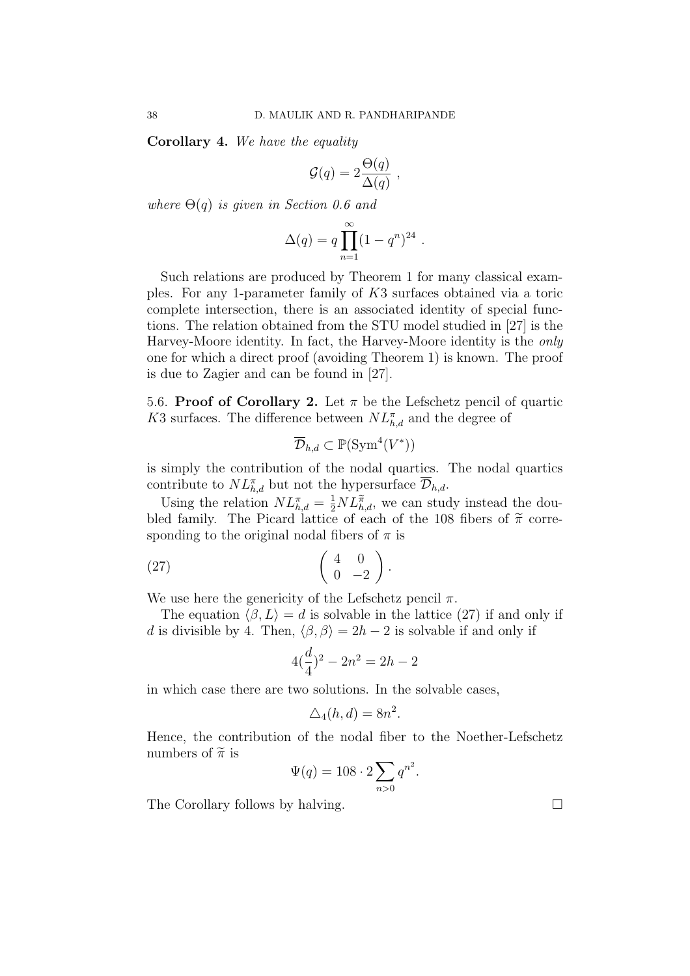Corollary 4. We have the equality

$$
\mathcal{G}(q) = 2 \frac{\Theta(q)}{\Delta(q)} ,
$$

where  $\Theta(q)$  is given in Section 0.6 and

$$
\Delta(q) = q \prod_{n=1}^{\infty} (1 - q^n)^{24} .
$$

Such relations are produced by Theorem 1 for many classical examples. For any 1-parameter family of K3 surfaces obtained via a toric complete intersection, there is an associated identity of special functions. The relation obtained from the STU model studied in [27] is the Harvey-Moore identity. In fact, the Harvey-Moore identity is the only one for which a direct proof (avoiding Theorem 1) is known. The proof is due to Zagier and can be found in [27].

5.6. Proof of Corollary 2. Let  $\pi$  be the Lefschetz pencil of quartic K3 surfaces. The difference between  $NL^{\pi}_{h,d}$  and the degree of

$$
\overline{\mathcal{D}}_{h,d} \subset \mathbb{P}(\operatorname{Sym}^4(V^*))
$$

is simply the contribution of the nodal quartics. The nodal quartics contribute to  $NL^{\pi}_{h,d}$  but not the hypersurface  $\overline{\mathcal{D}}_{h,d}$ .

Using the relation  $NL_{h,d}^{\pi} = \frac{1}{2} NL_{h,d}^{\pi}$ , we can study instead the doubled family. The Picard lattice of each of the 108 fibers of  $\tilde{\pi}$  corresponding to the original nodal fibers of  $\pi$  is

$$
(27) \qquad \qquad \left(\begin{array}{cc} 4 & 0 \\ 0 & -2 \end{array}\right).
$$

We use here the genericity of the Lefschetz pencil  $\pi$ .

The equation  $\langle \beta, L \rangle = d$  is solvable in the lattice (27) if and only if d is divisible by 4. Then,  $\langle \beta, \beta \rangle = 2h - 2$  is solvable if and only if

$$
4(\frac{d}{4})^2 - 2n^2 = 2h - 2
$$

in which case there are two solutions. In the solvable cases,

$$
\Delta_4(h, d) = 8n^2.
$$

Hence, the contribution of the nodal fiber to the Noether-Lefschetz numbers of  $\widetilde{\pi}$  is

$$
\Psi(q) = 108 \cdot 2 \sum_{n>0} q^{n^2}.
$$

The Corollary follows by halving.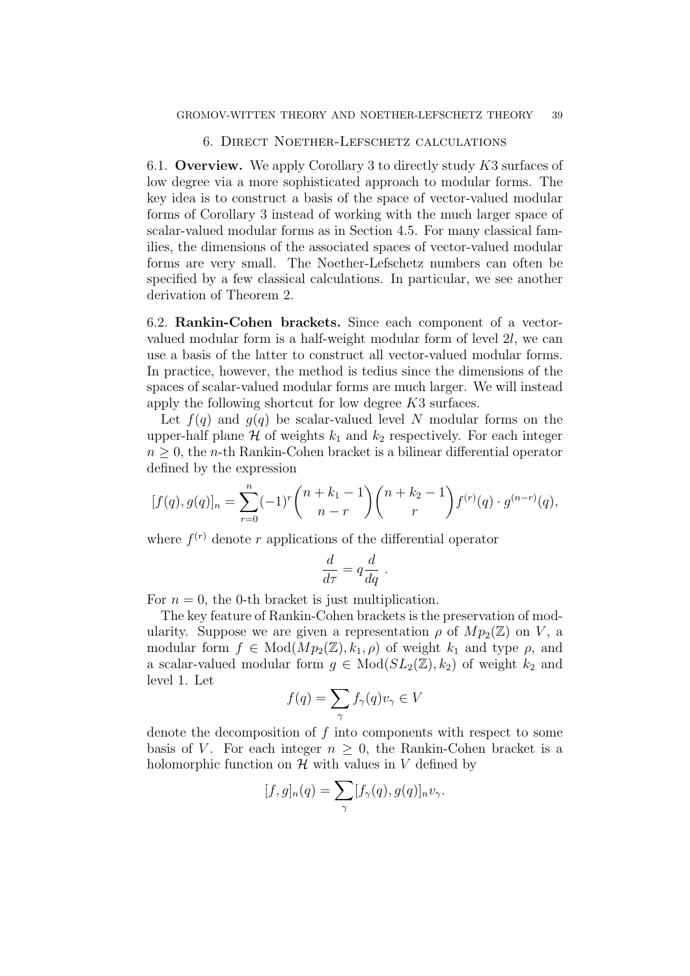#### 6. Direct Noether-Lefschetz calculations

6.1. Overview. We apply Corollary 3 to directly study  $K3$  surfaces of low degree via a more sophisticated approach to modular forms. The key idea is to construct a basis of the space of vector-valued modular forms of Corollary 3 instead of working with the much larger space of scalar-valued modular forms as in Section 4.5. For many classical families, the dimensions of the associated spaces of vector-valued modular forms are very small. The Noether-Lefschetz numbers can often be specified by a few classical calculations. In particular, we see another derivation of Theorem 2.

6.2. Rankin-Cohen brackets. Since each component of a vectorvalued modular form is a half-weight modular form of level 2l, we can use a basis of the latter to construct all vector-valued modular forms. In practice, however, the method is tedius since the dimensions of the spaces of scalar-valued modular forms are much larger. We will instead apply the following shortcut for low degree K3 surfaces.

Let  $f(q)$  and  $g(q)$  be scalar-valued level N modular forms on the upper-half plane  $H$  of weights  $k_1$  and  $k_2$  respectively. For each integer  $n \geq 0$ , the *n*-th Rankin-Cohen bracket is a bilinear differential operator defined by the expression

$$
[f(q), g(q)]_n = \sum_{r=0}^n (-1)^r \binom{n+k_1-1}{n-r} \binom{n+k_2-1}{r} f^{(r)}(q) \cdot g^{(n-r)}(q),
$$

where  $f^{(r)}$  denote r applications of the differential operator

$$
\frac{d}{d\tau} = q \frac{d}{dq} .
$$

For  $n = 0$ , the 0-th bracket is just multiplication.

The key feature of Rankin-Cohen brackets is the preservation of modularity. Suppose we are given a representation  $\rho$  of  $Mp_2(\mathbb{Z})$  on V, a modular form  $f \in Mod(Mp_2(\mathbb{Z}), k_1, \rho)$  of weight  $k_1$  and type  $\rho$ , and a scalar-valued modular form  $g \in Mod(SL_2(\mathbb{Z}), k_2)$  of weight  $k_2$  and level 1. Let

$$
f(q) = \sum_{\gamma} f_{\gamma}(q) v_{\gamma} \in V
$$

denote the decomposition of  $f$  into components with respect to some basis of V. For each integer  $n \geq 0$ , the Rankin-Cohen bracket is a holomorphic function on  $\mathcal H$  with values in V defined by

$$
[f,g]_n(q) = \sum_{\gamma} [f_{\gamma}(q), g(q)]_n v_{\gamma}.
$$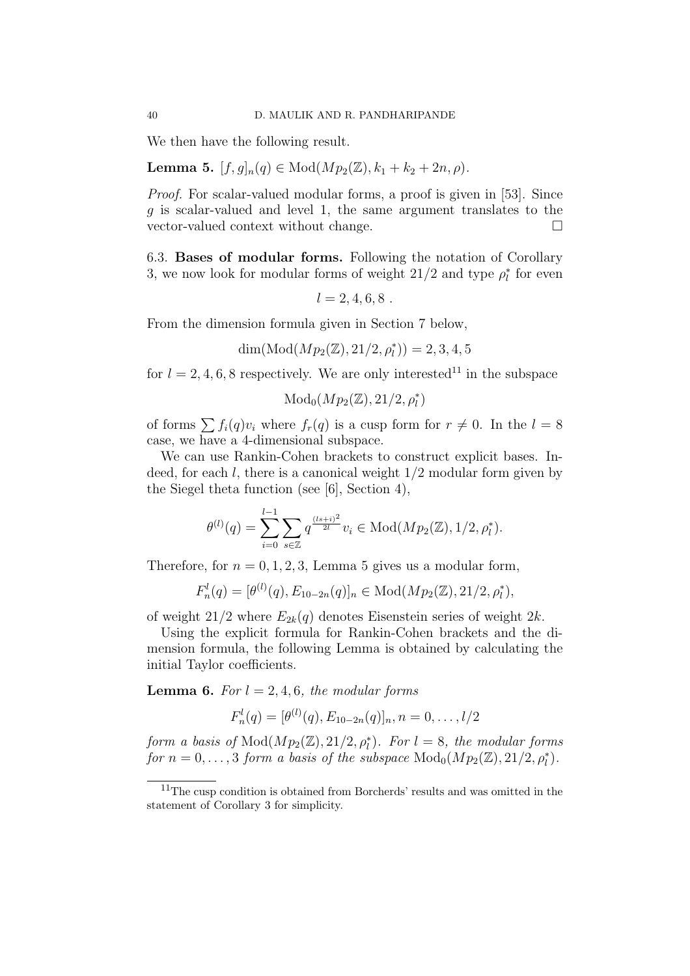We then have the following result.

Lemma 5.  $[f, g]_n(q) \in Mod(Mp_2(\mathbb{Z}), k_1 + k_2 + 2n, \rho)$ .

Proof. For scalar-valued modular forms, a proof is given in [53]. Since q is scalar-valued and level 1, the same argument translates to the vector-valued context without change.

6.3. Bases of modular forms. Following the notation of Corollary 3, we now look for modular forms of weight  $21/2$  and type  $\rho_l^*$  for even

 $l = 2, 4, 6, 8$ .

From the dimension formula given in Section 7 below,

$$
\dim(\operatorname{Mod}(Mp_2(\mathbb{Z}),21/2,\rho_l^*))=2,3,4,5
$$

for  $l = 2, 4, 6, 8$  respectively. We are only interested<sup>11</sup> in the subspace

$$
\operatorname{Mod}_0(Mp_2(\mathbb{Z}),21/2,\rho_l^*)
$$

of forms  $\sum f_i(q)v_i$  where  $f_r(q)$  is a cusp form for  $r \neq 0$ . In the  $l = 8$ case, we have a 4-dimensional subspace.

We can use Rankin-Cohen brackets to construct explicit bases. Indeed, for each  $l$ , there is a canonical weight  $1/2$  modular form given by the Siegel theta function (see [6], Section 4),

$$
\theta^{(l)}(q) = \sum_{i=0}^{l-1} \sum_{s \in \mathbb{Z}} q^{\frac{(ls+i)^2}{2l}} v_i \in \text{Mod}(Mp_2(\mathbb{Z}), 1/2, \rho_l^*).
$$

Therefore, for  $n = 0, 1, 2, 3$ , Lemma 5 gives us a modular form,

$$
F_n^l(q) = [\theta^{(l)}(q), E_{10-2n}(q)]_n \in \text{Mod}(Mp_2(\mathbb{Z}), 21/2, \rho_l^*),
$$

of weight  $21/2$  where  $E_{2k}(q)$  denotes Eisenstein series of weight  $2k$ .

Using the explicit formula for Rankin-Cohen brackets and the dimension formula, the following Lemma is obtained by calculating the initial Taylor coefficients.

**Lemma 6.** For  $l = 2, 4, 6$ , the modular forms

$$
F_n^l(q) = [\theta^{(l)}(q), E_{10-2n}(q)]_n, n = 0, \ldots, l/2
$$

form a basis of  $Mod(Mp_2(\mathbb{Z}), 21/2, \rho_l^*)$ . For  $l = 8$ , the modular forms for  $n = 0, \ldots, 3$  form a basis of the subspace  $\text{Mod}_0(Mp_2(\mathbb{Z}), 21/2, \rho_l^*).$ 

<sup>&</sup>lt;sup>11</sup>The cusp condition is obtained from Borcherds' results and was omitted in the statement of Corollary 3 for simplicity.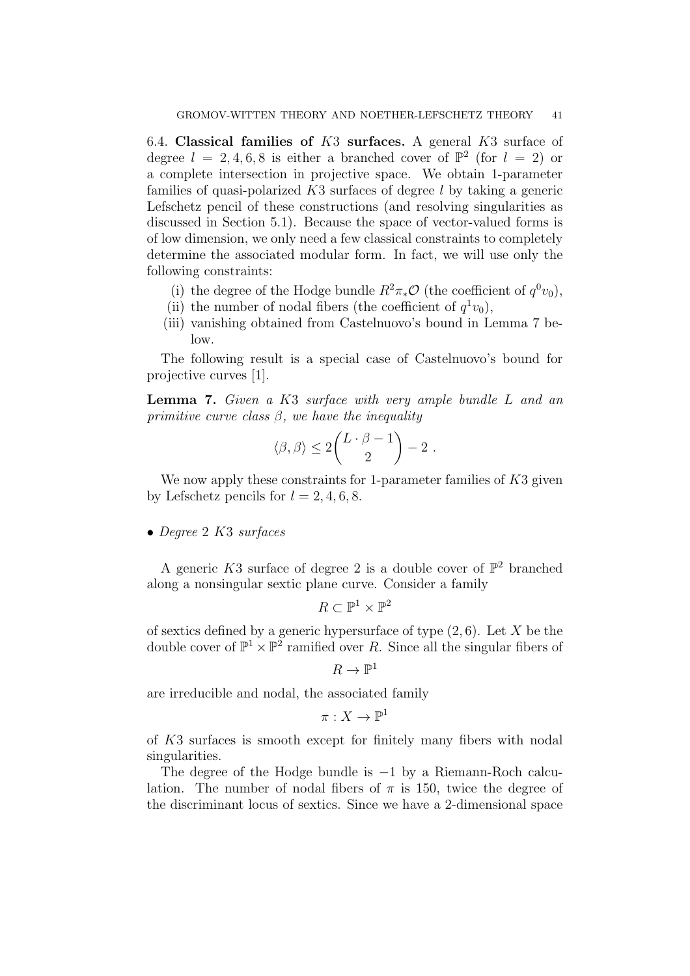6.4. Classical families of  $K3$  surfaces. A general  $K3$  surface of degree  $l = 2, 4, 6, 8$  is either a branched cover of  $\mathbb{P}^2$  (for  $l = 2$ ) or a complete intersection in projective space. We obtain 1-parameter families of quasi-polarized  $K3$  surfaces of degree l by taking a generic Lefschetz pencil of these constructions (and resolving singularities as discussed in Section 5.1). Because the space of vector-valued forms is of low dimension, we only need a few classical constraints to completely determine the associated modular form. In fact, we will use only the following constraints:

- (i) the degree of the Hodge bundle  $R^2 \pi_* \mathcal{O}$  (the coefficient of  $q^0 v_0$ ),
- (ii) the number of nodal fibers (the coefficient of  $q^1v_0$ ),
- (iii) vanishing obtained from Castelnuovo's bound in Lemma 7 below.

The following result is a special case of Castelnuovo's bound for projective curves [1].

Lemma 7. Given a K3 surface with very ample bundle L and an primitive curve class  $\beta$ , we have the inequality

$$
\langle \beta, \beta \rangle \leq 2 \binom{L \cdot \beta - 1}{2} - 2 \ .
$$

We now apply these constraints for 1-parameter families of K3 given by Lefschetz pencils for  $l = 2, 4, 6, 8$ .

• Degree 2 K3 surfaces

A generic K3 surface of degree 2 is a double cover of  $\mathbb{P}^2$  branched along a nonsingular sextic plane curve. Consider a family

$$
R \subset \mathbb{P}^1 \times \mathbb{P}^2
$$

of sextics defined by a generic hypersurface of type  $(2, 6)$ . Let X be the double cover of  $\mathbb{P}^1 \times \mathbb{P}^2$  ramified over R. Since all the singular fibers of

$$
R\to \mathbb{P}^1
$$

are irreducible and nodal, the associated family

$$
\pi:X\to \mathbb{P}^1
$$

of K3 surfaces is smooth except for finitely many fibers with nodal singularities.

The degree of the Hodge bundle is −1 by a Riemann-Roch calculation. The number of nodal fibers of  $\pi$  is 150, twice the degree of the discriminant locus of sextics. Since we have a 2-dimensional space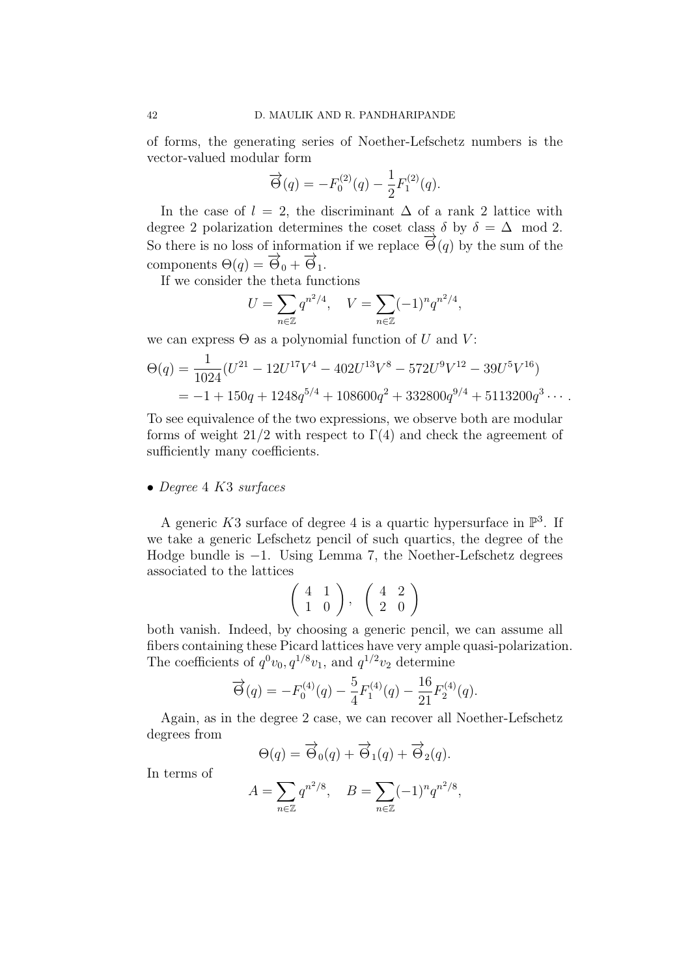of forms, the generating series of Noether-Lefschetz numbers is the vector-valued modular form

$$
\overrightarrow{\Theta}(q) = -F_0^{(2)}(q) - \frac{1}{2}F_1^{(2)}(q).
$$

In the case of  $l = 2$ , the discriminant  $\Delta$  of a rank 2 lattice with degree 2 polarization determines the coset class  $\delta$  by  $\delta = \Delta \mod 2$ . So there is no loss of information if we replace  $\vec{\Theta}(q)$  by the sum of the components  $\Theta(q) = \overrightarrow{\Theta}_0 + \overrightarrow{\Theta}_1$ .

If we consider the theta functions

$$
U = \sum_{n \in \mathbb{Z}} q^{n^2/4}, \quad V = \sum_{n \in \mathbb{Z}} (-1)^n q^{n^2/4},
$$

we can express  $\Theta$  as a polynomial function of U and V:

$$
\Theta(q) = \frac{1}{1024} (U^{21} - 12U^{17}V^4 - 402U^{13}V^8 - 572U^9V^{12} - 39U^5V^{16})
$$
  
= -1 + 150q + 1248q<sup>5/4</sup> + 108600q<sup>2</sup> + 332800q<sup>9/4</sup> + 5113200q<sup>3</sup>...

To see equivalence of the two expressions, we observe both are modular forms of weight 21/2 with respect to  $\Gamma(4)$  and check the agreement of sufficiently many coefficients.

#### • Degree 4 K3 surfaces

A generic K3 surface of degree 4 is a quartic hypersurface in  $\mathbb{P}^3$ . If we take a generic Lefschetz pencil of such quartics, the degree of the Hodge bundle is −1. Using Lemma 7, the Noether-Lefschetz degrees associated to the lattices

$$
\left(\begin{array}{cc}4&1\\1&0\end{array}\right),\ \ \left(\begin{array}{cc}4&2\\2&0\end{array}\right)
$$

both vanish. Indeed, by choosing a generic pencil, we can assume all fibers containing these Picard lattices have very ample quasi-polarization. The coefficients of  $q^0v_0, q^{1/8}v_1$ , and  $q^{1/2}v_2$  determine

$$
\overrightarrow{\Theta}(q) = -F_0^{(4)}(q) - \frac{5}{4}F_1^{(4)}(q) - \frac{16}{21}F_2^{(4)}(q).
$$

Again, as in the degree 2 case, we can recover all Noether-Lefschetz degrees from

$$
\Theta(q) = \overrightarrow{\Theta}_0(q) + \overrightarrow{\Theta}_1(q) + \overrightarrow{\Theta}_2(q).
$$

In terms of

$$
A = \sum_{n \in \mathbb{Z}} q^{n^2/8}, \quad B = \sum_{n \in \mathbb{Z}} (-1)^n q^{n^2/8},
$$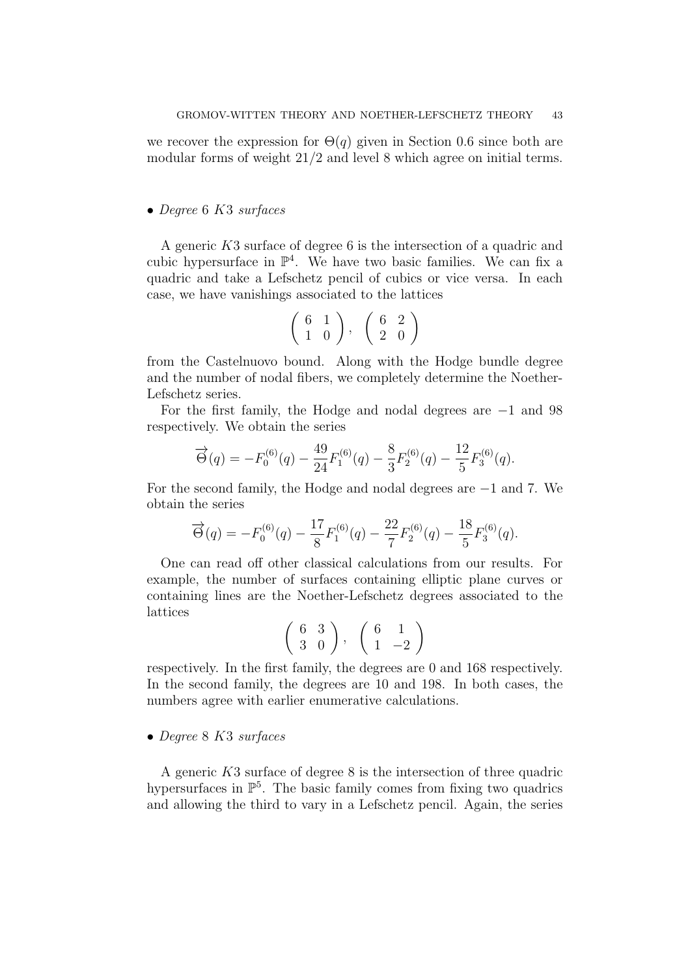we recover the expression for  $\Theta(q)$  given in Section 0.6 since both are modular forms of weight  $21/2$  and level 8 which agree on initial terms.

## • Degree 6 K3 surfaces

A generic K3 surface of degree 6 is the intersection of a quadric and cubic hypersurface in  $\mathbb{P}^4$ . We have two basic families. We can fix a quadric and take a Lefschetz pencil of cubics or vice versa. In each case, we have vanishings associated to the lattices

$$
\left(\begin{array}{cc} 6 & 1 \\ 1 & 0 \end{array}\right), \quad \left(\begin{array}{cc} 6 & 2 \\ 2 & 0 \end{array}\right)
$$

from the Castelnuovo bound. Along with the Hodge bundle degree and the number of nodal fibers, we completely determine the Noether-Lefschetz series.

For the first family, the Hodge and nodal degrees are −1 and 98 respectively. We obtain the series

$$
\overrightarrow{\Theta}(q) = -F_0^{(6)}(q) - \frac{49}{24}F_1^{(6)}(q) - \frac{8}{3}F_2^{(6)}(q) - \frac{12}{5}F_3^{(6)}(q).
$$

For the second family, the Hodge and nodal degrees are −1 and 7. We obtain the series

$$
\overrightarrow{\Theta}(q) = -F_0^{(6)}(q) - \frac{17}{8}F_1^{(6)}(q) - \frac{22}{7}F_2^{(6)}(q) - \frac{18}{5}F_3^{(6)}(q).
$$

One can read off other classical calculations from our results. For example, the number of surfaces containing elliptic plane curves or containing lines are the Noether-Lefschetz degrees associated to the lattices

$$
\left(\begin{array}{cc} 6 & 3 \\ 3 & 0 \end{array}\right), \quad \left(\begin{array}{cc} 6 & 1 \\ 1 & -2 \end{array}\right)
$$

respectively. In the first family, the degrees are 0 and 168 respectively. In the second family, the degrees are 10 and 198. In both cases, the numbers agree with earlier enumerative calculations.

#### • Degree 8 K3 surfaces

A generic K3 surface of degree 8 is the intersection of three quadric hypersurfaces in  $\mathbb{P}^5$ . The basic family comes from fixing two quadrics and allowing the third to vary in a Lefschetz pencil. Again, the series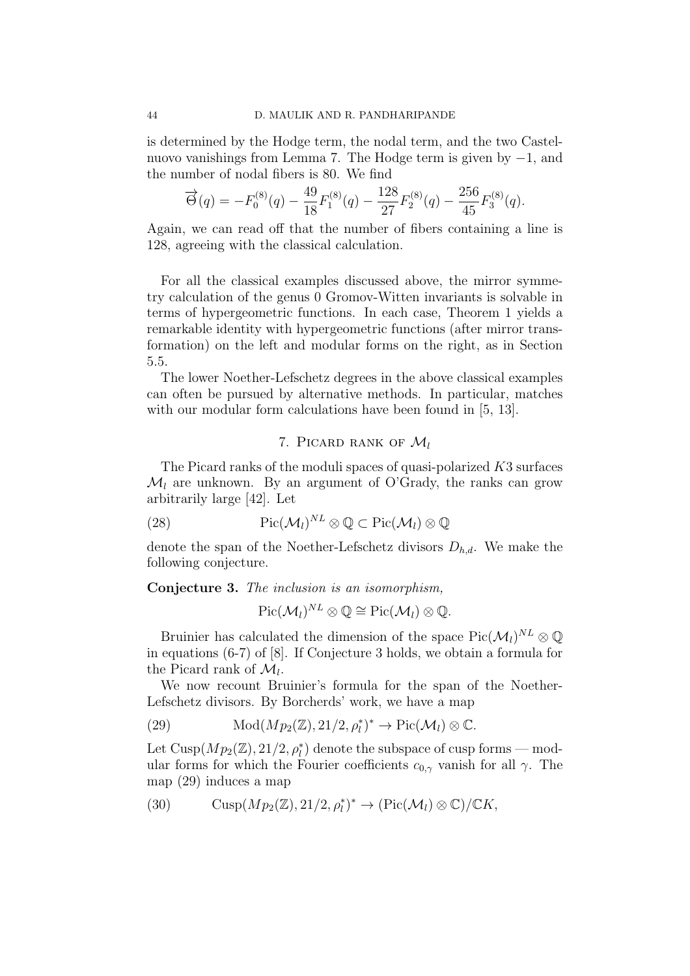is determined by the Hodge term, the nodal term, and the two Castelnuovo vanishings from Lemma 7. The Hodge term is given by −1, and the number of nodal fibers is 80. We find

$$
\vec{\Theta}(q) = -F_0^{(8)}(q) - \frac{49}{18}F_1^{(8)}(q) - \frac{128}{27}F_2^{(8)}(q) - \frac{256}{45}F_3^{(8)}(q).
$$

Again, we can read off that the number of fibers containing a line is 128, agreeing with the classical calculation.

For all the classical examples discussed above, the mirror symmetry calculation of the genus 0 Gromov-Witten invariants is solvable in terms of hypergeometric functions. In each case, Theorem 1 yields a remarkable identity with hypergeometric functions (after mirror transformation) on the left and modular forms on the right, as in Section 5.5.

The lower Noether-Lefschetz degrees in the above classical examples can often be pursued by alternative methods. In particular, matches with our modular form calculations have been found in [5, 13].

# 7. PICARD RANK OF  $\mathcal{M}_l$

The Picard ranks of the moduli spaces of quasi-polarized K3 surfaces  $\mathcal{M}_l$  are unknown. By an argument of O'Grady, the ranks can grow arbitrarily large [42]. Let

(28) 
$$
\mathrm{Pic}(\mathcal{M}_l)^{NL}\otimes \mathbb{Q} \subset \mathrm{Pic}(\mathcal{M}_l)\otimes \mathbb{Q}
$$

denote the span of the Noether-Lefschetz divisors  $D_{h,d}$ . We make the following conjecture.

Conjecture 3. The inclusion is an isomorphism,

$$
\mathrm{Pic}(\mathcal{M}_l)^{NL}\otimes \mathbb{Q}\cong \mathrm{Pic}(\mathcal{M}_l)\otimes \mathbb{Q}.
$$

Bruinier has calculated the dimension of the space  $Pic(\mathcal{M}_l)^{NL} \otimes \mathbb{Q}$ in equations (6-7) of [8]. If Conjecture 3 holds, we obtain a formula for the Picard rank of  $\mathcal{M}_l$ .

We now recount Bruinier's formula for the span of the Noether-Lefschetz divisors. By Borcherds' work, we have a map

(29) 
$$
\text{Mod}(Mp_2(\mathbb{Z}), 21/2, \rho_l^*)^* \to \text{Pic}(\mathcal{M}_l) \otimes \mathbb{C}.
$$

Let  $\text{Cusp}(Mp_2(\mathbb{Z}), 21/2, \rho_l^*)$  denote the subspace of cusp forms — modular forms for which the Fourier coefficients  $c_{0,\gamma}$  vanish for all  $\gamma$ . The map (29) induces a map

(30)  $\text{Cusp}(Mp_2(\mathbb{Z}), 21/2, \rho_l^*)^* \to (\text{Pic}(\mathcal{M}_l) \otimes \mathbb{C})/\mathbb{C}K,$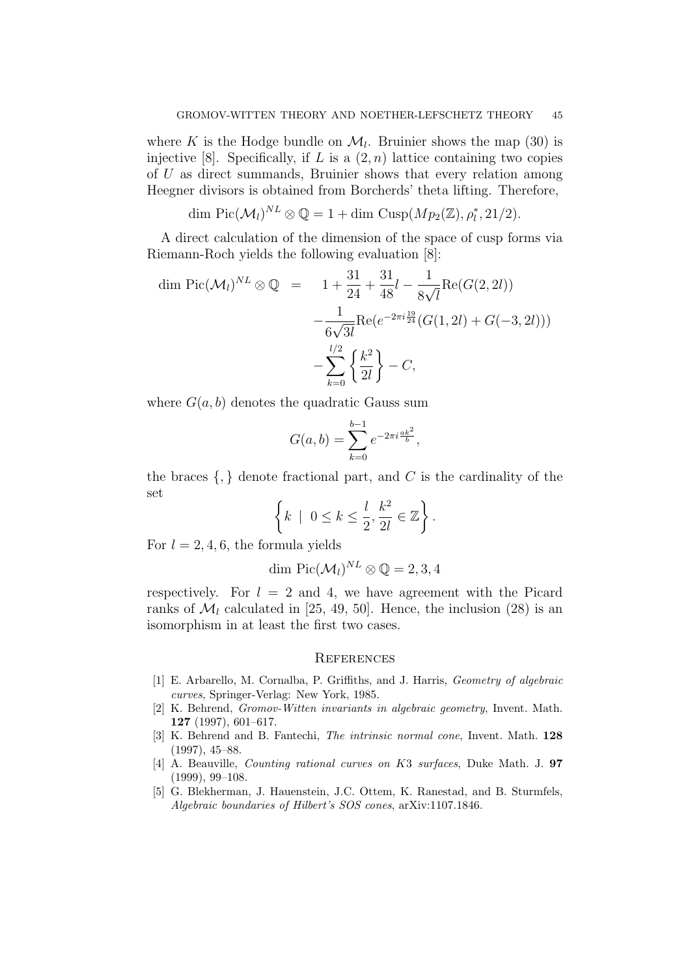where K is the Hodge bundle on  $\mathcal{M}_l$ . Bruinier shows the map (30) is injective [8]. Specifically, if L is a  $(2, n)$  lattice containing two copies of U as direct summands, Bruinier shows that every relation among Heegner divisors is obtained from Borcherds' theta lifting. Therefore,

$$
\dim \mathrm{Pic}(\mathcal{M}_l)^{NL} \otimes \mathbb{Q} = 1 + \dim \mathrm{Cusp}(Mp_2(\mathbb{Z}), \rho_l^*, 21/2).
$$

A direct calculation of the dimension of the space of cusp forms via Riemann-Roch yields the following evaluation [8]:

$$
\dim \operatorname{Pic}(\mathcal{M}_l)^{NL} \otimes \mathbb{Q} = 1 + \frac{31}{24} + \frac{31}{48}l - \frac{1}{8\sqrt{l}} \operatorname{Re}(G(2, 2l)) - \frac{1}{6\sqrt{3l}} \operatorname{Re}(e^{-2\pi i \frac{19}{24}} (G(1, 2l) + G(-3, 2l))) - \sum_{k=0}^{l/2} \left\{ \frac{k^2}{2l} \right\} - C,
$$

where  $G(a, b)$  denotes the quadratic Gauss sum

$$
G(a,b) = \sum_{k=0}^{b-1} e^{-2\pi i \frac{ak^2}{b}},
$$

the braces  $\{,\}$  denote fractional part, and C is the cardinality of the set

$$
\left\{k \mid 0 \leq k \leq \frac{l}{2}, \frac{k^2}{2l} \in \mathbb{Z}\right\}.
$$

For  $l = 2, 4, 6$ , the formula yields

$$
\dim \mathrm{Pic}(\mathcal{M}_l)^{NL} \otimes \mathbb{Q} = 2, 3, 4
$$

respectively. For  $l = 2$  and 4, we have agreement with the Picard ranks of  $\mathcal{M}_l$  calculated in [25, 49, 50]. Hence, the inclusion (28) is an isomorphism in at least the first two cases.

#### **REFERENCES**

- [1] E. Arbarello, M. Cornalba, P. Griffiths, and J. Harris, Geometry of algebraic curves, Springer-Verlag: New York, 1985.
- [2] K. Behrend, Gromov-Witten invariants in algebraic geometry, Invent. Math. 127 (1997), 601–617.
- [3] K. Behrend and B. Fantechi, The intrinsic normal cone, Invent. Math. 128 (1997), 45–88.
- [4] A. Beauville, Counting rational curves on K3 surfaces, Duke Math. J. 97 (1999), 99–108.
- [5] G. Blekherman, J. Hauenstein, J.C. Ottem, K. Ranestad, and B. Sturmfels, Algebraic boundaries of Hilbert's SOS cones, arXiv:1107.1846.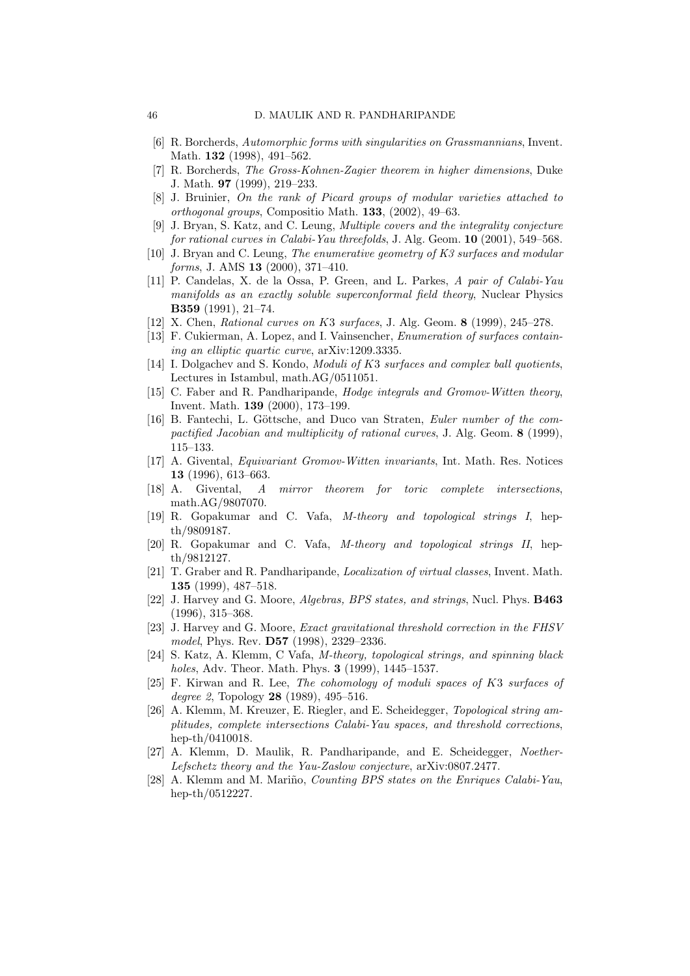- [6] R. Borcherds, Automorphic forms with singularities on Grassmannians, Invent. Math. **132** (1998), 491–562.
- [7] R. Borcherds, The Gross-Kohnen-Zagier theorem in higher dimensions, Duke J. Math. 97 (1999), 219–233.
- [8] J. Bruinier, On the rank of Picard groups of modular varieties attached to orthogonal groups, Compositio Math. 133, (2002), 49–63.
- [9] J. Bryan, S. Katz, and C. Leung, Multiple covers and the integrality conjecture for rational curves in Calabi-Yau threefolds, J. Alg. Geom. 10 (2001), 549–568.
- [10] J. Bryan and C. Leung, The enumerative geometry of K3 surfaces and modular forms, J. AMS **13** (2000), 371-410.
- [11] P. Candelas, X. de la Ossa, P. Green, and L. Parkes, A pair of Calabi-Yau manifolds as an exactly soluble superconformal field theory, Nuclear Physics B359 (1991), 21–74.
- [12] X. Chen, *Rational curves on K3 surfaces*, J. Alg. Geom. 8 (1999), 245–278.
- [13] F. Cukierman, A. Lopez, and I. Vainsencher, *Enumeration of surfaces contain*ing an elliptic quartic curve, arXiv:1209.3335.
- [14] I. Dolgachev and S. Kondo, *Moduli of K3 surfaces and complex ball quotients*, Lectures in Istambul, math.AG/0511051.
- [15] C. Faber and R. Pandharipande, Hodge integrals and Gromov-Witten theory, Invent. Math. 139 (2000), 173–199.
- [16] B. Fantechi, L. Göttsche, and Duco van Straten, Euler number of the compactified Jacobian and multiplicity of rational curves, J. Alg. Geom. 8 (1999), 115–133.
- [17] A. Givental, Equivariant Gromov-Witten invariants, Int. Math. Res. Notices 13 (1996), 613–663.
- [18] A. Givental, A mirror theorem for toric complete intersections, math.AG/9807070.
- [19] R. Gopakumar and C. Vafa, M-theory and topological strings I, hepth/9809187.
- [20] R. Gopakumar and C. Vafa, M-theory and topological strings II, hepth/9812127.
- [21] T. Graber and R. Pandharipande, Localization of virtual classes, Invent. Math. 135 (1999), 487–518.
- [22] J. Harvey and G. Moore, Algebras, BPS states, and strings, Nucl. Phys. **B463** (1996), 315–368.
- [23] J. Harvey and G. Moore, Exact gravitational threshold correction in the FHSV model, Phys. Rev. D57 (1998), 2329–2336.
- [24] S. Katz, A. Klemm, C Vafa, M-theory, topological strings, and spinning black holes, Adv. Theor. Math. Phys. 3 (1999), 1445–1537.
- [25] F. Kirwan and R. Lee, The cohomology of moduli spaces of K3 surfaces of degree 2, Topology **28** (1989), 495–516.
- [26] A. Klemm, M. Kreuzer, E. Riegler, and E. Scheidegger, Topological string amplitudes, complete intersections Calabi-Yau spaces, and threshold corrections, hep-th/0410018.
- [27] A. Klemm, D. Maulik, R. Pandharipande, and E. Scheidegger, Noether-Lefschetz theory and the Yau-Zaslow conjecture, arXiv:0807.2477.
- [28] A. Klemm and M. Mariño, *Counting BPS states on the Enriques Calabi-Yau*, hep-th/0512227.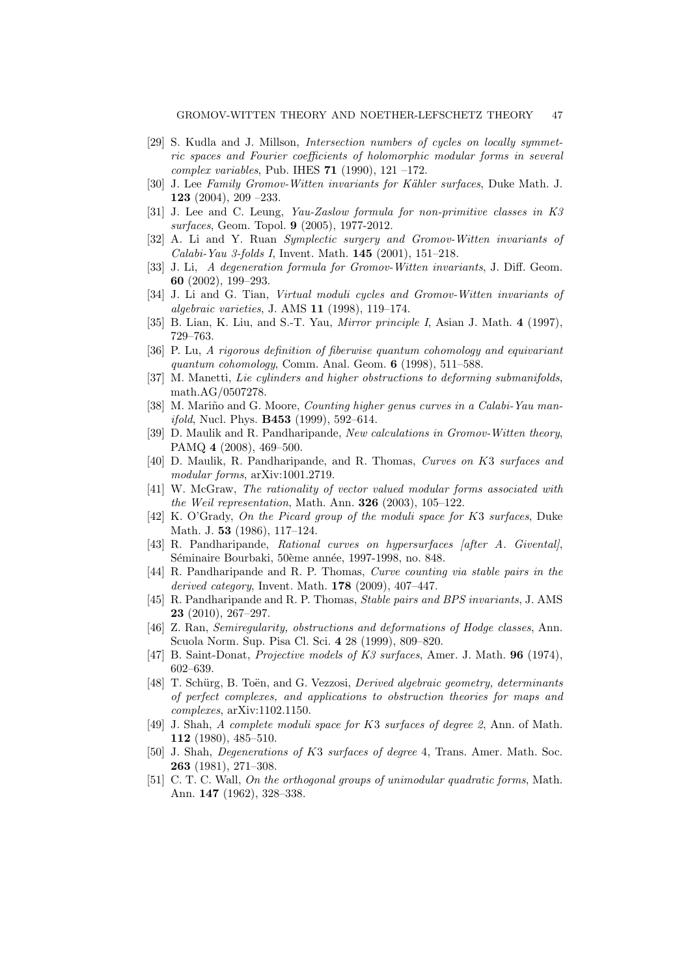- [29] S. Kudla and J. Millson, Intersection numbers of cycles on locally symmetric spaces and Fourier coefficients of holomorphic modular forms in several complex variables, Pub. IHES  $71$  (1990), 121 –172.
- [30] J. Lee Family Gromov-Witten invariants for Kähler surfaces, Duke Math. J. 123 (2004), 209 –233.
- [31] J. Lee and C. Leung, Yau-Zaslow formula for non-primitive classes in K3 surfaces, Geom. Topol. 9 (2005), 1977-2012.
- [32] A. Li and Y. Ruan Symplectic surgery and Gromov-Witten invariants of Calabi-Yau 3-folds I, Invent. Math. 145 (2001), 151–218.
- [33] J. Li, A degeneration formula for Gromov-Witten invariants, J. Diff. Geom. 60 (2002), 199–293.
- [34] J. Li and G. Tian, Virtual moduli cycles and Gromov-Witten invariants of algebraic varieties, J. AMS 11 (1998), 119–174.
- [35] B. Lian, K. Liu, and S.-T. Yau, *Mirror principle I*, Asian J. Math. 4 (1997), 729–763.
- [36] P. Lu, A rigorous definition of fiberwise quantum cohomology and equivariant quantum cohomology, Comm. Anal. Geom. 6 (1998), 511–588.
- [37] M. Manetti, Lie cylinders and higher obstructions to deforming submanifolds, math.AG/0507278.
- [38] M. Mariño and G. Moore, *Counting higher genus curves in a Calabi-Yau manifold*, Nucl. Phys. **B453** (1999), 592–614.
- [39] D. Maulik and R. Pandharipande, New calculations in Gromov-Witten theory, PAMQ 4 (2008), 469–500.
- [40] D. Maulik, R. Pandharipande, and R. Thomas, Curves on K3 surfaces and modular forms, arXiv:1001.2719.
- [41] W. McGraw, The rationality of vector valued modular forms associated with the Weil representation, Math. Ann. 326 (2003), 105–122.
- [42] K. O'Grady, On the Picard group of the moduli space for K3 surfaces, Duke Math. J. 53 (1986), 117–124.
- [43] R. Pandharipande, Rational curves on hypersurfaces [after A. Givental], Séminaire Bourbaki, 50ème année, 1997-1998, no. 848.
- [44] R. Pandharipande and R. P. Thomas, Curve counting via stable pairs in the derived category, Invent. Math. 178 (2009), 407–447.
- [45] R. Pandharipande and R. P. Thomas, Stable pairs and BPS invariants, J. AMS 23 (2010), 267–297.
- [46] Z. Ran, Semiregularity, obstructions and deformations of Hodge classes, Ann. Scuola Norm. Sup. Pisa Cl. Sci. 4 28 (1999), 809–820.
- [47] B. Saint-Donat, Projective models of K3 surfaces, Amer. J. Math. 96 (1974), 602–639.
- [48] T. Schürg, B. Toën, and G. Vezzosi, *Derived algebraic geometry, determinants* of perfect complexes, and applications to obstruction theories for maps and complexes, arXiv:1102.1150.
- [49] J. Shah, A complete moduli space for K3 surfaces of degree 2, Ann. of Math. 112 (1980), 485–510.
- [50] J. Shah, Degenerations of K3 surfaces of degree 4, Trans. Amer. Math. Soc. 263 (1981), 271–308.
- [51] C. T. C. Wall, On the orthogonal groups of unimodular quadratic forms, Math. Ann. 147 (1962), 328–338.